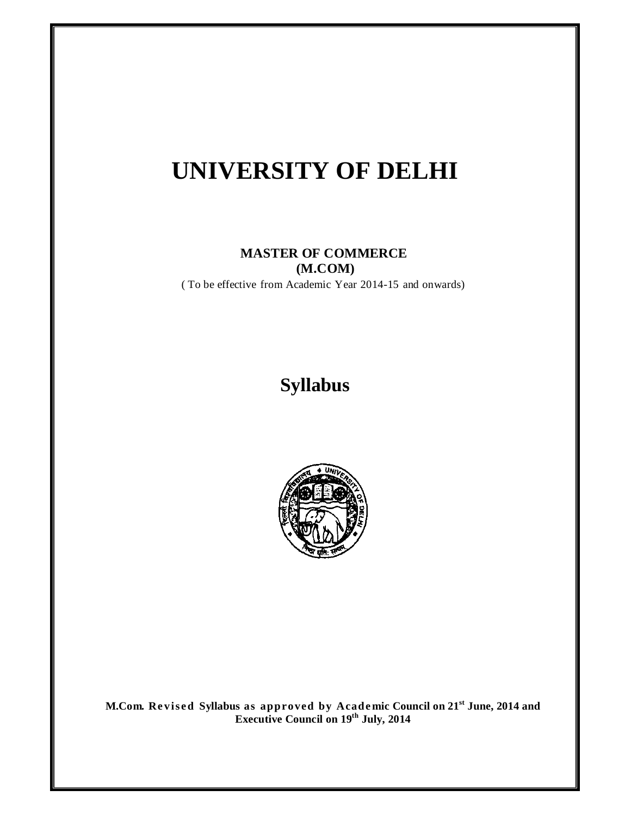# **UNIVERSITY OF DELHI**

## **MASTER OF COMMERCE (M.COM)**

( To be effective from Academic Year 2014-15 and onwards)

## **Syllabus**



**M.Com. Re vise d Syllabus as approved by Acade mic Council on 21st June, 2014 and Executive Council on 19th July, 2014**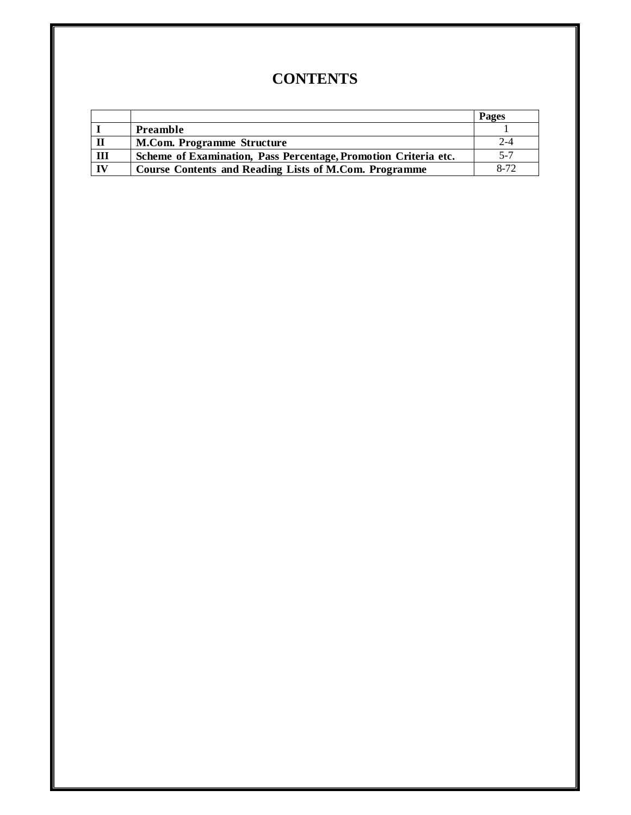## **CONTENTS**

|     |                                                                 | Pages   |
|-----|-----------------------------------------------------------------|---------|
|     | Preamble                                                        |         |
|     | <b>M.Com. Programme Structure</b>                               | 2-4     |
| III | Scheme of Examination, Pass Percentage, Promotion Criteria etc. | $5 - 7$ |
| IV  | Course Contents and Reading Lists of M.Com. Programme           | 8-72    |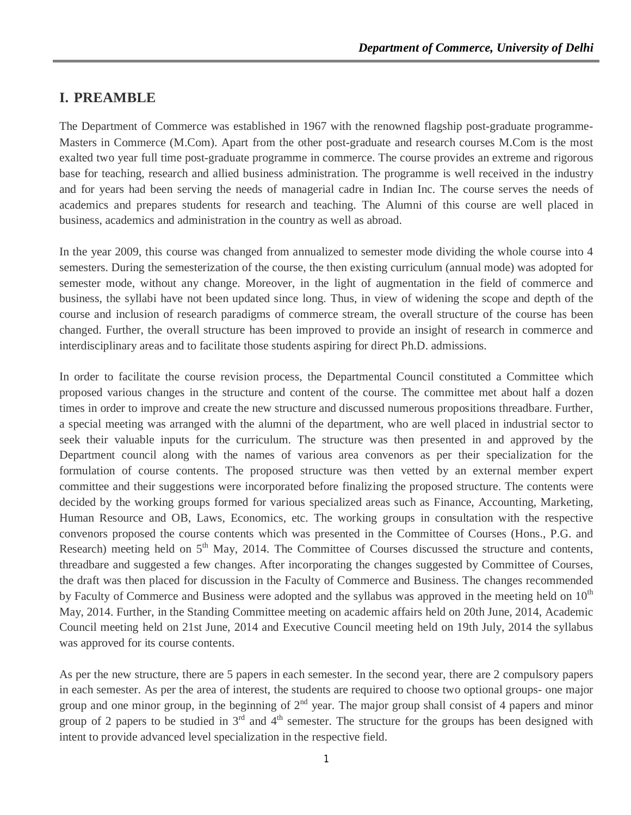## **I. PREAMBLE**

The Department of Commerce was established in 1967 with the renowned flagship post-graduate programme-Masters in Commerce (M.Com). Apart from the other post-graduate and research courses M.Com is the most exalted two year full time post-graduate programme in commerce. The course provides an extreme and rigorous base for teaching, research and allied business administration. The programme is well received in the industry and for years had been serving the needs of managerial cadre in Indian Inc. The course serves the needs of academics and prepares students for research and teaching. The Alumni of this course are well placed in business, academics and administration in the country as well as abroad.

In the year 2009, this course was changed from annualized to semester mode dividing the whole course into 4 semesters. During the semesterization of the course, the then existing curriculum (annual mode) was adopted for semester mode, without any change. Moreover, in the light of augmentation in the field of commerce and business, the syllabi have not been updated since long. Thus, in view of widening the scope and depth of the course and inclusion of research paradigms of commerce stream, the overall structure of the course has been changed. Further, the overall structure has been improved to provide an insight of research in commerce and interdisciplinary areas and to facilitate those students aspiring for direct Ph.D. admissions.

In order to facilitate the course revision process, the Departmental Council constituted a Committee which proposed various changes in the structure and content of the course. The committee met about half a dozen times in order to improve and create the new structure and discussed numerous propositions threadbare. Further, a special meeting was arranged with the alumni of the department, who are well placed in industrial sector to seek their valuable inputs for the curriculum. The structure was then presented in and approved by the Department council along with the names of various area convenors as per their specialization for the formulation of course contents. The proposed structure was then vetted by an external member expert committee and their suggestions were incorporated before finalizing the proposed structure. The contents were decided by the working groups formed for various specialized areas such as Finance, Accounting, Marketing, Human Resource and OB, Laws, Economics, etc. The working groups in consultation with the respective convenors proposed the course contents which was presented in the Committee of Courses (Hons., P.G. and Research) meeting held on  $5<sup>th</sup>$  May, 2014. The Committee of Courses discussed the structure and contents, threadbare and suggested a few changes. After incorporating the changes suggested by Committee of Courses, the draft was then placed for discussion in the Faculty of Commerce and Business. The changes recommended by Faculty of Commerce and Business were adopted and the syllabus was approved in the meeting held on  $10<sup>th</sup>$ May, 2014. Further, in the Standing Committee meeting on academic affairs held on 20th June, 2014, Academic Council meeting held on 21st June, 2014 and Executive Council meeting held on 19th July, 2014 the syllabus was approved for its course contents.

As per the new structure, there are 5 papers in each semester. In the second year, there are 2 compulsory papers in each semester. As per the area of interest, the students are required to choose two optional groups- one major group and one minor group, in the beginning of  $2<sup>nd</sup>$  year. The major group shall consist of 4 papers and minor group of 2 papers to be studied in  $3<sup>rd</sup>$  and  $4<sup>th</sup>$  semester. The structure for the groups has been designed with intent to provide advanced level specialization in the respective field.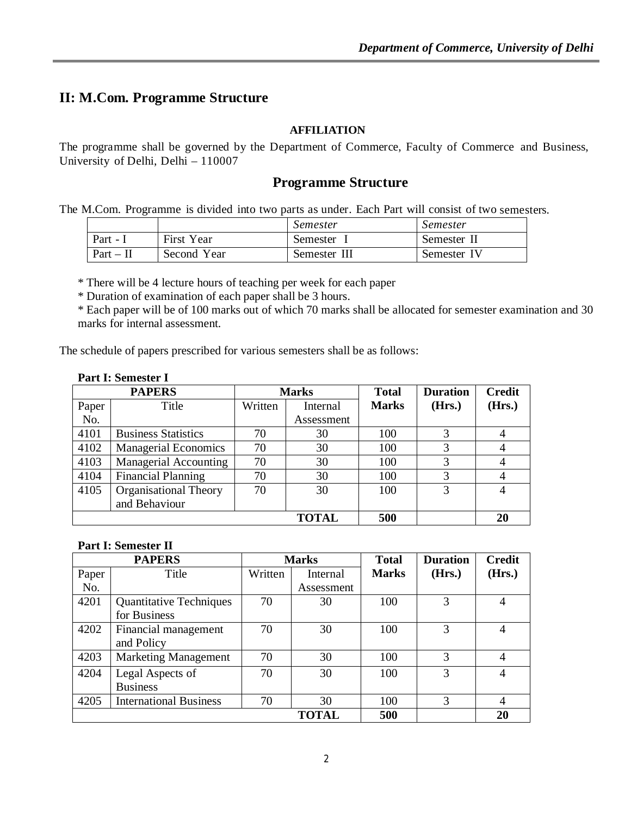## **II: M.Com. Programme Structure**

#### **AFFILIATION**

The programme shall be governed by the Department of Commerce, Faculty of Commerce and Business, University of Delhi, Delhi – 110007

## **Programme Structure**

The M.Com. Programme is divided into two parts as under. Each Part will consist of two semesters.

|             |             | Semester     | Semester    |
|-------------|-------------|--------------|-------------|
| Part -      | First Year  | Semester     | Semester II |
| $Part - II$ | Second Year | Semester III | Semester IV |

\* There will be 4 lecture hours of teaching per week for each paper

\* Duration of examination of each paper shall be 3 hours.

\* Each paper will be of 100 marks out of which 70 marks shall be allocated for semester examination and 30 marks for internal assessment.

The schedule of papers prescribed for various semesters shall be as follows:

|  |  | Part I: Semester I |
|--|--|--------------------|
|--|--|--------------------|

| <b>PAPERS</b> |                             | <b>Marks</b> |              | <b>Total</b> | <b>Duration</b> | <b>Credit</b> |
|---------------|-----------------------------|--------------|--------------|--------------|-----------------|---------------|
| Paper         | Title                       | Written      | Internal     | <b>Marks</b> | (Hrs.)          | (Hrs.)        |
| No.           |                             |              | Assessment   |              |                 |               |
| 4101          | <b>Business Statistics</b>  | 70           | 30           | 100          |                 |               |
| 4102          | <b>Managerial Economics</b> | 70           | 30           | 100          |                 |               |
| 4103          | Managerial Accounting       | 70           | 30           | 100          |                 |               |
| 4104          | <b>Financial Planning</b>   | 70           | 30           | 100          |                 |               |
| 4105          | Organisational Theory       | 70           | 30           | 100          | 3               |               |
|               | and Behaviour               |              |              |              |                 |               |
|               |                             |              | <b>TOTAL</b> | 500          |                 | 20            |

#### **Part I: Semester II**

| <b>PAPERS</b> |                                | <b>Marks</b> |              | <b>Total</b> | <b>Duration</b> | <b>Credit</b> |
|---------------|--------------------------------|--------------|--------------|--------------|-----------------|---------------|
| Paper         | Title                          | Written      | Internal     | <b>Marks</b> | (Hrs.)          | (Hrs.)        |
| No.           |                                |              | Assessment   |              |                 |               |
| 4201          | <b>Quantitative Techniques</b> | 70           | 30           | 100          |                 | 4             |
|               | for Business                   |              |              |              |                 |               |
| 4202          | Financial management           | 70           | 30           | 100          | 3               | 4             |
|               | and Policy                     |              |              |              |                 |               |
| 4203          | <b>Marketing Management</b>    | 70           | 30           | 100          | 3               | 4             |
| 4204          | Legal Aspects of               | 70           | 30           | 100          | 3               | 4             |
|               | <b>Business</b>                |              |              |              |                 |               |
| 4205          | <b>International Business</b>  | 70           | 30           | 100          | 3               | 4             |
|               |                                |              | <b>TOTAL</b> | 500          |                 | 20            |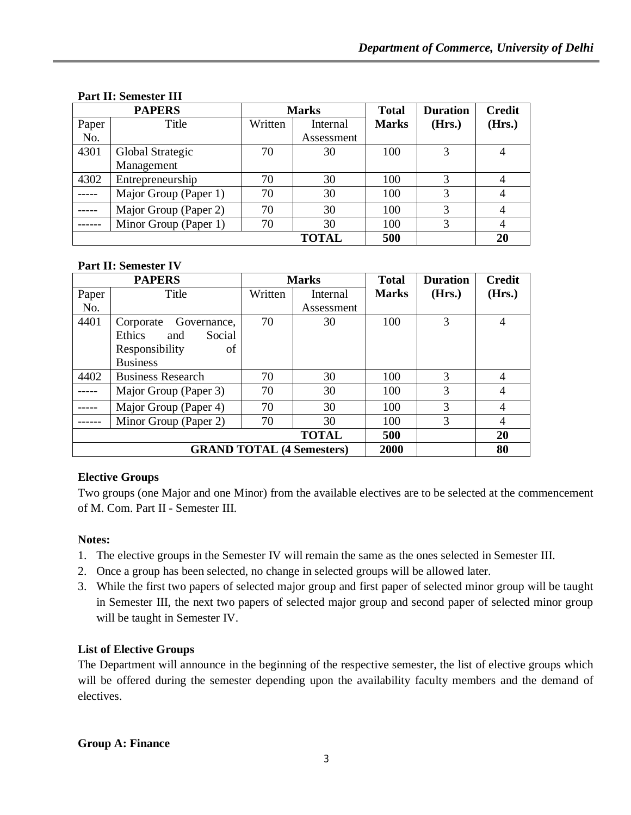| <b>PAPERS</b> |                       | <b>Marks</b> |            | <b>Total</b> | <b>Duration</b> | <b>Credit</b> |
|---------------|-----------------------|--------------|------------|--------------|-----------------|---------------|
| Paper         | Title                 | Written      | Internal   | <b>Marks</b> | (Hrs.)          | (Hrs.)        |
| No.           |                       |              | Assessment |              |                 |               |
| 4301          | Global Strategic      | 70           | 30         | 100          |                 | 4             |
|               | Management            |              |            |              |                 |               |
| 4302          | Entrepreneurship      | 70           | 30         | 100          | 3               | 4             |
|               | Major Group (Paper 1) | 70           | 30         | 100          | 3               | 4             |
|               | Major Group (Paper 2) | 70           | 30         | 100          | 3               |               |
|               | Minor Group (Paper 1) | 70           | 30         | 100          | 3               | 4             |
|               |                       |              | TOTAL      | 500          |                 | 20            |

## **Part II: Semester III**

## **Part II: Semester IV**

| <b>PAPERS</b> |                          | <b>Marks</b> |                                  | <b>Total</b> | <b>Duration</b> | <b>Credit</b>  |
|---------------|--------------------------|--------------|----------------------------------|--------------|-----------------|----------------|
| Paper         | Title                    | Written      | Internal                         | <b>Marks</b> | (Hrs.)          | (Hrs.)         |
| No.           |                          |              | Assessment                       |              |                 |                |
| 4401          | Governance,<br>Corporate | 70           | 30                               | 100          | 3               | $\overline{4}$ |
|               | Ethics<br>Social<br>and  |              |                                  |              |                 |                |
|               | Responsibility<br>οf     |              |                                  |              |                 |                |
|               | <b>Business</b>          |              |                                  |              |                 |                |
| 4402          | <b>Business Research</b> | 70           | 30                               | 100          | 3               | 4              |
|               | Major Group (Paper 3)    | 70           | 30                               | 100          | 3               | 4              |
|               | Major Group (Paper 4)    | 70           | 30                               | 100          | 3               | 4              |
|               | Minor Group (Paper 2)    | 70           | 30                               | 100          | 3               | 4              |
|               |                          |              | <b>TOTAL</b>                     | 500          |                 | 20             |
|               |                          |              | <b>GRAND TOTAL (4 Semesters)</b> | 2000         |                 | 80             |

## **Elective Groups**

Two groups (one Major and one Minor) from the available electives are to be selected at the commencement of M. Com. Part II - Semester III.

## **Notes:**

- 1. The elective groups in the Semester IV will remain the same as the ones selected in Semester III.
- 2. Once a group has been selected, no change in selected groups will be allowed later.
- 3. While the first two papers of selected major group and first paper of selected minor group will be taught in Semester III, the next two papers of selected major group and second paper of selected minor group will be taught in Semester IV.

## **List of Elective Groups**

The Department will announce in the beginning of the respective semester, the list of elective groups which will be offered during the semester depending upon the availability faculty members and the demand of electives.

## **Group A: Finance**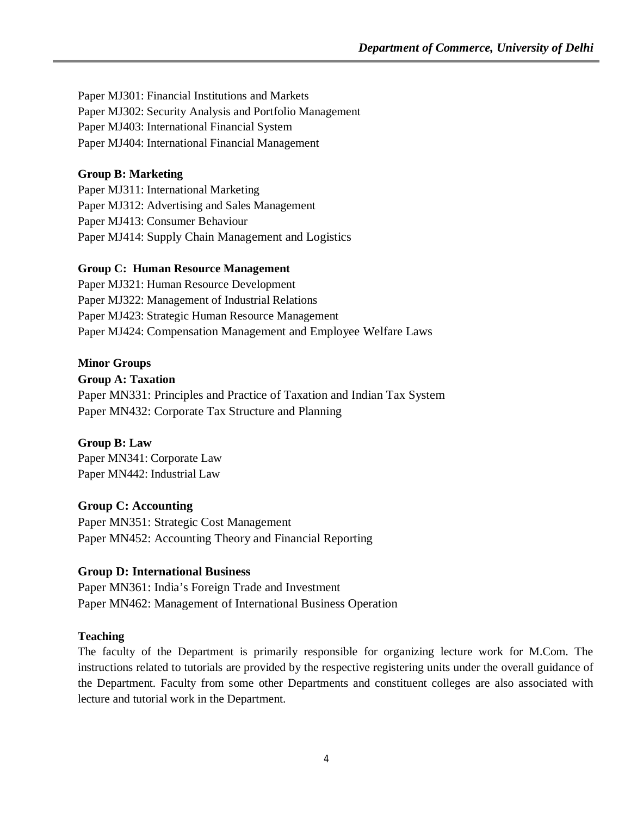Paper MJ301: Financial Institutions and Markets Paper MJ302: Security Analysis and Portfolio Management Paper MJ403: International Financial System Paper MJ404: International Financial Management

## **Group B: Marketing**

Paper MJ311: International Marketing Paper MJ312: Advertising and Sales Management Paper MJ413: Consumer Behaviour Paper MJ414: Supply Chain Management and Logistics

## **Group C: Human Resource Management**

Paper MJ321: Human Resource Development Paper MJ322: Management of Industrial Relations Paper MJ423: Strategic Human Resource Management Paper MJ424: Compensation Management and Employee Welfare Laws

## **Minor Groups**

## **Group A: Taxation**

Paper MN331: Principles and Practice of Taxation and Indian Tax System Paper MN432: Corporate Tax Structure and Planning

## **Group B: Law**

Paper MN341: Corporate Law Paper MN442: Industrial Law

## **Group C: Accounting**

Paper MN351: Strategic Cost Management Paper MN452: Accounting Theory and Financial Reporting

## **Group D: International Business**

Paper MN361: India's Foreign Trade and Investment Paper MN462: Management of International Business Operation

## **Teaching**

The faculty of the Department is primarily responsible for organizing lecture work for M.Com. The instructions related to tutorials are provided by the respective registering units under the overall guidance of the Department. Faculty from some other Departments and constituent colleges are also associated with lecture and tutorial work in the Department.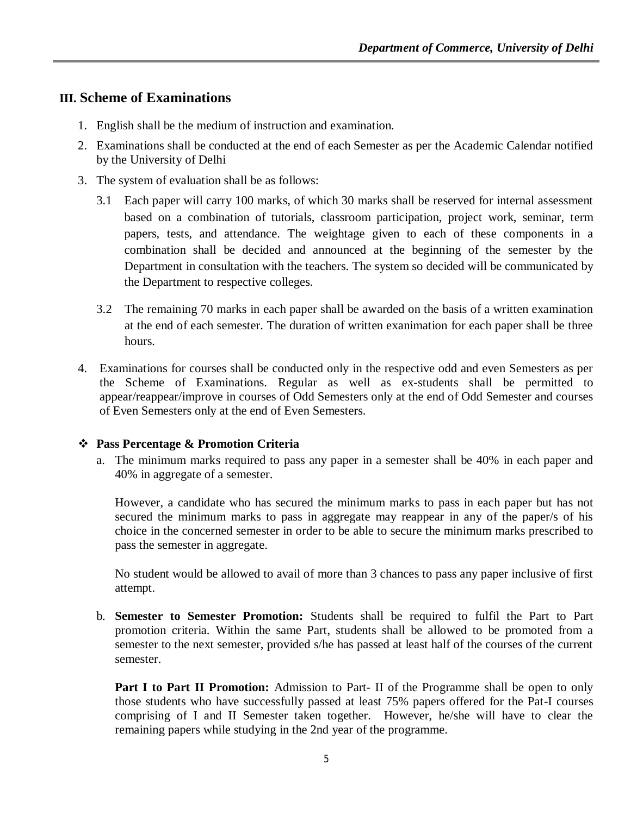## **III. Scheme of Examinations**

- 1. English shall be the medium of instruction and examination.
- 2. Examinations shall be conducted at the end of each Semester as per the Academic Calendar notified by the University of Delhi
- 3. The system of evaluation shall be as follows:
	- 3.1 Each paper will carry 100 marks, of which 30 marks shall be reserved for internal assessment based on a combination of tutorials, classroom participation, project work, seminar, term papers, tests, and attendance. The weightage given to each of these components in a combination shall be decided and announced at the beginning of the semester by the Department in consultation with the teachers. The system so decided will be communicated by the Department to respective colleges.
	- 3.2 The remaining 70 marks in each paper shall be awarded on the basis of a written examination at the end of each semester. The duration of written exanimation for each paper shall be three hours.
- 4. Examinations for courses shall be conducted only in the respective odd and even Semesters as per the Scheme of Examinations. Regular as well as ex-students shall be permitted to appear/reappear/improve in courses of Odd Semesters only at the end of Odd Semester and courses of Even Semesters only at the end of Even Semesters.

## **Pass Percentage & Promotion Criteria**

a. The minimum marks required to pass any paper in a semester shall be 40% in each paper and 40% in aggregate of a semester.

However, a candidate who has secured the minimum marks to pass in each paper but has not secured the minimum marks to pass in aggregate may reappear in any of the paper/s of his choice in the concerned semester in order to be able to secure the minimum marks prescribed to pass the semester in aggregate.

No student would be allowed to avail of more than 3 chances to pass any paper inclusive of first attempt.

b. **Semester to Semester Promotion:** Students shall be required to fulfil the Part to Part promotion criteria. Within the same Part, students shall be allowed to be promoted from a semester to the next semester, provided s/he has passed at least half of the courses of the current semester.

**Part I to Part II Promotion:** Admission to Part- II of the Programme shall be open to only those students who have successfully passed at least 75% papers offered for the Pat-I courses comprising of I and II Semester taken together. However, he/she will have to clear the remaining papers while studying in the 2nd year of the programme.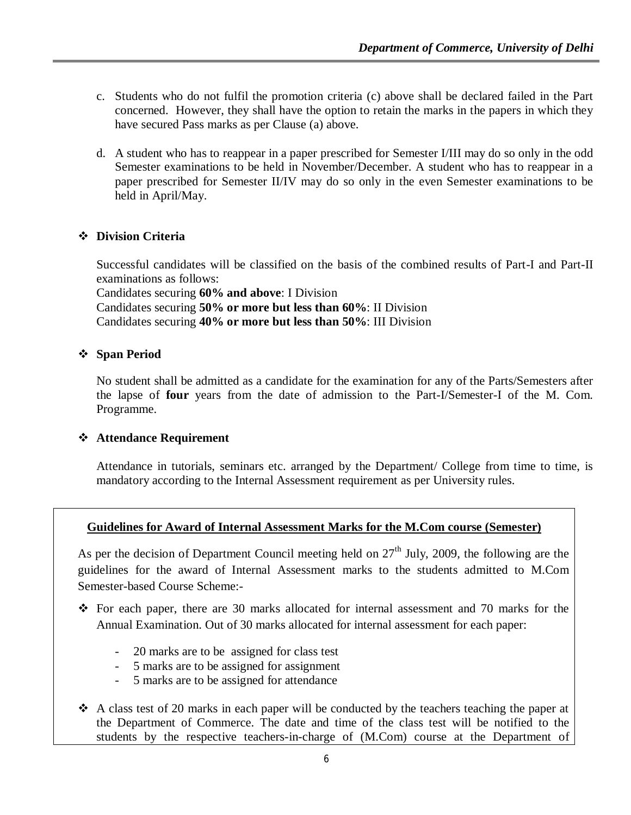- c. Students who do not fulfil the promotion criteria (c) above shall be declared failed in the Part concerned. However, they shall have the option to retain the marks in the papers in which they have secured Pass marks as per Clause (a) above.
- d. A student who has to reappear in a paper prescribed for Semester I/III may do so only in the odd Semester examinations to be held in November/December. A student who has to reappear in a paper prescribed for Semester II/IV may do so only in the even Semester examinations to be held in April/May.

## **Division Criteria**

Successful candidates will be classified on the basis of the combined results of Part-I and Part-II examinations as follows: Candidates securing **60% and above**: I Division

Candidates securing **50% or more but less than 60%**: II Division Candidates securing **40% or more but less than 50%**: III Division

## **Span Period**

No student shall be admitted as a candidate for the examination for any of the Parts/Semesters after the lapse of **four** years from the date of admission to the Part-I/Semester-I of the M. Com. Programme.

## **Attendance Requirement**

Attendance in tutorials, seminars etc. arranged by the Department/ College from time to time, is mandatory according to the Internal Assessment requirement as per University rules.

## **Guidelines for Award of Internal Assessment Marks for the M.Com course (Semester)**

As per the decision of Department Council meeting held on  $27<sup>th</sup>$  July, 2009, the following are the guidelines for the award of Internal Assessment marks to the students admitted to M.Com Semester-based Course Scheme:-

- $\div$  For each paper, there are 30 marks allocated for internal assessment and 70 marks for the Annual Examination. Out of 30 marks allocated for internal assessment for each paper:
	- 20 marks are to be assigned for class test
	- 5 marks are to be assigned for assignment
	- 5 marks are to be assigned for attendance
- $\triangle$  A class test of 20 marks in each paper will be conducted by the teachers teaching the paper at the Department of Commerce. The date and time of the class test will be notified to the students by the respective teachers-in-charge of (M.Com) course at the Department of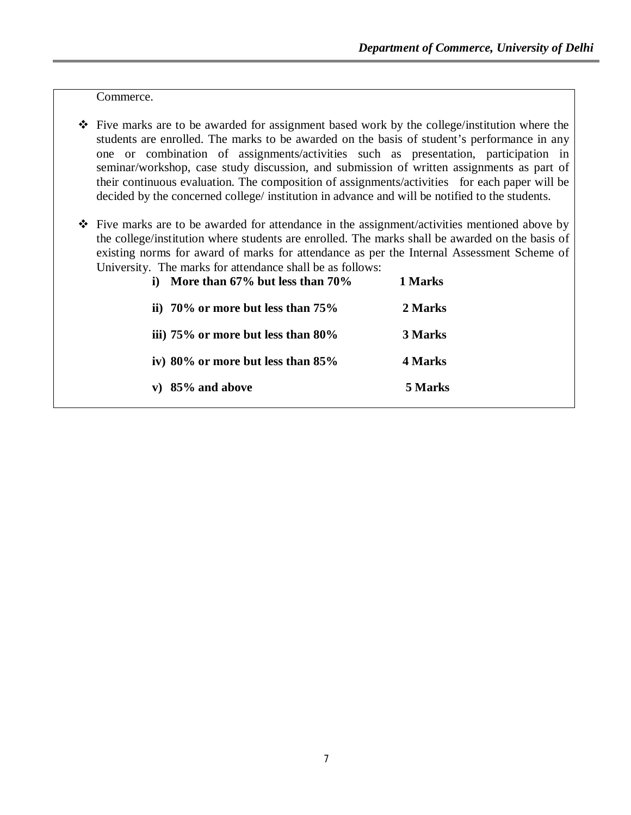Commerce.

- $\cdot \cdot$  Five marks are to be awarded for assignment based work by the college/institution where the students are enrolled. The marks to be awarded on the basis of student's performance in any one or combination of assignments/activities such as presentation, participation in seminar/workshop, case study discussion, and submission of written assignments as part of their continuous evaluation. The composition of assignments/activities for each paper will be decided by the concerned college/ institution in advance and will be notified to the students.
- $\div$  Five marks are to be awarded for attendance in the assignment/activities mentioned above by the college/institution where students are enrolled. The marks shall be awarded on the basis of existing norms for award of marks for attendance as per the Internal Assessment Scheme of University. The marks for attendance shall be as follows:

| More than $67\%$ but less than $70\%$   | 1 Marks |
|-----------------------------------------|---------|
| ii) $70\%$ or more but less than $75\%$ | 2 Marks |
| iii) 75% or more but less than 80%      | 3 Marks |
| iv) 80% or more but less than 85%       | 4 Marks |
| v) $85\%$ and above                     | 5 Marks |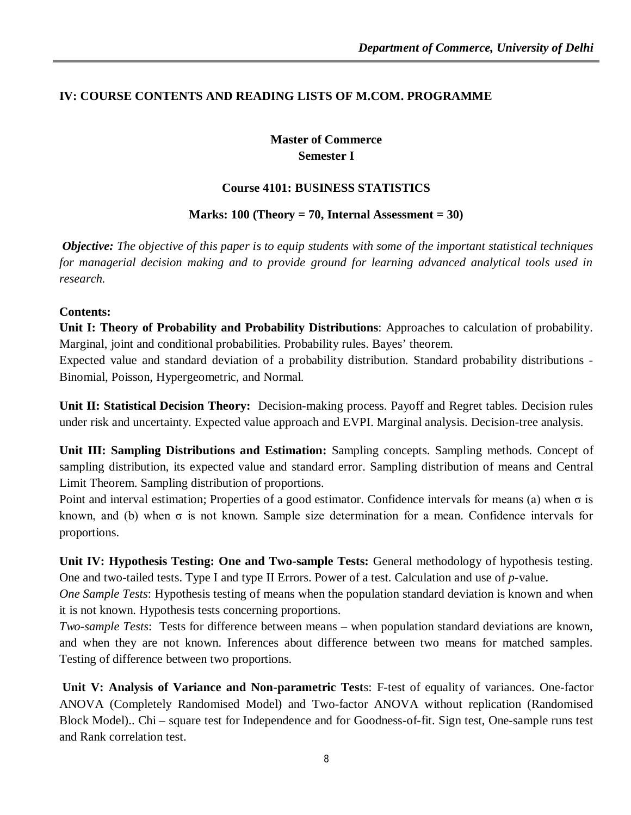## **IV: COURSE CONTENTS AND READING LISTS OF M.COM. PROGRAMME**

**Master of Commerce Semester I**

#### **Course 4101: BUSINESS STATISTICS**

**Marks: 100 (Theory = 70, Internal Assessment = 30)**

*Objective: The objective of this paper is to equip students with some of the important statistical techniques for managerial decision making and to provide ground for learning advanced analytical tools used in research.* 

#### **Contents:**

**Unit I: Theory of Probability and Probability Distributions**: Approaches to calculation of probability. Marginal, joint and conditional probabilities. Probability rules. Bayes' theorem.

Expected value and standard deviation of a probability distribution. Standard probability distributions - Binomial, Poisson, Hypergeometric, and Normal.

**Unit II: Statistical Decision Theory:** Decision-making process. Payoff and Regret tables. Decision rules under risk and uncertainty. Expected value approach and EVPI. Marginal analysis. Decision-tree analysis.

**Unit III: Sampling Distributions and Estimation:** Sampling concepts. Sampling methods. Concept of sampling distribution, its expected value and standard error. Sampling distribution of means and Central Limit Theorem. Sampling distribution of proportions.

Point and interval estimation; Properties of a good estimator. Confidence intervals for means (a) when σ is known, and (b) when  $\sigma$  is not known. Sample size determination for a mean. Confidence intervals for proportions.

**Unit IV: Hypothesis Testing: One and Two-sample Tests:** General methodology of hypothesis testing. One and two-tailed tests. Type I and type II Errors. Power of a test. Calculation and use of *p*-value.

*One Sample Tests*: Hypothesis testing of means when the population standard deviation is known and when it is not known. Hypothesis tests concerning proportions.

*Two-sample Tests*: Tests for difference between means – when population standard deviations are known, and when they are not known. Inferences about difference between two means for matched samples. Testing of difference between two proportions.

**Unit V: Analysis of Variance and Non-parametric Test**s: F-test of equality of variances. One-factor ANOVA (Completely Randomised Model) and Two-factor ANOVA without replication (Randomised Block Model).. Chi – square test for Independence and for Goodness-of-fit. Sign test, One-sample runs test and Rank correlation test.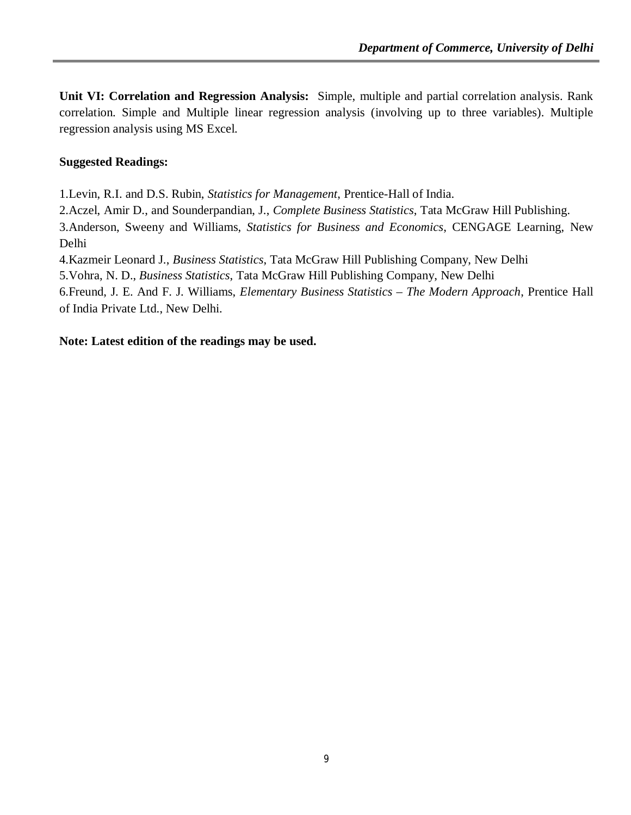**Unit VI: Correlation and Regression Analysis:** Simple, multiple and partial correlation analysis. Rank correlation. Simple and Multiple linear regression analysis (involving up to three variables). Multiple regression analysis using MS Excel.

## **Suggested Readings:**

1.Levin, R.I. and D.S. Rubin, *Statistics for Management*, Prentice-Hall of India.

2.Aczel, Amir D., and Sounderpandian, J., *Complete Business Statistics*, Tata McGraw Hill Publishing.

3.Anderson, Sweeny and Williams, *Statistics for Business and Economics*, CENGAGE Learning, New Delhi

4.Kazmeir Leonard J., *Business Statistics*, Tata McGraw Hill Publishing Company, New Delhi

5.Vohra, N. D., *Business Statistics*, Tata McGraw Hill Publishing Company, New Delhi

6.Freund, J. E. And F. J. Williams, *Elementary Business Statistics – The Modern Approach*, Prentice Hall of India Private Ltd., New Delhi.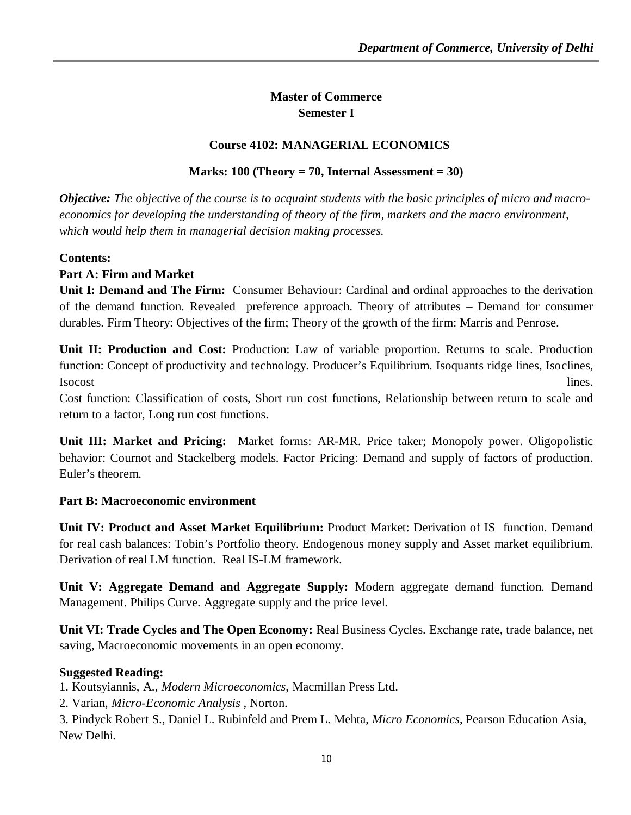## **Master of Commerce Semester I**

## **Course 4102: MANAGERIAL ECONOMICS**

## **Marks: 100 (Theory = 70, Internal Assessment = 30)**

*Objective: The objective of the course is to acquaint students with the basic principles of micro and macroeconomics for developing the understanding of theory of the firm, markets and the macro environment, which would help them in managerial decision making processes.*

## **Contents:**

## **Part A: Firm and Market**

**Unit I: Demand and The Firm:** Consumer Behaviour: Cardinal and ordinal approaches to the derivation of the demand function. Revealed preference approach. Theory of attributes – Demand for consumer durables. Firm Theory: Objectives of the firm; Theory of the growth of the firm: Marris and Penrose.

**Unit II: Production and Cost:** Production: Law of variable proportion. Returns to scale. Production function: Concept of productivity and technology. Producer's Equilibrium. Isoquants ridge lines, Isoclines, Isocost lines.

Cost function: Classification of costs, Short run cost functions, Relationship between return to scale and return to a factor, Long run cost functions.

**Unit III: Market and Pricing:** Market forms: AR-MR. Price taker; Monopoly power. Oligopolistic behavior: Cournot and Stackelberg models. Factor Pricing: Demand and supply of factors of production. Euler's theorem.

## **Part B: Macroeconomic environment**

**Unit IV: Product and Asset Market Equilibrium:** Product Market: Derivation of IS function. Demand for real cash balances: Tobin's Portfolio theory. Endogenous money supply and Asset market equilibrium. Derivation of real LM function. Real IS-LM framework.

**Unit V: Aggregate Demand and Aggregate Supply:** Modern aggregate demand function. Demand Management. Philips Curve. Aggregate supply and the price level.

**Unit VI: Trade Cycles and The Open Economy:** Real Business Cycles. Exchange rate, trade balance, net saving, Macroeconomic movements in an open economy.

## **Suggested Reading:**

1. Koutsyiannis, A., *Modern Microeconomics*, Macmillan Press Ltd.

2. Varian, *Micro-Economic Analysis* , Norton.

3. Pindyck Robert S., Daniel L. Rubinfeld and Prem L. Mehta, *Micro Economics*, Pearson Education Asia, New Delhi.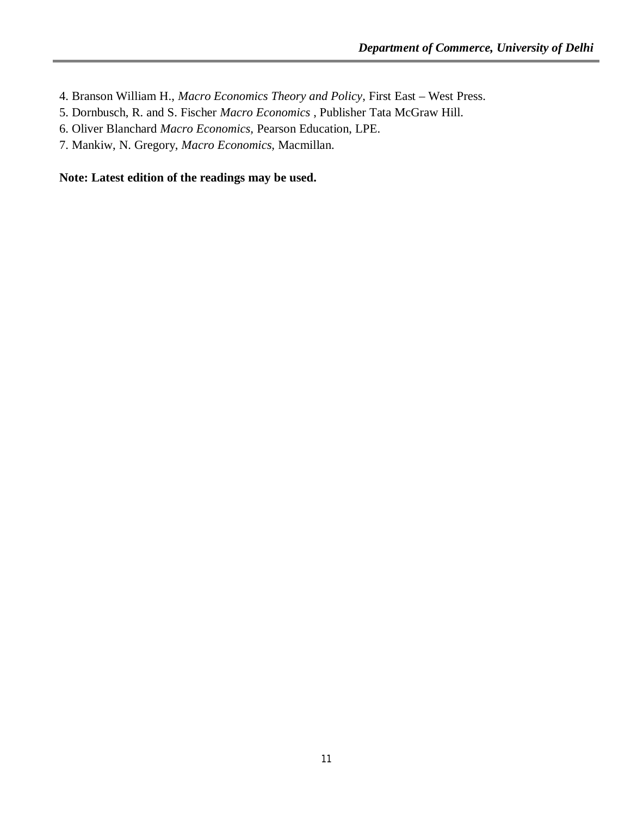- 4. Branson William H., *Macro Economics Theory and Policy*, First East West Press.
- 5. Dornbusch, R. and S. Fischer *Macro Economics* , Publisher Tata McGraw Hill.
- 6. Oliver Blanchard *Macro Economics,* Pearson Education, LPE.
- 7. Mankiw, N. Gregory, *Macro Economics,* Macmillan.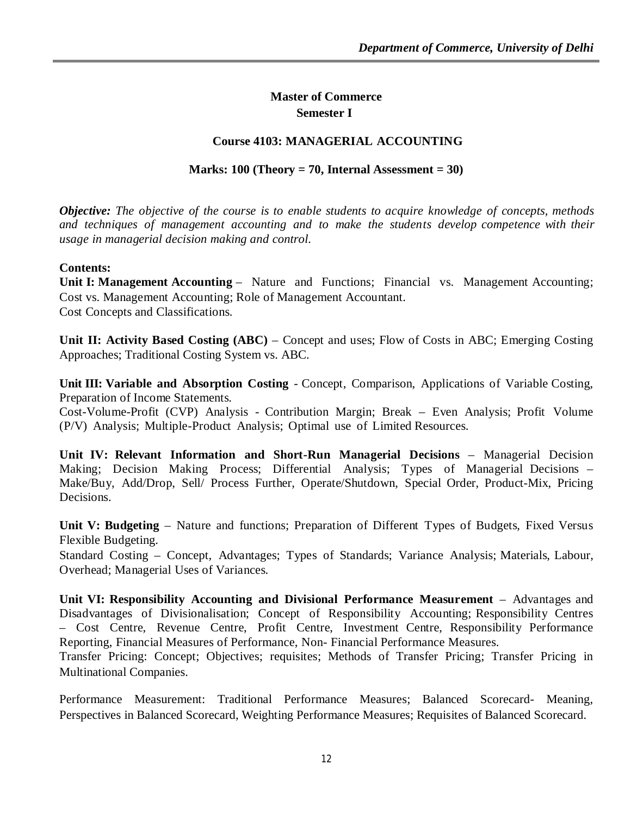## **Master of Commerce Semester I**

## **Course 4103: MANAGERIAL ACCOUNTING**

## **Marks: 100 (Theory = 70, Internal Assessment = 30)**

*Objective: The objective of the course is to enable students to acquire knowledge of concepts, methods and techniques of management accounting and to make the students develop competence with their usage in managerial decision making and control.*

#### **Contents:**

**Unit I: Management Accounting** – Nature and Functions; Financial vs. Management Accounting; Cost vs. Management Accounting; Role of Management Accountant. Cost Concepts and Classifications.

**Unit II: Activity Based Costing (ABC)** – Concept and uses; Flow of Costs in ABC; Emerging Costing Approaches; Traditional Costing System vs. ABC.

**Unit III: Variable and Absorption Costing** - Concept, Comparison, Applications of Variable Costing, Preparation of Income Statements.

Cost-Volume-Profit (CVP) Analysis - Contribution Margin; Break – Even Analysis; Profit Volume (P/V) Analysis; Multiple-Product Analysis; Optimal use of Limited Resources.

**Unit IV: Relevant Information and Short-Run Managerial Decisions** – Managerial Decision Making; Decision Making Process; Differential Analysis; Types of Managerial Decisions – Make/Buy, Add/Drop, Sell/ Process Further, Operate/Shutdown, Special Order, Product-Mix, Pricing Decisions.

**Unit V: Budgeting** – Nature and functions; Preparation of Different Types of Budgets, Fixed Versus Flexible Budgeting.

Standard Costing – Concept, Advantages; Types of Standards; Variance Analysis; Materials, Labour, Overhead; Managerial Uses of Variances.

**Unit VI: Responsibility Accounting and Divisional Performance Measurement** – Advantages and Disadvantages of Divisionalisation; Concept of Responsibility Accounting; Responsibility Centres – Cost Centre, Revenue Centre, Profit Centre, Investment Centre, Responsibility Performance Reporting, Financial Measures of Performance, Non- Financial Performance Measures.

Transfer Pricing: Concept; Objectives; requisites; Methods of Transfer Pricing; Transfer Pricing in Multinational Companies.

Performance Measurement: Traditional Performance Measures; Balanced Scorecard- Meaning, Perspectives in Balanced Scorecard, Weighting Performance Measures; Requisites of Balanced Scorecard.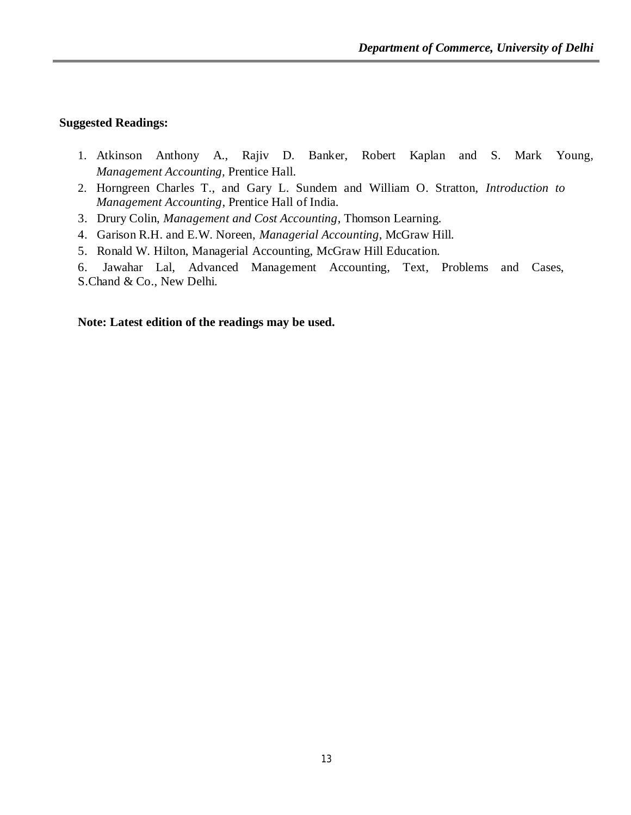#### **Suggested Readings:**

- 1. Atkinson Anthony A., Rajiv D. Banker, Robert Kaplan and S. Mark Young*, Management Accounting,* Prentice Hall.
- 2. Horngreen Charles T., and Gary L. Sundem and William O. Stratton, *Introduction to Management Accounting*, Prentice Hall of India.
- 3. Drury Colin, *Management and Cost Accounting*, Thomson Learning.
- 4. Garison R.H. and E.W. Noreen, *Managerial Accounting*, McGraw Hill.
- 5. Ronald W. Hilton, Managerial Accounting, McGraw Hill Education.
- 6. Jawahar Lal, Advanced Management Accounting, Text, Problems and Cases, S.Chand & Co., New Delhi.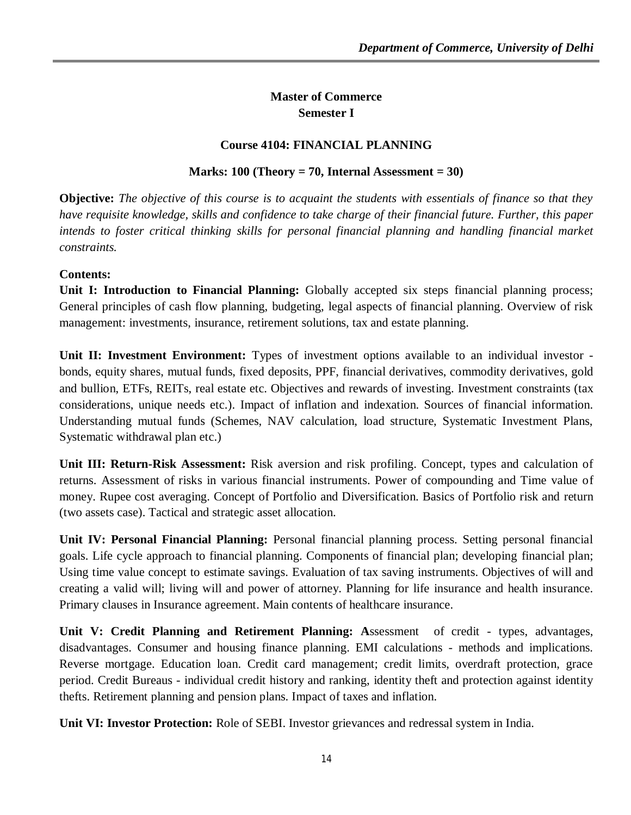## **Master of Commerce Semester I**

## **Course 4104: FINANCIAL PLANNING**

## **Marks: 100 (Theory = 70, Internal Assessment = 30)**

**Objective:** *The objective of this course is to acquaint the students with essentials of finance so that they have requisite knowledge, skills and confidence to take charge of their financial future. Further, this paper intends to foster critical thinking skills for personal financial planning and handling financial market constraints.*

#### **Contents:**

**Unit I: Introduction to Financial Planning:** Globally accepted six steps financial planning process; General principles of cash flow planning, budgeting, legal aspects of financial planning. Overview of risk management: investments, insurance, retirement solutions, tax and estate planning.

Unit II: Investment Environment: Types of investment options available to an individual investor bonds, equity shares, mutual funds, fixed deposits, PPF, financial derivatives, commodity derivatives, gold and bullion, ETFs, REITs, real estate etc. Objectives and rewards of investing. Investment constraints (tax considerations, unique needs etc.). Impact of inflation and indexation. Sources of financial information. Understanding mutual funds (Schemes, NAV calculation, load structure, Systematic Investment Plans, Systematic withdrawal plan etc.)

**Unit III: Return-Risk Assessment:** Risk aversion and risk profiling. Concept, types and calculation of returns. Assessment of risks in various financial instruments. Power of compounding and Time value of money. Rupee cost averaging. Concept of Portfolio and Diversification. Basics of Portfolio risk and return (two assets case). Tactical and strategic asset allocation.

**Unit IV: Personal Financial Planning:** Personal financial planning process. Setting personal financial goals. Life cycle approach to financial planning. Components of financial plan; developing financial plan; Using time value concept to estimate savings. Evaluation of tax saving instruments. Objectives of will and creating a valid will; living will and power of attorney. Planning for life insurance and health insurance. Primary clauses in Insurance agreement. Main contents of healthcare insurance.

**Unit V: Credit Planning and Retirement Planning: A**ssessment of credit - types, advantages, disadvantages. Consumer and housing finance planning. EMI calculations - methods and implications. Reverse mortgage. Education loan. Credit card management; credit limits, overdraft protection, grace period. Credit Bureaus - individual credit history and ranking, identity theft and protection against identity thefts. Retirement planning and pension plans. Impact of taxes and inflation.

**Unit VI: Investor Protection:** Role of SEBI. Investor grievances and redressal system in India.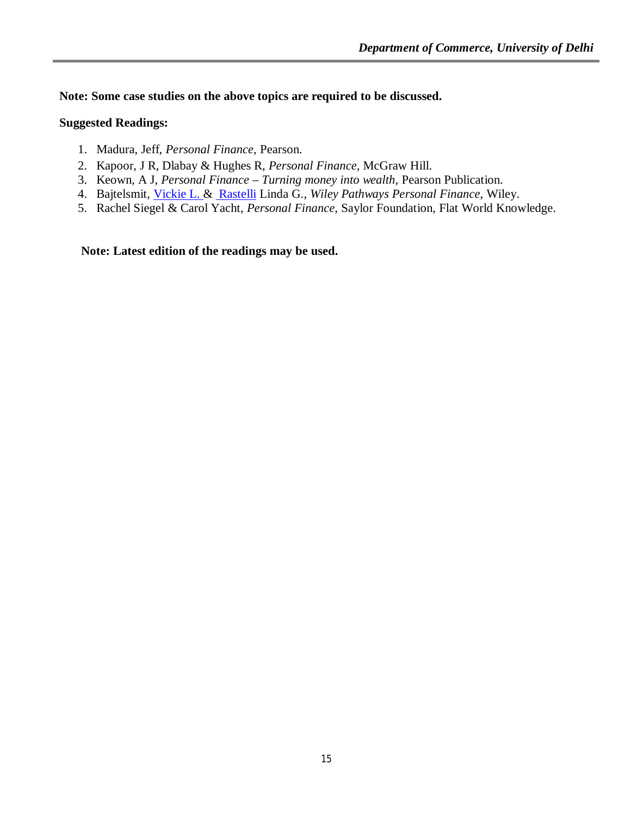**Note: Some case studies on the above topics are required to be discussed.** 

## **Suggested Readings:**

- 1. Madura, Jeff, *Personal Finance,* Pearson.
- 2. Kapoor, J R, Dlabay & Hughes R, *Personal Finance,* McGraw Hill.
- 3. Keown, A J, *Personal Finance – Turning money into wealth,* Pearson Publication.
- 4. Bajtelsmit, Vickie L. & Rastelli Linda G., Wiley Pathways Personal Finance, Wiley.
- 5. Rachel Siegel & Carol Yacht, *Personal Finance,* Saylor Foundation, Flat World Knowledge.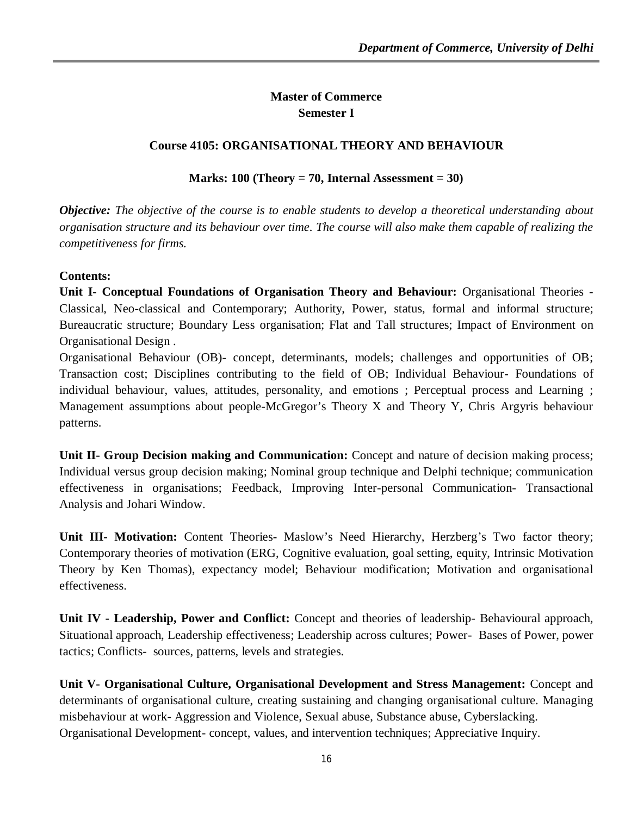## **Master of Commerce Semester I**

## **Course 4105: ORGANISATIONAL THEORY AND BEHAVIOUR**

## **Marks: 100 (Theory = 70, Internal Assessment = 30)**

*Objective: The objective of the course is to enable students to develop a theoretical understanding about organisation structure and its behaviour over time. The course will also make them capable of realizing the competitiveness for firms.* 

#### **Contents:**

**Unit I- Conceptual Foundations of Organisation Theory and Behaviour:** Organisational Theories - Classical, Neo-classical and Contemporary; Authority, Power, status, formal and informal structure; Bureaucratic structure; Boundary Less organisation; Flat and Tall structures; Impact of Environment on Organisational Design .

Organisational Behaviour (OB)- concept, determinants, models; challenges and opportunities of OB; Transaction cost; Disciplines contributing to the field of OB; Individual Behaviour- Foundations of individual behaviour, values, attitudes, personality, and emotions ; Perceptual process and Learning ; Management assumptions about people-McGregor's Theory X and Theory Y, Chris Argyris behaviour patterns.

**Unit II- Group Decision making and Communication:** Concept and nature of decision making process; Individual versus group decision making; Nominal group technique and Delphi technique; communication effectiveness in organisations; Feedback, Improving Inter-personal Communication- Transactional Analysis and Johari Window.

**Unit III- Motivation:** Content Theories**-** Maslow's Need Hierarchy, Herzberg's Two factor theory; Contemporary theories of motivation (ERG, Cognitive evaluation, goal setting, equity, Intrinsic Motivation Theory by Ken Thomas), expectancy model; Behaviour modification; Motivation and organisational effectiveness.

**Unit IV - Leadership, Power and Conflict:** Concept and theories of leadership- Behavioural approach, Situational approach, Leadership effectiveness; Leadership across cultures; Power- Bases of Power, power tactics; Conflicts- sources, patterns, levels and strategies.

**Unit V- Organisational Culture, Organisational Development and Stress Management:** Concept and determinants of organisational culture, creating sustaining and changing organisational culture. Managing misbehaviour at work- Aggression and Violence, Sexual abuse, Substance abuse, Cyberslacking. Organisational Development- concept, values, and intervention techniques; Appreciative Inquiry.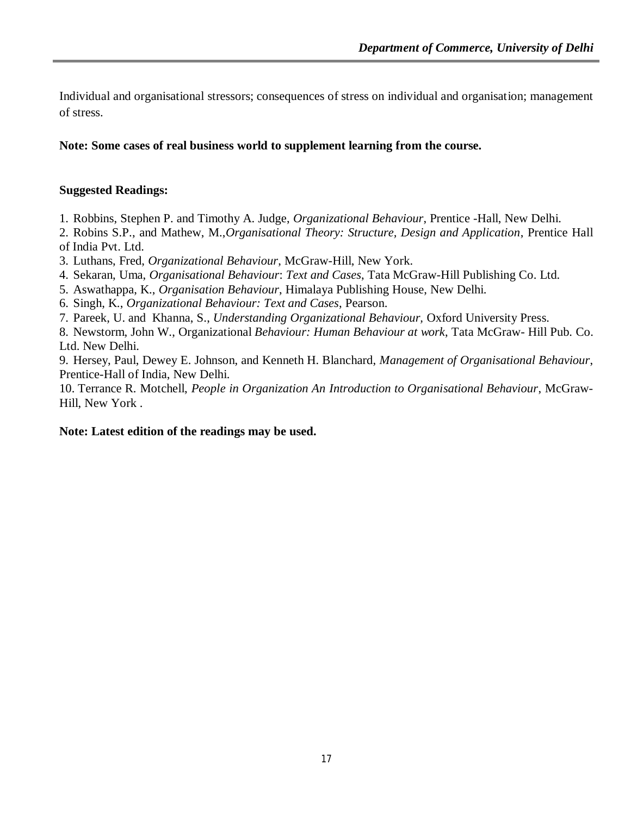Individual and organisational stressors; consequences of stress on individual and organisation; management of stress.

#### **Note: Some cases of real business world to supplement learning from the course.**

#### **Suggested Readings:**

1. Robbins, Stephen P. and Timothy A. Judge, *Organizational Behaviour*, Prentice -Hall, New Delhi.

2. Robins S.P., and Mathew, M.,*Organisational Theory: Structure, Design and Application*, Prentice Hall of India Pvt. Ltd.

3. Luthans, Fred, *Organizational Behaviour*, McGraw-Hill, New York.

4. Sekaran, Uma, *Organisational Behaviour*: *Text and Cases*, Tata McGraw-Hill Publishing Co. Ltd.

5. Aswathappa, K., *Organisation Behaviour*, Himalaya Publishing House, New Delhi.

6. Singh, K., *Organizational Behaviour: Text and Cases*, Pearson.

7. Pareek, U. and Khanna, S., *Understanding Organizational Behaviour,* Oxford University Press.

8. Newstorm, John W., Organizational *Behaviour: Human Behaviour at work*, Tata McGraw- Hill Pub. Co. Ltd. New Delhi.

9. Hersey, Paul, Dewey E. Johnson, and Kenneth H. Blanchard, *Management of Organisational Behaviour*, Prentice-Hall of India, New Delhi.

10. Terrance R. Motchell, *People in Organization An Introduction to Organisational Behaviour*, McGraw-Hill, New York .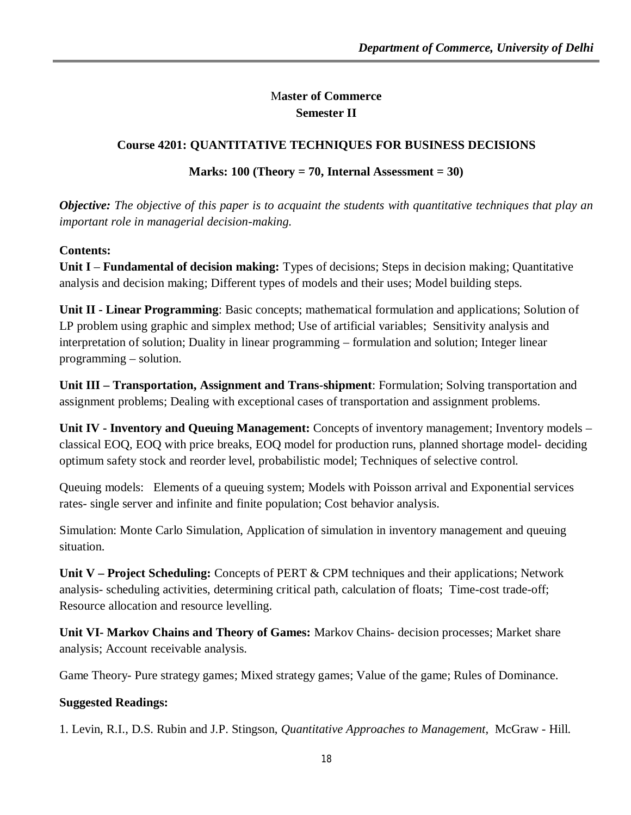## M**aster of Commerce Semester II**

## **Course 4201: QUANTITATIVE TECHNIQUES FOR BUSINESS DECISIONS**

## **Marks: 100 (Theory = 70, Internal Assessment = 30)**

*Objective: The objective of this paper is to acquaint the students with quantitative techniques that play an important role in managerial decision-making.*

## **Contents:**

**Unit I** – **Fundamental of decision making:** Types of decisions; Steps in decision making; Quantitative analysis and decision making; Different types of models and their uses; Model building steps.

**Unit II - Linear Programming**: Basic concepts; mathematical formulation and applications; Solution of LP problem using graphic and simplex method; Use of artificial variables; Sensitivity analysis and interpretation of solution; Duality in linear programming – formulation and solution; Integer linear programming – solution.

**Unit III – Transportation, Assignment and Trans-shipment**: Formulation; Solving transportation and assignment problems; Dealing with exceptional cases of transportation and assignment problems.

**Unit IV - Inventory and Queuing Management:** Concepts of inventory management; Inventory models – classical EOQ, EOQ with price breaks, EOQ model for production runs, planned shortage model- deciding optimum safety stock and reorder level, probabilistic model; Techniques of selective control.

Queuing models: Elements of a queuing system; Models with Poisson arrival and Exponential services rates- single server and infinite and finite population; Cost behavior analysis.

Simulation: Monte Carlo Simulation, Application of simulation in inventory management and queuing situation.

**Unit V – Project Scheduling:** Concepts of PERT & CPM techniques and their applications; Network analysis- scheduling activities, determining critical path, calculation of floats; Time-cost trade-off; Resource allocation and resource levelling.

**Unit VI- Markov Chains and Theory of Games:** Markov Chains- decision processes; Market share analysis; Account receivable analysis.

Game Theory- Pure strategy games; Mixed strategy games; Value of the game; Rules of Dominance.

## **Suggested Readings:**

1. Levin, R.I., D.S. Rubin and J.P. Stingson, *Quantitative Approaches to Management*, McGraw - Hill.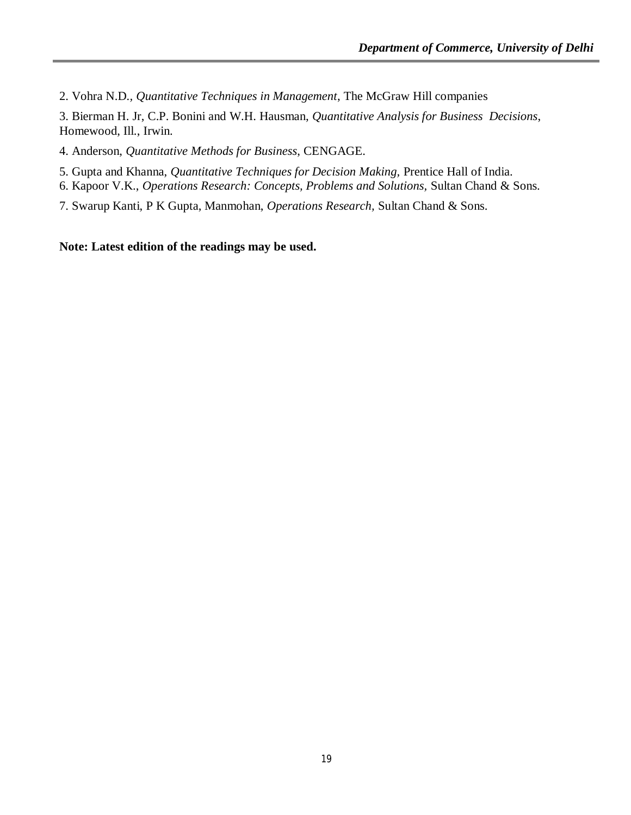2. Vohra N.D*., Quantitative Techniques in Management*, The McGraw Hill companies

3. Bierman H. Jr, C.P. Bonini and W.H. Hausman, *Quantitative Analysis for Business Decisions*, Homewood, Ill., Irwin.

4. Anderson, *Quantitative Methods for Business*, CENGAGE.

5. Gupta and Khanna, *Quantitative Techniques for Decision Making,* Prentice Hall of India.

6. Kapoor V.K., *Operations Research: Concepts, Problems and Solutions,* Sultan Chand & Sons.

7. Swarup Kanti, P K Gupta, Manmohan, *Operations Research,* Sultan Chand & Sons.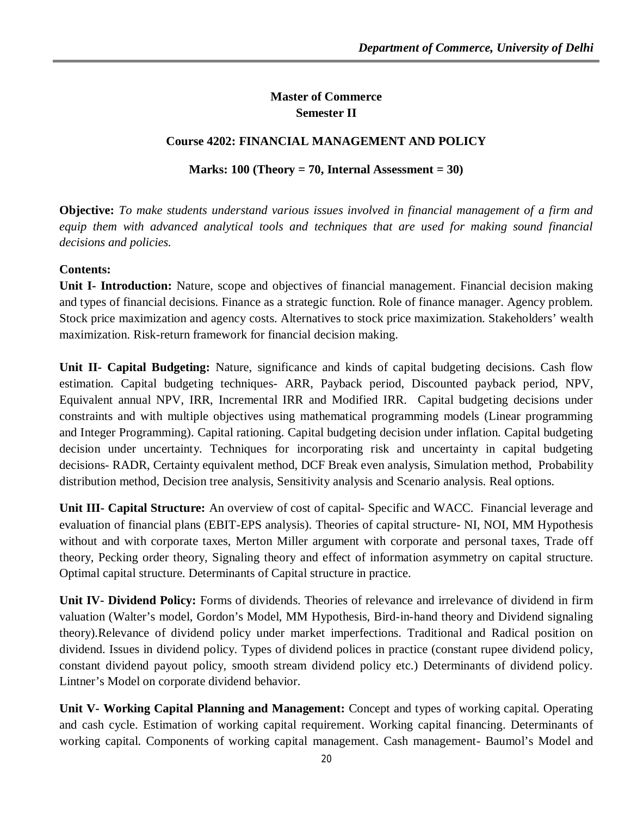## **Master of Commerce Semester II**

## **Course 4202: FINANCIAL MANAGEMENT AND POLICY**

## **Marks: 100 (Theory = 70, Internal Assessment = 30)**

**Objective:** *To make students understand various issues involved in financial management of a firm and equip them with advanced analytical tools and techniques that are used for making sound financial decisions and policies.*

## **Contents:**

**Unit I- Introduction:** Nature, scope and objectives of financial management. Financial decision making and types of financial decisions. Finance as a strategic function. Role of finance manager. Agency problem. Stock price maximization and agency costs. Alternatives to stock price maximization. Stakeholders' wealth maximization. Risk-return framework for financial decision making.

**Unit II- Capital Budgeting:** Nature, significance and kinds of capital budgeting decisions. Cash flow estimation. Capital budgeting techniques- ARR, Payback period, Discounted payback period, NPV, Equivalent annual NPV, IRR, Incremental IRR and Modified IRR. Capital budgeting decisions under constraints and with multiple objectives using mathematical programming models (Linear programming and Integer Programming). Capital rationing. Capital budgeting decision under inflation. Capital budgeting decision under uncertainty. Techniques for incorporating risk and uncertainty in capital budgeting decisions- RADR, Certainty equivalent method, DCF Break even analysis, Simulation method, Probability distribution method, Decision tree analysis, Sensitivity analysis and Scenario analysis. Real options.

**Unit III- Capital Structure:** An overview of cost of capital- Specific and WACC. Financial leverage and evaluation of financial plans (EBIT-EPS analysis). Theories of capital structure- NI, NOI, MM Hypothesis without and with corporate taxes, Merton Miller argument with corporate and personal taxes, Trade off theory, Pecking order theory, Signaling theory and effect of information asymmetry on capital structure. Optimal capital structure. Determinants of Capital structure in practice.

**Unit IV- Dividend Policy:** Forms of dividends. Theories of relevance and irrelevance of dividend in firm valuation (Walter's model, Gordon's Model, MM Hypothesis, Bird-in-hand theory and Dividend signaling theory).Relevance of dividend policy under market imperfections. Traditional and Radical position on dividend. Issues in dividend policy. Types of dividend polices in practice (constant rupee dividend policy, constant dividend payout policy, smooth stream dividend policy etc.) Determinants of dividend policy. Lintner's Model on corporate dividend behavior.

**Unit V- Working Capital Planning and Management:** Concept and types of working capital. Operating and cash cycle. Estimation of working capital requirement. Working capital financing. Determinants of working capital. Components of working capital management. Cash management- Baumol's Model and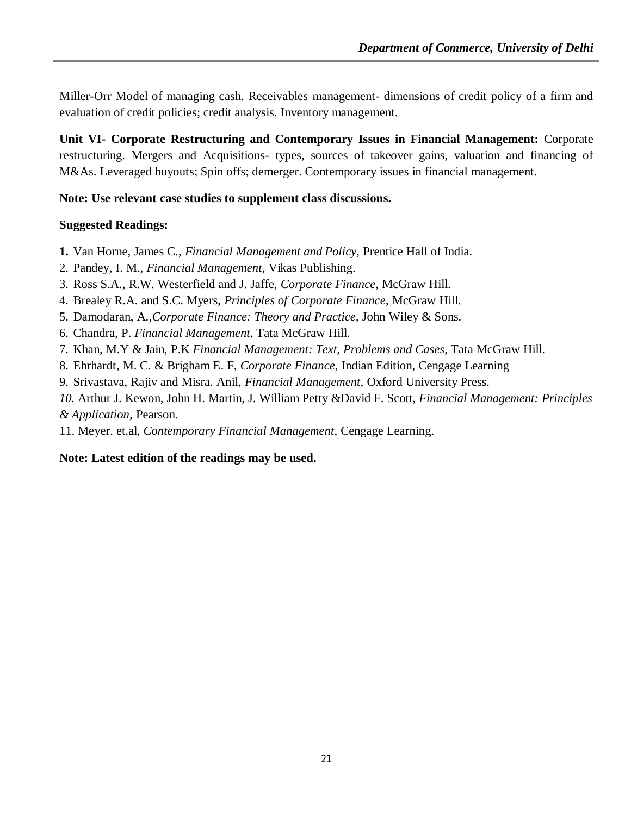Miller-Orr Model of managing cash. Receivables management- dimensions of credit policy of a firm and evaluation of credit policies; credit analysis. Inventory management.

**Unit VI- Corporate Restructuring and Contemporary Issues in Financial Management:** Corporate restructuring. Mergers and Acquisitions- types, sources of takeover gains, valuation and financing of M&As. Leveraged buyouts; Spin offs; demerger. Contemporary issues in financial management.

**Note: Use relevant case studies to supplement class discussions.**

## **Suggested Readings:**

- **1.** Van Horne, James C., *Financial Management and Policy*, Prentice Hall of India.
- 2. Pandey, I. M., *Financial Management,* Vikas Publishing.
- 3. Ross S.A., R.W. Westerfield and J. Jaffe, *Corporate Finance*, McGraw Hill.
- 4. Brealey R.A. and S.C. Myers, *Principles of Corporate Finance*, McGraw Hill.
- 5. Damodaran, A.,*Corporate Finance: Theory and Practice,* John Wiley & Sons.
- 6. Chandra, P. *Financial Management*, Tata McGraw Hill.
- 7. Khan, M.Y & Jain, P.K *Financial Management: Text, Problems and Cases*, Tata McGraw Hill.
- 8. Ehrhardt, M. C. & Brigham E. F, *Corporate Finance*, Indian Edition, Cengage Learning
- 9. Srivastava, Rajiv and Misra. Anil, *Financial Management,* Oxford University Press.

*10.* Arthur J. Kewon, John H. Martin, J. William Petty &David F. Scott, *Financial Management: Principles & Application,* Pearson.

11. Meyer. et.al, *Contemporary Financial Management*, Cengage Learning.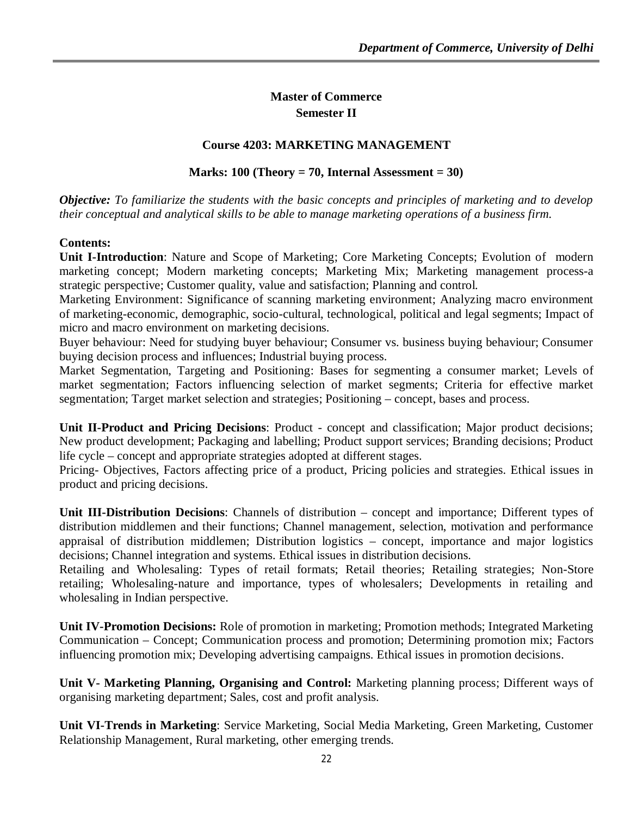## **Master of Commerce Semester II**

## **Course 4203: MARKETING MANAGEMENT**

#### **Marks: 100 (Theory = 70, Internal Assessment = 30)**

*Objective: To familiarize the students with the basic concepts and principles of marketing and to develop their conceptual and analytical skills to be able to manage marketing operations of a business firm.*

#### **Contents:**

**Unit I-Introduction**: Nature and Scope of Marketing; Core Marketing Concepts; Evolution of modern marketing concept; Modern marketing concepts; Marketing Mix; Marketing management process-a strategic perspective; Customer quality, value and satisfaction; Planning and control.

Marketing Environment: Significance of scanning marketing environment; Analyzing macro environment of marketing-economic, demographic, socio-cultural, technological, political and legal segments; Impact of micro and macro environment on marketing decisions.

Buyer behaviour: Need for studying buyer behaviour; Consumer vs. business buying behaviour; Consumer buying decision process and influences; Industrial buying process.

Market Segmentation, Targeting and Positioning: Bases for segmenting a consumer market; Levels of market segmentation; Factors influencing selection of market segments; Criteria for effective market segmentation; Target market selection and strategies; Positioning – concept, bases and process.

**Unit II-Product and Pricing Decisions**: Product - concept and classification; Major product decisions; New product development; Packaging and labelling; Product support services; Branding decisions; Product life cycle – concept and appropriate strategies adopted at different stages.

Pricing- Objectives, Factors affecting price of a product, Pricing policies and strategies. Ethical issues in product and pricing decisions.

**Unit III-Distribution Decisions**: Channels of distribution – concept and importance; Different types of distribution middlemen and their functions; Channel management, selection, motivation and performance appraisal of distribution middlemen; Distribution logistics – concept, importance and major logistics decisions; Channel integration and systems. Ethical issues in distribution decisions.

Retailing and Wholesaling: Types of retail formats; Retail theories; Retailing strategies; Non-Store retailing; Wholesaling-nature and importance, types of wholesalers; Developments in retailing and wholesaling in Indian perspective.

**Unit IV-Promotion Decisions:** Role of promotion in marketing; Promotion methods; Integrated Marketing Communication – Concept; Communication process and promotion; Determining promotion mix; Factors influencing promotion mix; Developing advertising campaigns. Ethical issues in promotion decisions.

**Unit V- Marketing Planning, Organising and Control:** Marketing planning process; Different ways of organising marketing department; Sales, cost and profit analysis.

**Unit VI-Trends in Marketing**: Service Marketing, Social Media Marketing, Green Marketing, Customer Relationship Management, Rural marketing, other emerging trends.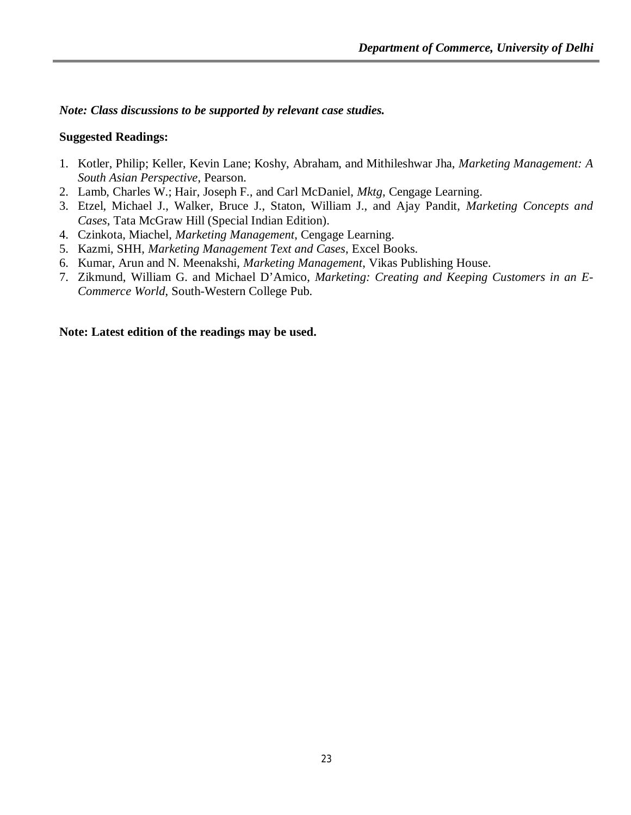*Note: Class discussions to be supported by relevant case studies.*

## **Suggested Readings:**

- 1. Kotler, Philip; Keller, Kevin Lane; Koshy, Abraham, and Mithileshwar Jha, *Marketing Management: A South Asian Perspective*, Pearson.
- 2. Lamb, Charles W.; Hair, Joseph F., and Carl McDaniel, *Mktg*, Cengage Learning.
- 3. Etzel, Michael J., Walker, Bruce J., Staton, William J., and Ajay Pandit, *Marketing Concepts and Cases*, Tata McGraw Hill (Special Indian Edition).
- 4. Czinkota, Miachel, *Marketing Management*, Cengage Learning.
- 5. Kazmi, SHH, *Marketing Management Text and Cases*, Excel Books.
- 6. Kumar, Arun and N. Meenakshi, *Marketing Management*, Vikas Publishing House.
- 7. Zikmund, William G. and Michael D'Amico, *Marketing: Creating and Keeping Customers in an E-Commerce World*, South-Western College Pub.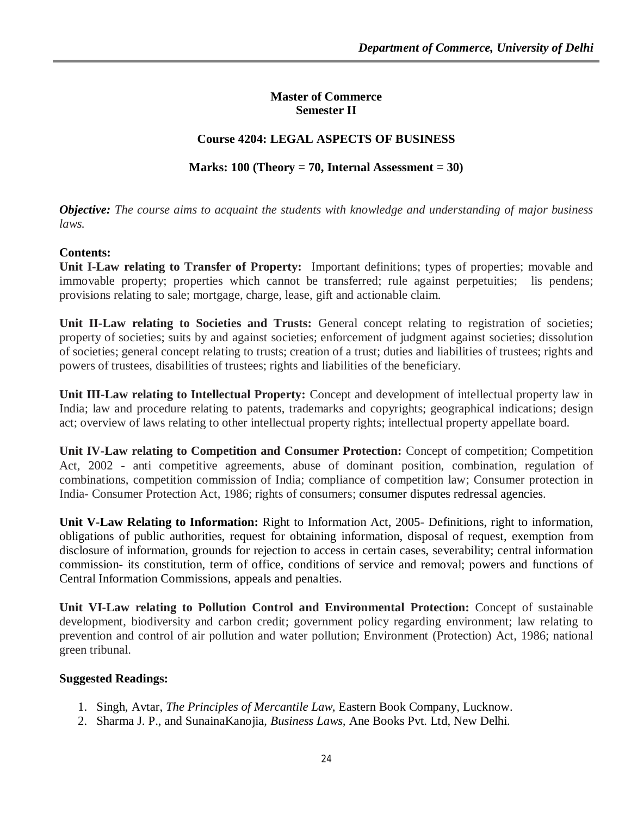#### **Master of Commerce Semester II**

## **Course 4204: LEGAL ASPECTS OF BUSINESS**

## **Marks: 100 (Theory = 70, Internal Assessment = 30)**

*Objective: The course aims to acquaint the students with knowledge and understanding of major business laws.*

## **Contents:**

**Unit I-Law relating to Transfer of Property:** Important definitions; types of properties; movable and immovable property; properties which cannot be transferred; rule against perpetuities; lis pendens; provisions relating to sale; mortgage, charge, lease, gift and actionable claim.

Unit II-Law relating to Societies and Trusts: General concept relating to registration of societies; property of societies; suits by and against societies; enforcement of judgment against societies; dissolution of societies; general concept relating to trusts; creation of a trust; duties and liabilities of trustees; rights and powers of trustees, disabilities of trustees; rights and liabilities of the beneficiary.

**Unit III-Law relating to Intellectual Property:** Concept and development of intellectual property law in India; law and procedure relating to patents, trademarks and copyrights; geographical indications; design act; overview of laws relating to other intellectual property rights; intellectual property appellate board.

**Unit IV-Law relating to Competition and Consumer Protection:** Concept of competition; Competition Act, 2002 - anti competitive agreements, abuse of dominant position, combination, regulation of combinations, competition commission of India; compliance of competition law; Consumer protection in India- Consumer Protection Act, 1986; rights of consumers; consumer disputes redressal agencies.

**Unit V-Law Relating to Information:** Right to Information Act, 2005- Definitions, right to information, obligations of public authorities, request for obtaining information, disposal of request, exemption from disclosure of information, grounds for rejection to access in certain cases, severability; central information commission- its constitution, term of office, conditions of service and removal; powers and functions of Central Information Commissions, appeals and penalties.

**Unit VI-Law relating to Pollution Control and Environmental Protection:** Concept of sustainable development, biodiversity and carbon credit; government policy regarding environment; law relating to prevention and control of air pollution and water pollution; Environment (Protection) Act, 1986; national green tribunal.

#### **Suggested Readings:**

- 1. Singh, Avtar, *The Principles of Mercantile Law*, Eastern Book Company, Lucknow.
- 2. Sharma J. P., and SunainaKanojia, *Business Laws,* Ane Books Pvt. Ltd, New Delhi.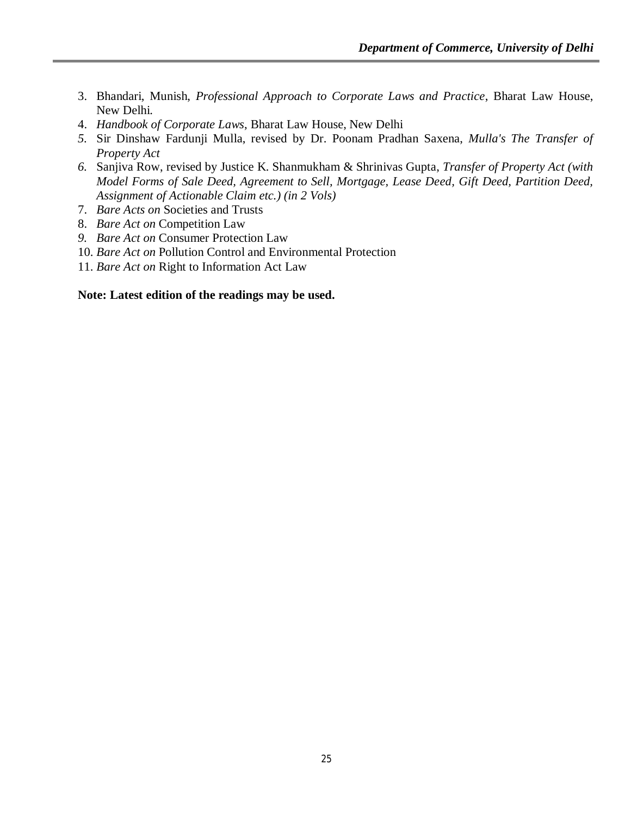- 3. Bhandari, Munish, *Professional Approach to Corporate Laws and Practice*, Bharat Law House, New Delhi.
- 4. *Handbook of Corporate Laws*, Bharat Law House, New Delhi
- *5.* Sir Dinshaw Fardunji Mulla, revised by Dr. Poonam Pradhan Saxena, *Mulla's The Transfer of Property Act*
- *6.* Sanjiva Row, revised by Justice K. Shanmukham & Shrinivas Gupta, *Transfer of Property Act (with Model Forms of Sale Deed, Agreement to Sell, Mortgage, Lease Deed, Gift Deed, Partition Deed, Assignment of Actionable Claim etc.) (in 2 Vols)*
- 7. *Bare Acts on* Societies and Trusts
- 8. *Bare Act on* Competition Law
- *9. Bare Act on* Consumer Protection Law
- 10. *Bare Act on* Pollution Control and Environmental Protection
- 11. *Bare Act on* Right to Information Act Law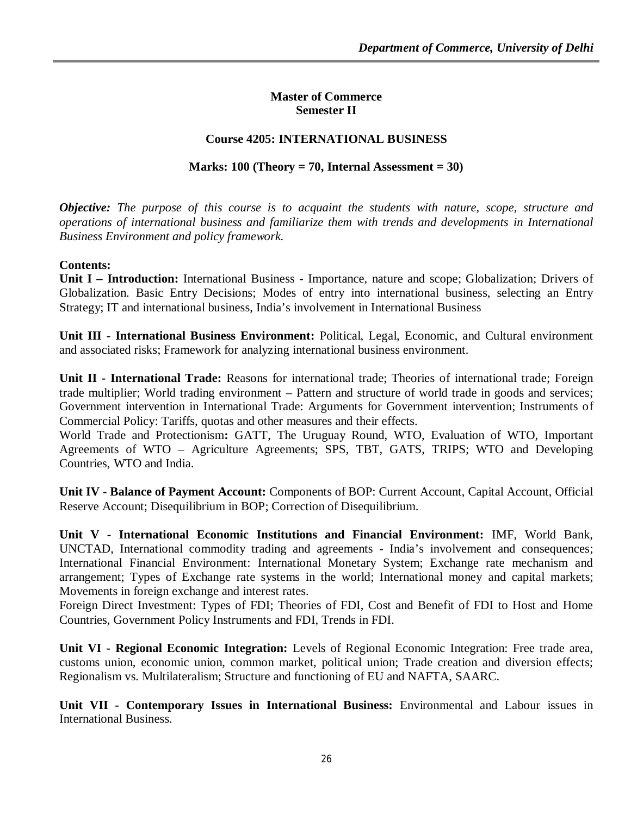#### **Master of Commerce Semester II**

## **Course 4205: INTERNATIONAL BUSINESS**

## **Marks: 100 (Theory = 70, Internal Assessment = 30)**

*Objective: The purpose of this course is to acquaint the students with nature, scope, structure and operations of international business and familiarize them with trends and developments in International Business Environment and policy framework.*

#### **Contents:**

**Unit I – Introduction:** International Business **-** Importance, nature and scope; Globalization; Drivers of Globalization. Basic Entry Decisions; Modes of entry into international business, selecting an Entry Strategy; IT and international business, India's involvement in International Business

**Unit III - International Business Environment:** Political, Legal, Economic, and Cultural environment and associated risks; Framework for analyzing international business environment.

**Unit II - International Trade:** Reasons for international trade; Theories of international trade; Foreign trade multiplier; World trading environment – Pattern and structure of world trade in goods and services; Government intervention in International Trade: Arguments for Government intervention; Instruments of Commercial Policy: Tariffs, quotas and other measures and their effects.

World Trade and Protectionism**:** GATT, The Uruguay Round, WTO, Evaluation of WTO, Important Agreements of WTO – Agriculture Agreements; SPS, TBT, GATS, TRIPS; WTO and Developing Countries, WTO and India.

**Unit IV - Balance of Payment Account:** Components of BOP: Current Account, Capital Account, Official Reserve Account; Disequilibrium in BOP; Correction of Disequilibrium.

**Unit V - International Economic Institutions and Financial Environment:** IMF, World Bank, UNCTAD, International commodity trading and agreements - India's involvement and consequences; International Financial Environment: International Monetary System; Exchange rate mechanism and arrangement; Types of Exchange rate systems in the world; International money and capital markets; Movements in foreign exchange and interest rates.

Foreign Direct Investment: Types of FDI; Theories of FDI, Cost and Benefit of FDI to Host and Home Countries, Government Policy Instruments and FDI, Trends in FDI.

**Unit VI - Regional Economic Integration:** Levels of Regional Economic Integration: Free trade area, customs union, economic union, common market, political union; Trade creation and diversion effects; Regionalism vs. Multilateralism; Structure and functioning of EU and NAFTA, SAARC.

**Unit VII - Contemporary Issues in International Business:** Environmental and Labour issues in International Business.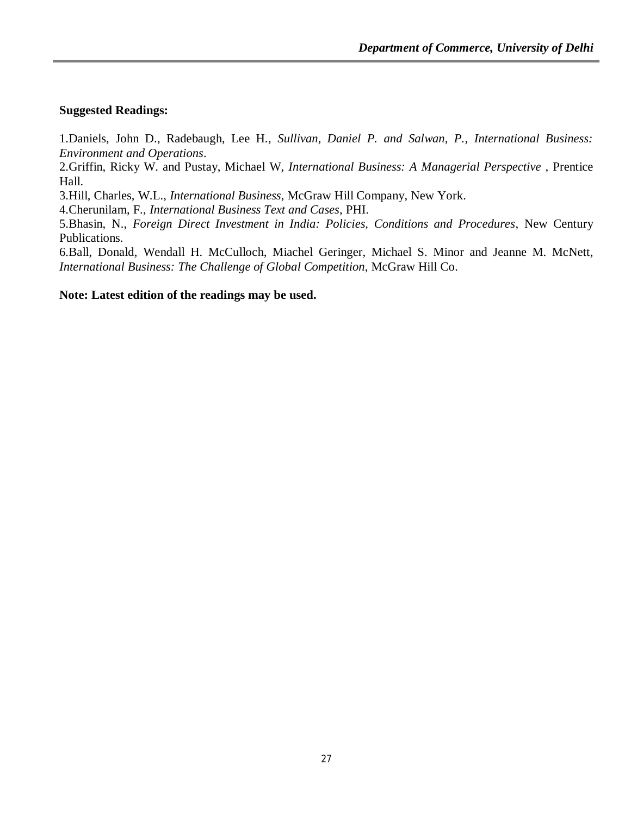#### **Suggested Readings:**

1.Daniels, John D., Radebaugh, Lee H*., Sullivan, Daniel P. and Salwan, P., International Business: Environment and Operations*.

2.Griffin, Ricky W. and Pustay, Michael W, *International Business: A Managerial Perspective* , Prentice Hall.

3.Hill, Charles, W.L., *International Business*, McGraw Hill Company, New York.

4.Cherunilam, F., *International Business Text and Cases*, PHI.

5.Bhasin, N., *Foreign Direct Investment in India: Policies, Conditions and Procedures*, New Century Publications.

6.Ball, Donald, Wendall H. McCulloch, Miachel Geringer, Michael S. Minor and Jeanne M. McNett, *International Business: The Challenge of Global Competition*, McGraw Hill Co.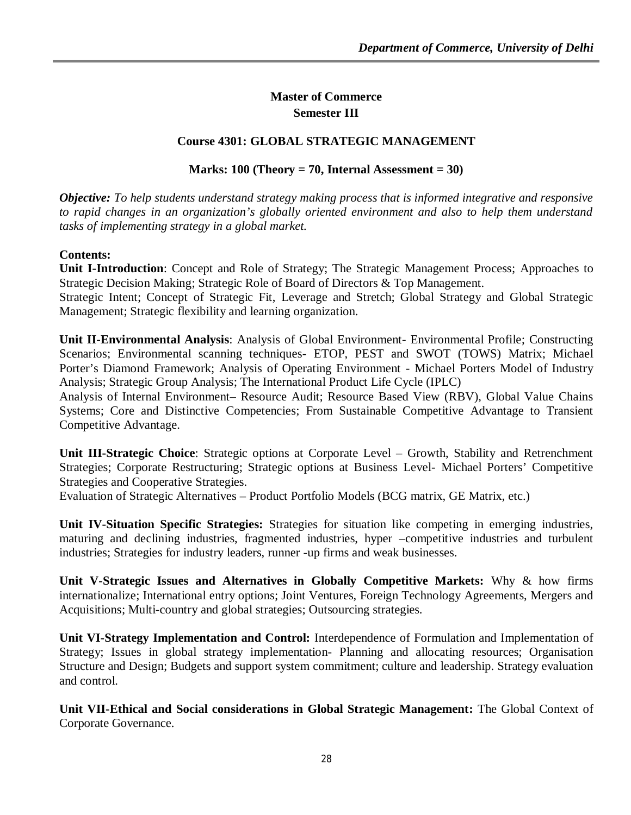## **Master of Commerce Semester III**

## **Course 4301: GLOBAL STRATEGIC MANAGEMENT**

## **Marks: 100 (Theory = 70, Internal Assessment = 30)**

*Objective: To help students understand strategy making process that is informed integrative and responsive to rapid changes in an organization's globally oriented environment and also to help them understand tasks of implementing strategy in a global market.* 

## **Contents:**

**Unit I-Introduction**: Concept and Role of Strategy; The Strategic Management Process; Approaches to Strategic Decision Making; Strategic Role of Board of Directors & Top Management.

Strategic Intent; Concept of Strategic Fit, Leverage and Stretch; Global Strategy and Global Strategic Management; Strategic flexibility and learning organization.

**Unit II-Environmental Analysis**: Analysis of Global Environment- Environmental Profile; Constructing Scenarios; Environmental scanning techniques- ETOP, PEST and SWOT (TOWS) Matrix; Michael Porter's Diamond Framework; Analysis of Operating Environment - Michael Porters Model of Industry Analysis; Strategic Group Analysis; The International Product Life Cycle (IPLC)

Analysis of Internal Environment– Resource Audit; Resource Based View (RBV), Global Value Chains Systems; Core and Distinctive Competencies; From Sustainable Competitive Advantage to Transient Competitive Advantage.

**Unit III-Strategic Choice**: Strategic options at Corporate Level – Growth, Stability and Retrenchment Strategies; Corporate Restructuring; Strategic options at Business Level- Michael Porters' Competitive Strategies and Cooperative Strategies.

Evaluation of Strategic Alternatives – Product Portfolio Models (BCG matrix, GE Matrix, etc.)

**Unit IV-Situation Specific Strategies:** Strategies for situation like competing in emerging industries, maturing and declining industries, fragmented industries, hyper –competitive industries and turbulent industries; Strategies for industry leaders, runner -up firms and weak businesses.

**Unit V-Strategic Issues and Alternatives in Globally Competitive Markets:** Why & how firms internationalize; International entry options; Joint Ventures, Foreign Technology Agreements, Mergers and Acquisitions; Multi-country and global strategies; Outsourcing strategies.

**Unit VI-Strategy Implementation and Control:** Interdependence of Formulation and Implementation of Strategy; Issues in global strategy implementation- Planning and allocating resources; Organisation Structure and Design; Budgets and support system commitment; culture and leadership. Strategy evaluation and control.

**Unit VII-Ethical and Social considerations in Global Strategic Management:** The Global Context of Corporate Governance.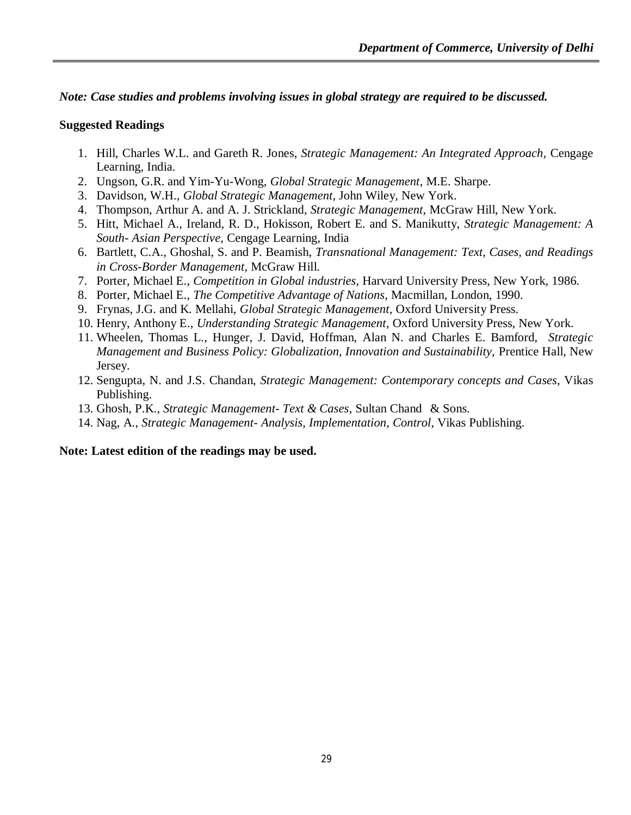## *Note: Case studies and problems involving issues in global strategy are required to be discussed.*

## **Suggested Readings**

- 1. Hill, Charles W.L. and Gareth R. Jones, *Strategic Management: An Integrated Approach,* Cengage Learning, India.
- 2. Ungson, G.R. and Yim-Yu-Wong, *Global Strategic Management*, M.E. Sharpe.
- 3. Davidson, W.H., *Global Strategic Management,* John Wiley, New York.
- 4. Thompson, Arthur A. and A. J. Strickland*, Strategic Management*, McGraw Hill, New York.
- 5. Hitt, Michael A., Ireland, R. D., Hokisson, Robert E. and S. Manikutty, *Strategic Management: A South- Asian Perspective*, Cengage Learning, India
- 6. Bartlett, C.A., Ghoshal, S. and P. Beamish, *Transnational Management: Text, Cases, and Readings in Cross-Border Management*, McGraw Hill.
- 7. Porter, Michael E., *Competition in Global industries*, Harvard University Press, New York, 1986.
- 8. Porter, Michael E., *The Competitive Advantage of Nations*, Macmillan, London, 1990.
- 9. Frynas, J.G. and K. Mellahi, *Global Strategic Management*, Oxford University Press.
- 10. Henry, Anthony E., *Understanding Strategic Management*, Oxford University Press, New York.
- 11. Wheelen, Thomas L., Hunger, J. David, Hoffman, Alan N. and Charles E. Bamford, *Strategic Management and Business Policy: Globalization, Innovation and Sustainability,* Prentice Hall, New Jersey.
- 12. Sengupta, N. and J.S. Chandan, *Strategic Management: Contemporary concepts and Cases*, Vikas Publishing.
- 13. Ghosh, P.K., *Strategic Management- Text & Cases*, Sultan Chand & Sons.
- 14. Nag, A., *Strategic Management- Analysis, Implementation, Control*, Vikas Publishing.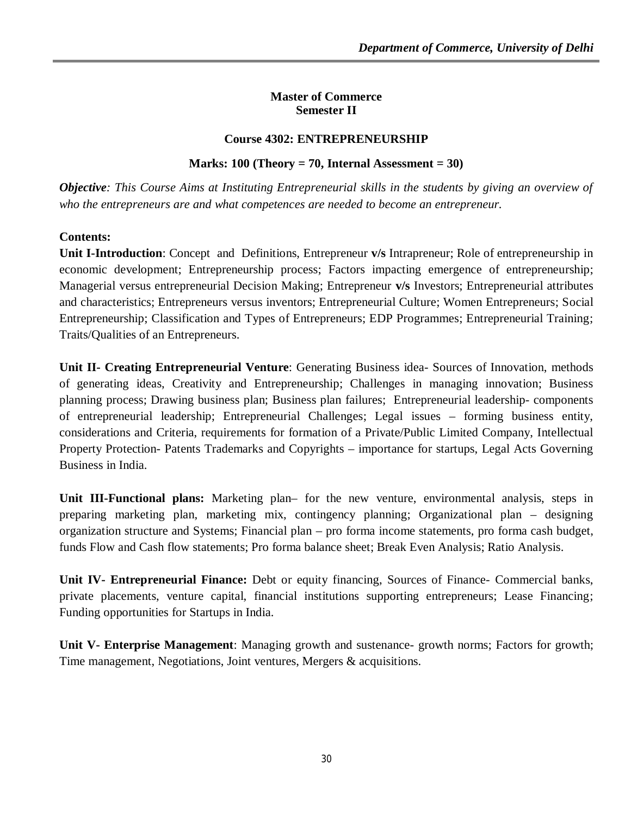#### **Master of Commerce Semester II**

## **Course 4302: ENTREPRENEURSHIP**

## **Marks: 100 (Theory = 70, Internal Assessment = 30)**

*Objective: This Course Aims at Instituting Entrepreneurial skills in the students by giving an overview of who the entrepreneurs are and what competences are needed to become an entrepreneur.*

## **Contents:**

**Unit I-Introduction**: Concept and Definitions, Entrepreneur **v/s** Intrapreneur; Role of entrepreneurship in economic development; Entrepreneurship process; Factors impacting emergence of entrepreneurship; Managerial versus entrepreneurial Decision Making; Entrepreneur **v/s** Investors; Entrepreneurial attributes and characteristics; Entrepreneurs versus inventors; Entrepreneurial Culture; Women Entrepreneurs; Social Entrepreneurship; Classification and Types of Entrepreneurs; EDP Programmes; Entrepreneurial Training; Traits/Qualities of an Entrepreneurs.

**Unit II- Creating Entrepreneurial Venture**: Generating Business idea- Sources of Innovation, methods of generating ideas, Creativity and Entrepreneurship; Challenges in managing innovation; Business planning process; Drawing business plan; Business plan failures; Entrepreneurial leadership- components of entrepreneurial leadership; Entrepreneurial Challenges; Legal issues – forming business entity, considerations and Criteria, requirements for formation of a Private/Public Limited Company, Intellectual Property Protection- Patents Trademarks and Copyrights – importance for startups, Legal Acts Governing Business in India.

**Unit III-Functional plans:** Marketing plan– for the new venture, environmental analysis, steps in preparing marketing plan, marketing mix, contingency planning; Organizational plan – designing organization structure and Systems; Financial plan – pro forma income statements, pro forma cash budget, funds Flow and Cash flow statements; Pro forma balance sheet; Break Even Analysis; Ratio Analysis.

**Unit IV- Entrepreneurial Finance:** Debt or equity financing, Sources of Finance- Commercial banks, private placements, venture capital, financial institutions supporting entrepreneurs; Lease Financing; Funding opportunities for Startups in India.

**Unit V- Enterprise Management**: Managing growth and sustenance- growth norms; Factors for growth; Time management, Negotiations, Joint ventures, Mergers & acquisitions.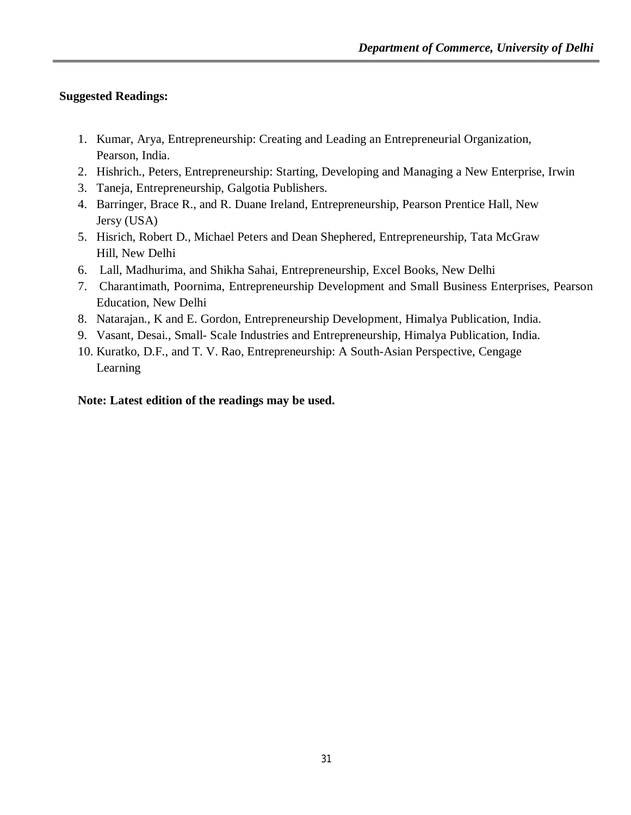## **Suggested Readings:**

- 1. Kumar, Arya, Entrepreneurship: Creating and Leading an Entrepreneurial Organization, Pearson, India.
- 2. Hishrich., Peters, Entrepreneurship: Starting, Developing and Managing a New Enterprise, Irwin
- 3. Taneja, Entrepreneurship, Galgotia Publishers.
- 4. Barringer, Brace R., and R. Duane Ireland, Entrepreneurship, Pearson Prentice Hall, New Jersy (USA)
- 5. Hisrich, Robert D., Michael Peters and Dean Shephered, Entrepreneurship, Tata McGraw Hill, New Delhi
- 6. Lall, Madhurima, and Shikha Sahai, Entrepreneurship, Excel Books, New Delhi
- 7. Charantimath, Poornima, Entrepreneurship Development and Small Business Enterprises, Pearson Education, New Delhi
- 8. Natarajan., K and E. Gordon, Entrepreneurship Development, Himalya Publication, India.
- 9. Vasant, Desai., Small- Scale Industries and Entrepreneurship, Himalya Publication, India.
- 10. Kuratko, D.F., and T. V. Rao, Entrepreneurship: A South-Asian Perspective, Cengage Learning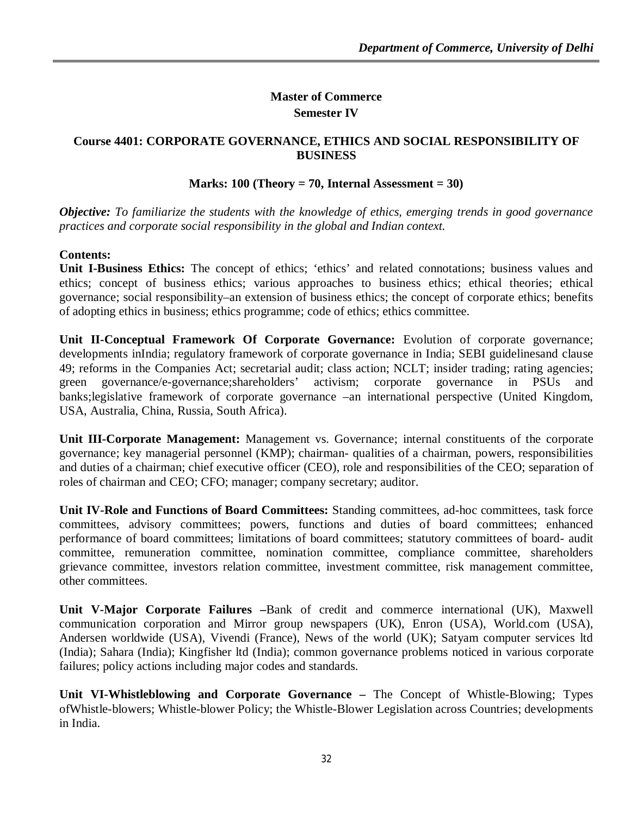## **Master of Commerce Semester IV**

## **Course 4401: CORPORATE GOVERNANCE, ETHICS AND SOCIAL RESPONSIBILITY OF BUSINESS**

## **Marks: 100 (Theory = 70, Internal Assessment = 30)**

*Objective: To familiarize the students with the knowledge of ethics, emerging trends in good governance practices and corporate social responsibility in the global and Indian context.*

## **Contents:**

**Unit I-Business Ethics:** The concept of ethics; 'ethics' and related connotations; business values and ethics; concept of business ethics; various approaches to business ethics; ethical theories; ethical governance; social responsibility–an extension of business ethics; the concept of corporate ethics; benefits of adopting ethics in business; ethics programme; code of ethics; ethics committee.

**Unit II-Conceptual Framework Of Corporate Governance:** Evolution of corporate governance; developments inIndia; regulatory framework of corporate governance in India; SEBI guidelinesand clause 49; reforms in the Companies Act; secretarial audit; class action; NCLT; insider trading; rating agencies; green governance/e-governance;shareholders' activism; corporate governance in PSUs and banks;legislative framework of corporate governance –an international perspective (United Kingdom, USA, Australia, China, Russia, South Africa).

**Unit III-Corporate Management:** Management vs. Governance; internal constituents of the corporate governance; key managerial personnel (KMP); chairman- qualities of a chairman, powers, responsibilities and duties of a chairman; chief executive officer (CEO), role and responsibilities of the CEO; separation of roles of chairman and CEO; CFO; manager; company secretary; auditor.

**Unit IV-Role and Functions of Board Committees:** Standing committees, ad-hoc committees, task force committees, advisory committees; powers, functions and duties of board committees; enhanced performance of board committees; limitations of board committees; statutory committees of board- audit committee, remuneration committee, nomination committee, compliance committee, shareholders grievance committee, investors relation committee, investment committee, risk management committee, other committees.

**Unit V-Major Corporate Failures –**Bank of credit and commerce international (UK), Maxwell communication corporation and Mirror group newspapers (UK), Enron (USA), World.com (USA), Andersen worldwide (USA), Vivendi (France), News of the world (UK); Satyam computer services ltd (India); Sahara (India); Kingfisher ltd (India); common governance problems noticed in various corporate failures; policy actions including major codes and standards.

**Unit VI-Whistleblowing and Corporate Governance –** The Concept of Whistle-Blowing; Types ofWhistle-blowers; Whistle-blower Policy; the Whistle-Blower Legislation across Countries; developments in India.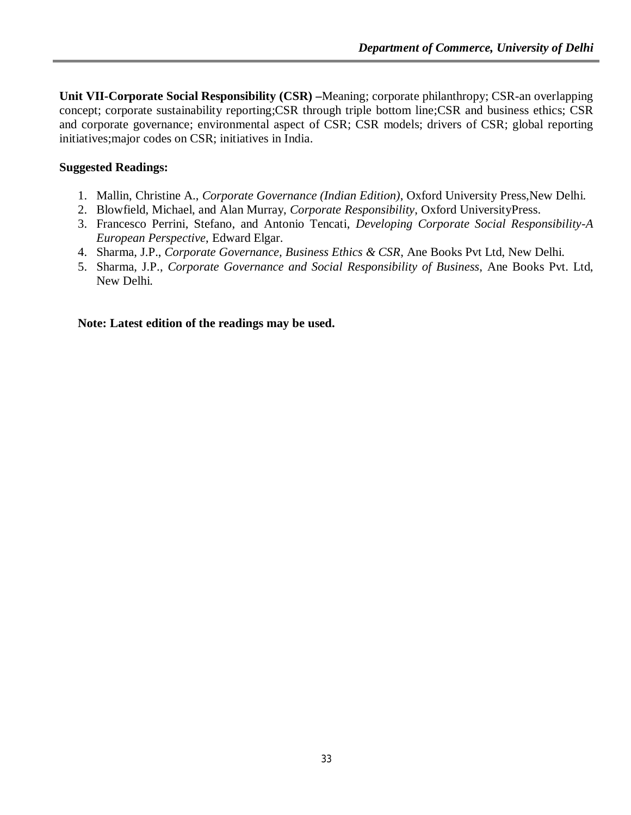**Unit VII-Corporate Social Responsibility (CSR) –**Meaning; corporate philanthropy; CSR-an overlapping concept; corporate sustainability reporting;CSR through triple bottom line;CSR and business ethics; CSR and corporate governance; environmental aspect of CSR; CSR models; drivers of CSR; global reporting initiatives;major codes on CSR; initiatives in India.

## **Suggested Readings:**

- 1. Mallin, Christine A., *Corporate Governance (Indian Edition)*, Oxford University Press,New Delhi.
- 2. Blowfield, Michael, and Alan Murray, *Corporate Responsibility*, Oxford UniversityPress.
- 3. Francesco Perrini, Stefano, and Antonio Tencati, *Developing Corporate Social Responsibility-A European Perspective*, Edward Elgar.
- 4. Sharma, J.P., *Corporate Governance, Business Ethics & CSR*, Ane Books Pvt Ltd, New Delhi.
- 5. Sharma, J.P., *Corporate Governance and Social Responsibility of Business*, Ane Books Pvt. Ltd, New Delhi.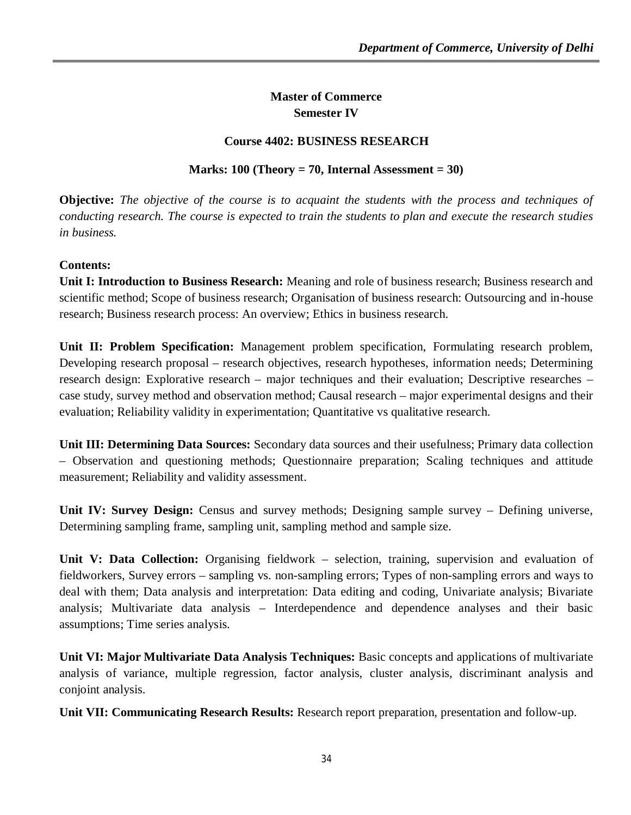## **Master of Commerce Semester IV**

## **Course 4402: BUSINESS RESEARCH**

**Marks: 100 (Theory = 70, Internal Assessment = 30)**

**Objective:** *The objective of the course is to acquaint the students with the process and techniques of conducting research. The course is expected to train the students to plan and execute the research studies in business.*

## **Contents:**

**Unit I: Introduction to Business Research:** Meaning and role of business research; Business research and scientific method; Scope of business research; Organisation of business research: Outsourcing and in-house research; Business research process: An overview; Ethics in business research.

**Unit II: Problem Specification:** Management problem specification, Formulating research problem, Developing research proposal – research objectives, research hypotheses, information needs; Determining research design: Explorative research – major techniques and their evaluation; Descriptive researches – case study, survey method and observation method; Causal research – major experimental designs and their evaluation; Reliability validity in experimentation; Quantitative vs qualitative research.

**Unit III: Determining Data Sources:** Secondary data sources and their usefulness; Primary data collection – Observation and questioning methods; Questionnaire preparation; Scaling techniques and attitude measurement; Reliability and validity assessment.

**Unit IV: Survey Design:** Census and survey methods; Designing sample survey – Defining universe, Determining sampling frame, sampling unit, sampling method and sample size.

**Unit V: Data Collection:** Organising fieldwork – selection, training, supervision and evaluation of fieldworkers, Survey errors – sampling vs. non-sampling errors; Types of non-sampling errors and ways to deal with them; Data analysis and interpretation: Data editing and coding, Univariate analysis; Bivariate analysis; Multivariate data analysis – Interdependence and dependence analyses and their basic assumptions; Time series analysis.

**Unit VI: Major Multivariate Data Analysis Techniques:** Basic concepts and applications of multivariate analysis of variance, multiple regression, factor analysis, cluster analysis, discriminant analysis and conjoint analysis.

**Unit VII: Communicating Research Results:** Research report preparation, presentation and follow-up.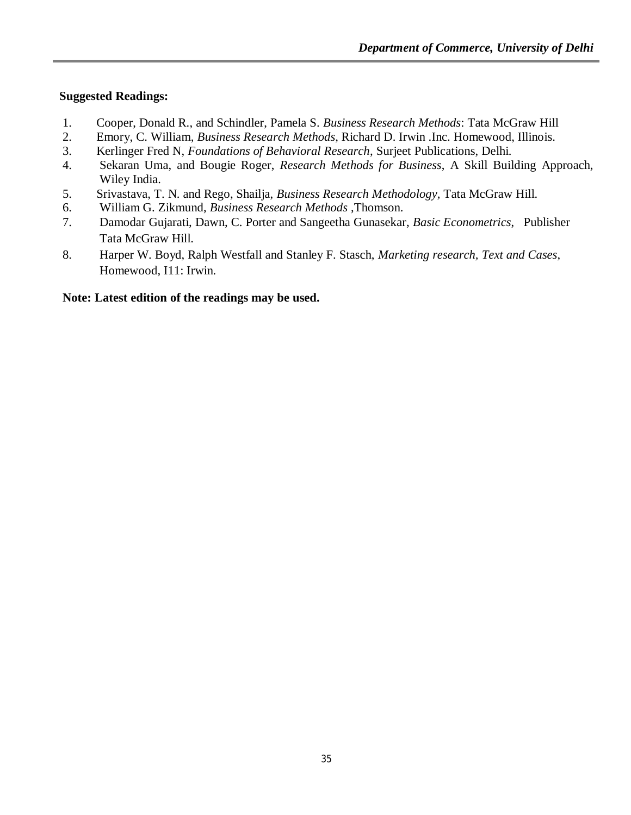# **Suggested Readings:**

- 1. Cooper, Donald R., and Schindler, Pamela S. *Business Research Methods*: Tata McGraw Hill
- 2. Emory, C. William, *Business Research Methods*, Richard D. Irwin .Inc. Homewood, Illinois.
- 3. Kerlinger Fred N, *Foundations of Behavioral Research*, Surjeet Publications, Delhi.
- 4. Sekaran Uma, and Bougie Roger, *Research Methods for Business*, A Skill Building Approach, Wiley India.
- 5. Srivastava, T. N. and Rego, Shailja, *Business Research Methodology,* Tata McGraw Hill.
- 6. William G. Zikmund, *Business Research Methods* ,Thomson.
- 7. Damodar Gujarati, Dawn, C. Porter and Sangeetha Gunasekar, *Basic Econometrics*, Publisher Tata McGraw Hill.
- 8. Harper W. Boyd, Ralph Westfall and Stanley F. Stasch, *Marketing research, Text and Cases*, Homewood, I11: Irwin.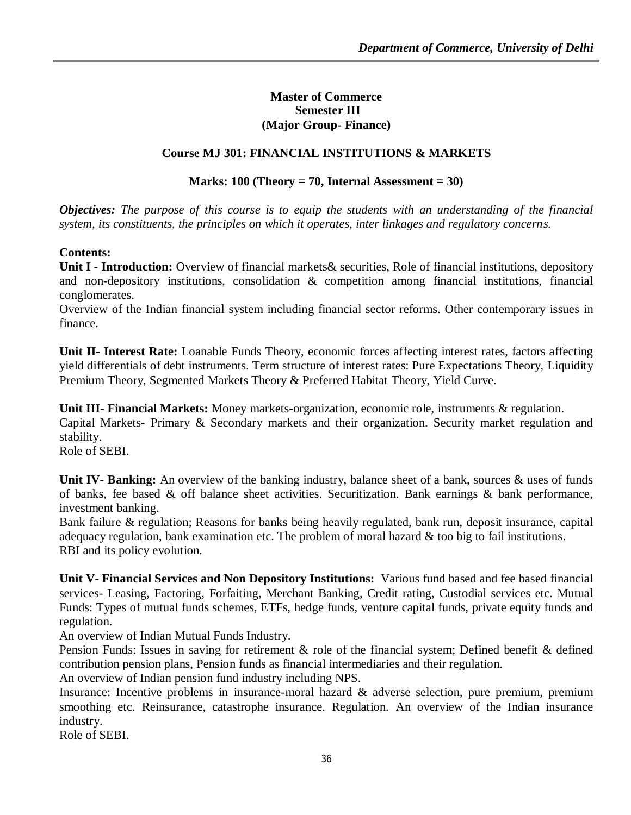### **Master of Commerce Semester III (Major Group- Finance)**

# **Course MJ 301: FINANCIAL INSTITUTIONS & MARKETS**

## **Marks: 100 (Theory = 70, Internal Assessment = 30)**

*Objectives: The purpose of this course is to equip the students with an understanding of the financial system, its constituents, the principles on which it operates, inter linkages and regulatory concerns.*

### **Contents:**

**Unit I - Introduction:** Overview of financial markets& securities, Role of financial institutions, depository and non-depository institutions, consolidation & competition among financial institutions, financial conglomerates.

Overview of the Indian financial system including financial sector reforms. Other contemporary issues in finance.

**Unit II- Interest Rate:** Loanable Funds Theory, economic forces affecting interest rates, factors affecting yield differentials of debt instruments. Term structure of interest rates: Pure Expectations Theory, Liquidity Premium Theory, Segmented Markets Theory & Preferred Habitat Theory, Yield Curve.

**Unit III-** Financial Markets: Money markets-organization, economic role, instruments & regulation. Capital Markets- Primary & Secondary markets and their organization. Security market regulation and stability.

Role of SEBI.

**Unit IV- Banking:** An overview of the banking industry, balance sheet of a bank, sources & uses of funds of banks, fee based  $\&$  off balance sheet activities. Securitization. Bank earnings  $\&$  bank performance, investment banking.

Bank failure & regulation; Reasons for banks being heavily regulated, bank run, deposit insurance, capital adequacy regulation, bank examination etc. The problem of moral hazard  $\&$  too big to fail institutions. RBI and its policy evolution.

**Unit V- Financial Services and Non Depository Institutions:** Various fund based and fee based financial services- Leasing, Factoring, Forfaiting, Merchant Banking, Credit rating, Custodial services etc. Mutual Funds: Types of mutual funds schemes, ETFs, hedge funds, venture capital funds, private equity funds and regulation.

An overview of Indian Mutual Funds Industry.

Pension Funds: Issues in saving for retirement & role of the financial system; Defined benefit & defined contribution pension plans, Pension funds as financial intermediaries and their regulation.

An overview of Indian pension fund industry including NPS.

Insurance: Incentive problems in insurance-moral hazard & adverse selection, pure premium, premium smoothing etc. Reinsurance, catastrophe insurance. Regulation. An overview of the Indian insurance industry.

Role of SEBI.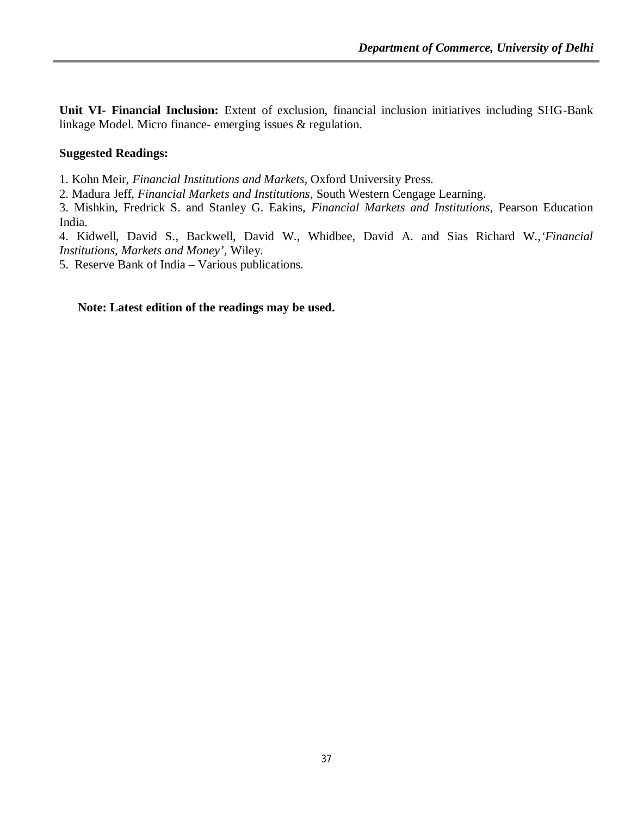**Unit VI- Financial Inclusion:** Extent of exclusion, financial inclusion initiatives including SHG-Bank linkage Model. Micro finance- emerging issues & regulation.

### **Suggested Readings:**

1. Kohn Meir, *Financial Institutions and Markets*, Oxford University Press.

2. Madura Jeff, *Financial Markets and Institutions*, South Western Cengage Learning.

3. Mishkin, Fredrick S. and Stanley G. Eakins, *Financial Markets and Institutions*, Pearson Education India.

4. Kidwell, David S., Backwell, David W., Whidbee, David A. and Sias Richard W.,*'Financial Institutions, Markets and Money',* Wiley.

5. Reserve Bank of India – Various publications.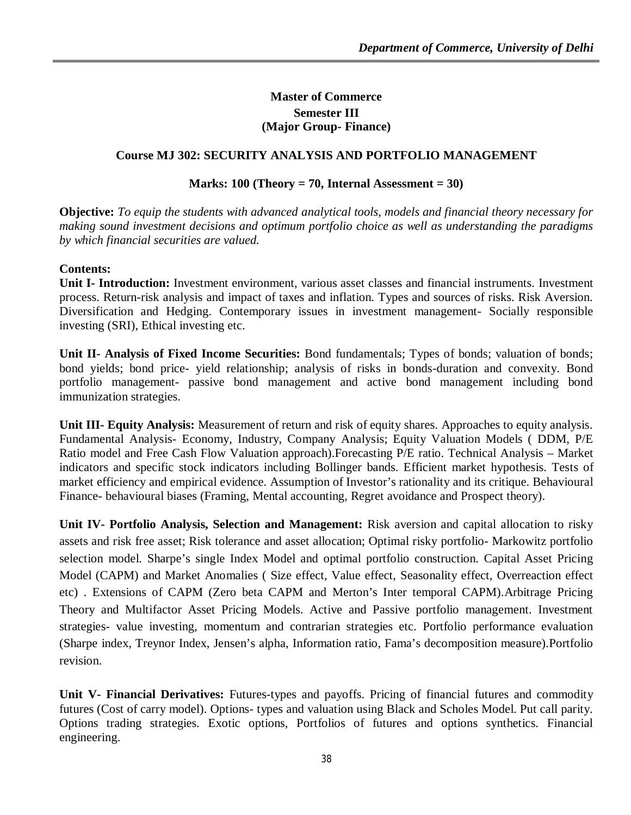# **Master of Commerce Semester III (Major Group- Finance)**

# **Course MJ 302: SECURITY ANALYSIS AND PORTFOLIO MANAGEMENT**

### **Marks: 100 (Theory = 70, Internal Assessment = 30)**

**Objective:** *To equip the students with advanced analytical tools, models and financial theory necessary for making sound investment decisions and optimum portfolio choice as well as understanding the paradigms by which financial securities are valued.*

### **Contents:**

**Unit I- Introduction:** Investment environment, various asset classes and financial instruments. Investment process. Return-risk analysis and impact of taxes and inflation. Types and sources of risks. Risk Aversion. Diversification and Hedging. Contemporary issues in investment management- Socially responsible investing (SRI), Ethical investing etc.

**Unit II- Analysis of Fixed Income Securities:** Bond fundamentals; Types of bonds; valuation of bonds; bond yields; bond price- yield relationship; analysis of risks in bonds-duration and convexity. Bond portfolio management- passive bond management and active bond management including bond immunization strategies.

**Unit III- Equity Analysis:** Measurement of return and risk of equity shares. Approaches to equity analysis. Fundamental Analysis- Economy, Industry, Company Analysis; Equity Valuation Models ( DDM, P/E Ratio model and Free Cash Flow Valuation approach).Forecasting P/E ratio. Technical Analysis – Market indicators and specific stock indicators including Bollinger bands. Efficient market hypothesis. Tests of market efficiency and empirical evidence. Assumption of Investor's rationality and its critique. Behavioural Finance- behavioural biases (Framing, Mental accounting, Regret avoidance and Prospect theory).

**Unit IV- Portfolio Analysis, Selection and Management:** Risk aversion and capital allocation to risky assets and risk free asset; Risk tolerance and asset allocation; Optimal risky portfolio- Markowitz portfolio selection model. Sharpe's single Index Model and optimal portfolio construction. Capital Asset Pricing Model (CAPM) and Market Anomalies ( Size effect, Value effect, Seasonality effect, Overreaction effect etc) . Extensions of CAPM (Zero beta CAPM and Merton's Inter temporal CAPM).Arbitrage Pricing Theory and Multifactor Asset Pricing Models. Active and Passive portfolio management. Investment strategies- value investing, momentum and contrarian strategies etc. Portfolio performance evaluation (Sharpe index, Treynor Index, Jensen's alpha, Information ratio, Fama's decomposition measure).Portfolio revision.

**Unit V- Financial Derivatives:** Futures-types and payoffs. Pricing of financial futures and commodity futures (Cost of carry model). Options- types and valuation using Black and Scholes Model. Put call parity. Options trading strategies. Exotic options, Portfolios of futures and options synthetics. Financial engineering.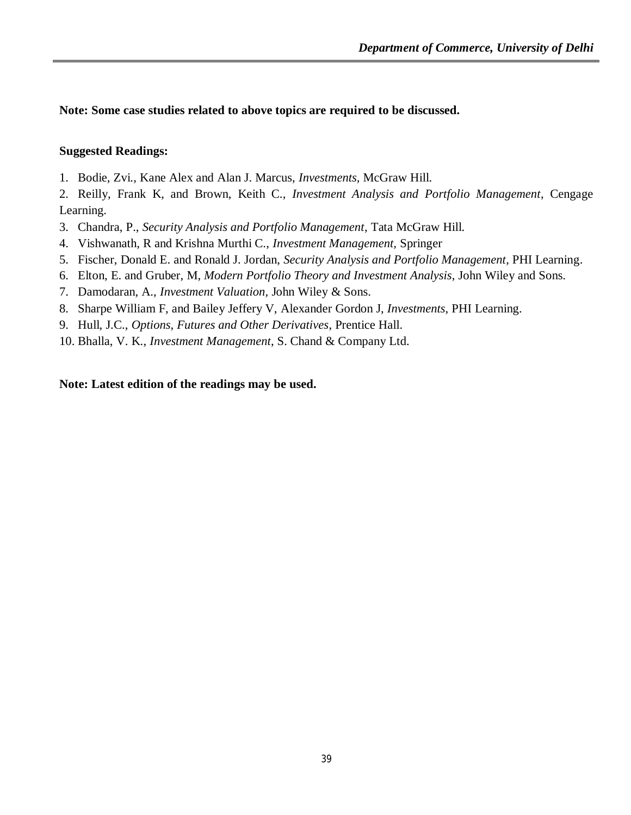**Note: Some case studies related to above topics are required to be discussed.**

#### **Suggested Readings:**

1. Bodie, Zvi., Kane Alex and Alan J. Marcus, *Investments,* McGraw Hill.

2. Reilly, Frank K, and Brown, Keith C., *Investment Analysis and Portfolio Management*, Cengage Learning.

- 3. Chandra, P., *Security Analysis and Portfolio Management*, Tata McGraw Hill.
- 4. Vishwanath, R and Krishna Murthi C., *Investment Management,* Springer
- 5. Fischer, Donald E. and Ronald J. Jordan, *Security Analysis and Portfolio Management*, PHI Learning.
- 6. Elton, E. and Gruber, M, *Modern Portfolio Theory and Investment Analysis*, John Wiley and Sons.
- 7. Damodaran, A., *Investment Valuation,* John Wiley & Sons.
- 8. Sharpe William F, and Bailey Jeffery V, Alexander Gordon J, *Investments*, PHI Learning.
- 9. Hull, J.C., *Options*, *Futures and Other Derivatives*, Prentice Hall.
- 10. Bhalla, V. K., *Investment Management*, S. Chand & Company Ltd.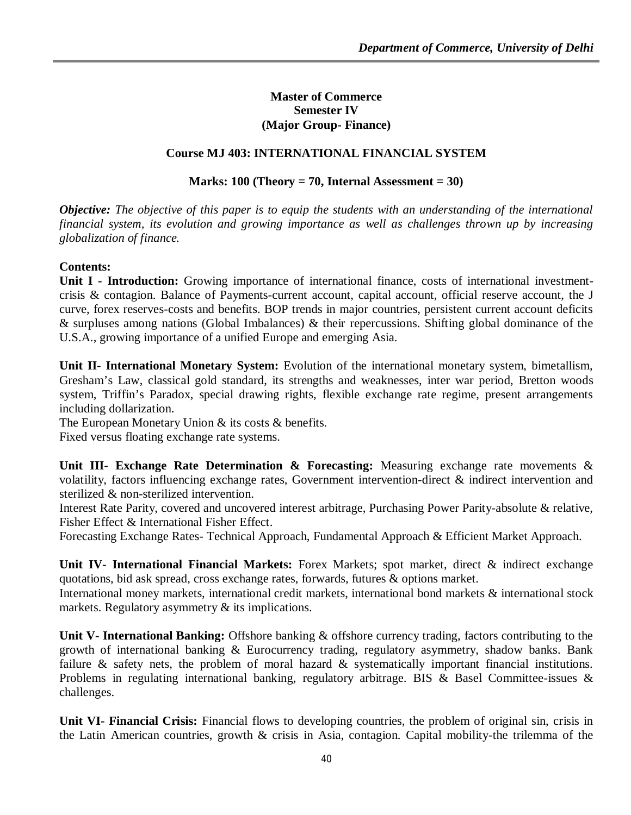### **Master of Commerce Semester IV (Major Group- Finance)**

## **Course MJ 403: INTERNATIONAL FINANCIAL SYSTEM**

#### **Marks: 100 (Theory = 70, Internal Assessment = 30)**

*Objective: The objective of this paper is to equip the students with an understanding of the international financial system, its evolution and growing importance as well as challenges thrown up by increasing globalization of finance.*

#### **Contents:**

**Unit I - Introduction:** Growing importance of international finance, costs of international investmentcrisis & contagion. Balance of Payments-current account, capital account, official reserve account, the J curve, forex reserves-costs and benefits. BOP trends in major countries, persistent current account deficits & surpluses among nations (Global Imbalances) & their repercussions. Shifting global dominance of the U.S.A., growing importance of a unified Europe and emerging Asia.

**Unit II- International Monetary System:** Evolution of the international monetary system, bimetallism, Gresham's Law, classical gold standard, its strengths and weaknesses, inter war period, Bretton woods system, Triffin's Paradox, special drawing rights, flexible exchange rate regime, present arrangements including dollarization.

The European Monetary Union & its costs & benefits.

Fixed versus floating exchange rate systems.

**Unit III- Exchange Rate Determination & Forecasting:** Measuring exchange rate movements & volatility, factors influencing exchange rates, Government intervention-direct & indirect intervention and sterilized & non-sterilized intervention.

Interest Rate Parity, covered and uncovered interest arbitrage, Purchasing Power Parity-absolute & relative, Fisher Effect & International Fisher Effect.

Forecasting Exchange Rates- Technical Approach, Fundamental Approach & Efficient Market Approach.

Unit IV- International Financial Markets: Forex Markets; spot market, direct & indirect exchange quotations, bid ask spread, cross exchange rates, forwards, futures & options market.

International money markets, international credit markets, international bond markets & international stock markets. Regulatory asymmetry & its implications.

**Unit V- International Banking:** Offshore banking & offshore currency trading, factors contributing to the growth of international banking & Eurocurrency trading, regulatory asymmetry, shadow banks. Bank failure & safety nets, the problem of moral hazard & systematically important financial institutions. Problems in regulating international banking, regulatory arbitrage. BIS & Basel Committee-issues & challenges.

**Unit VI- Financial Crisis:** Financial flows to developing countries, the problem of original sin, crisis in the Latin American countries, growth & crisis in Asia, contagion. Capital mobility-the trilemma of the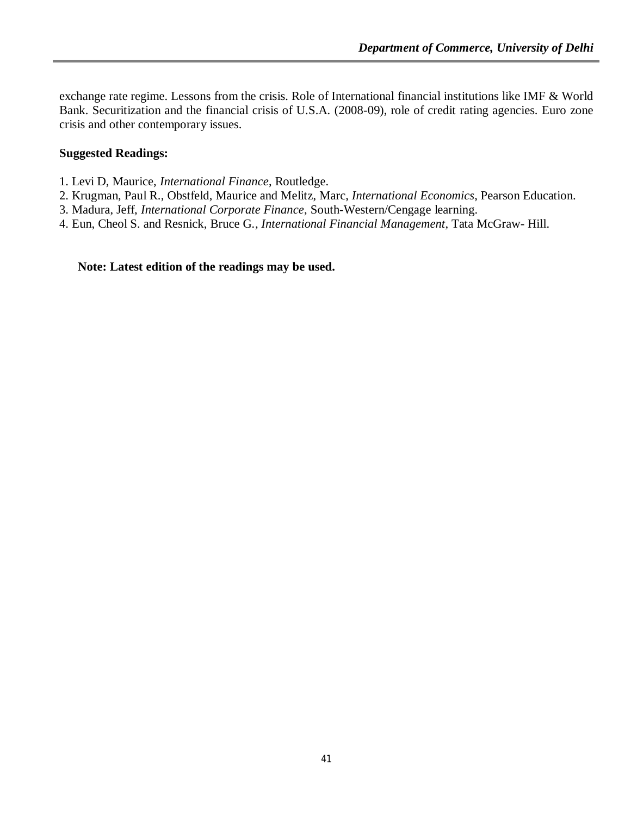exchange rate regime. Lessons from the crisis. Role of International financial institutions like IMF & World Bank. Securitization and the financial crisis of U.S.A. (2008-09), role of credit rating agencies. Euro zone crisis and other contemporary issues.

### **Suggested Readings:**

- 1. Levi D, Maurice, *International Finance*, Routledge.
- 2. Krugman, Paul R., Obstfeld, Maurice and Melitz, Marc, *International Economics*, Pearson Education.
- 3. Madura, Jeff, *International Corporate Finance*, South-Western/Cengage learning.
- 4. Eun, Cheol S. and Resnick, Bruce G*., International Financial Management*, Tata McGraw- Hill.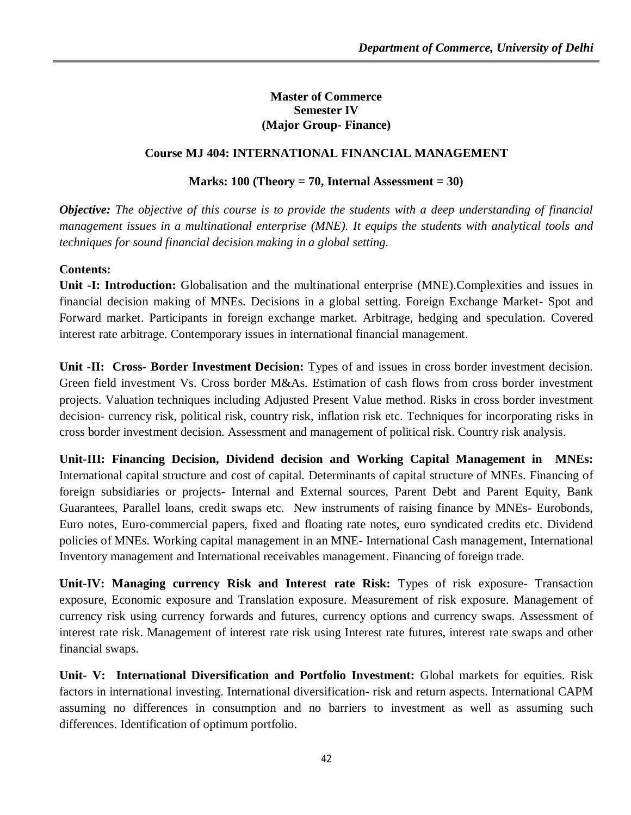## **Master of Commerce Semester IV (Major Group- Finance)**

# **Course MJ 404: INTERNATIONAL FINANCIAL MANAGEMENT**

## **Marks: 100 (Theory = 70, Internal Assessment = 30)**

*Objective: The objective of this course is to provide the students with a deep understanding of financial management issues in a multinational enterprise (MNE). It equips the students with analytical tools and techniques for sound financial decision making in a global setting.* 

### **Contents:**

**Unit -I: Introduction:** Globalisation and the multinational enterprise (MNE).Complexities and issues in financial decision making of MNEs. Decisions in a global setting. Foreign Exchange Market- Spot and Forward market. Participants in foreign exchange market. Arbitrage, hedging and speculation. Covered interest rate arbitrage. Contemporary issues in international financial management.

**Unit -II: Cross- Border Investment Decision:** Types of and issues in cross border investment decision. Green field investment Vs. Cross border M&As. Estimation of cash flows from cross border investment projects. Valuation techniques including Adjusted Present Value method. Risks in cross border investment decision- currency risk, political risk, country risk, inflation risk etc. Techniques for incorporating risks in cross border investment decision. Assessment and management of political risk. Country risk analysis.

**Unit-III: Financing Decision, Dividend decision and Working Capital Management in MNEs:**  International capital structure and cost of capital. Determinants of capital structure of MNEs. Financing of foreign subsidiaries or projects- Internal and External sources, Parent Debt and Parent Equity, Bank Guarantees, Parallel loans, credit swaps etc. New instruments of raising finance by MNEs- Eurobonds, Euro notes, Euro-commercial papers, fixed and floating rate notes, euro syndicated credits etc. Dividend policies of MNEs. Working capital management in an MNE- International Cash management, International Inventory management and International receivables management. Financing of foreign trade.

**Unit-IV: Managing currency Risk and Interest rate Risk:** Types of risk exposure- Transaction exposure, Economic exposure and Translation exposure. Measurement of risk exposure. Management of currency risk using currency forwards and futures, currency options and currency swaps. Assessment of interest rate risk. Management of interest rate risk using Interest rate futures, interest rate swaps and other financial swaps.

**Unit- V: International Diversification and Portfolio Investment:** Global markets for equities. Risk factors in international investing. International diversification- risk and return aspects. International CAPM assuming no differences in consumption and no barriers to investment as well as assuming such differences. Identification of optimum portfolio.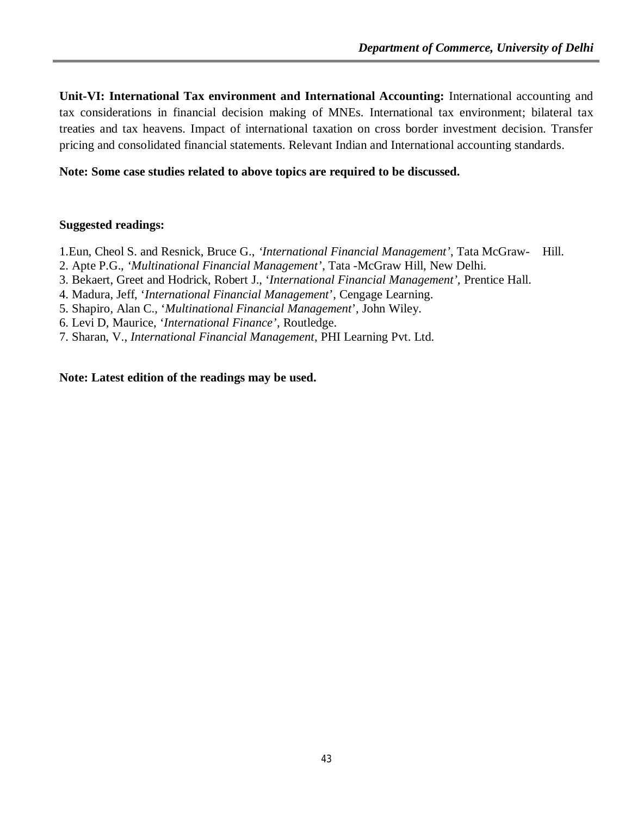**Unit-VI: International Tax environment and International Accounting:** International accounting and tax considerations in financial decision making of MNEs. International tax environment; bilateral tax treaties and tax heavens. Impact of international taxation on cross border investment decision. Transfer pricing and consolidated financial statements. Relevant Indian and International accounting standards.

### **Note: Some case studies related to above topics are required to be discussed.**

#### **Suggested readings:**

1.Eun, Cheol S. and Resnick, Bruce G., *'International Financial Management'*, Tata McGraw- Hill.

- 2. Apte P.G., *'Multinational Financial Management'*, Tata -McGraw Hill, New Delhi.
- 3. Bekaert, Greet and Hodrick, Robert J., '*International Financial Management',* Prentice Hall.
- 4. Madura, Jeff, '*International Financial Management*', Cengage Learning.
- 5. Shapiro, Alan C., '*Multinational Financial Management*', John Wiley.

6. Levi D, Maurice, '*International Finance'*, Routledge.

7. Sharan, V., *International Financial Management*, PHI Learning Pvt. Ltd.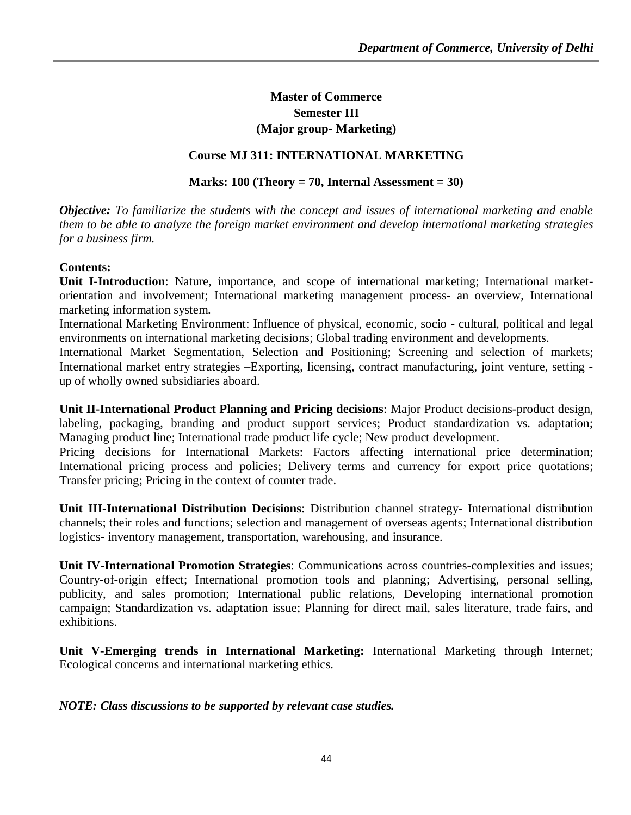# **Master of Commerce Semester III (Major group- Marketing)**

### **Course MJ 311: INTERNATIONAL MARKETING**

#### **Marks: 100 (Theory = 70, Internal Assessment = 30)**

*Objective: To familiarize the students with the concept and issues of international marketing and enable them to be able to analyze the foreign market environment and develop international marketing strategies for a business firm.*

#### **Contents:**

**Unit I-Introduction**: Nature, importance, and scope of international marketing; International marketorientation and involvement; International marketing management process- an overview, International marketing information system.

International Marketing Environment: Influence of physical, economic, socio - cultural, political and legal environments on international marketing decisions; Global trading environment and developments.

International Market Segmentation, Selection and Positioning; Screening and selection of markets; International market entry strategies –Exporting, licensing, contract manufacturing, joint venture, setting up of wholly owned subsidiaries aboard.

**Unit II-International Product Planning and Pricing decisions**: Major Product decisions-product design, labeling, packaging, branding and product support services; Product standardization vs. adaptation; Managing product line; International trade product life cycle; New product development.

Pricing decisions for International Markets: Factors affecting international price determination; International pricing process and policies; Delivery terms and currency for export price quotations; Transfer pricing; Pricing in the context of counter trade.

**Unit III-International Distribution Decisions**: Distribution channel strategy- International distribution channels; their roles and functions; selection and management of overseas agents; International distribution logistics- inventory management, transportation, warehousing, and insurance.

**Unit IV-International Promotion Strategies**: Communications across countries-complexities and issues; Country-of-origin effect; International promotion tools and planning; Advertising, personal selling, publicity, and sales promotion; International public relations, Developing international promotion campaign; Standardization vs. adaptation issue; Planning for direct mail, sales literature, trade fairs, and exhibitions.

**Unit V-Emerging trends in International Marketing:** International Marketing through Internet; Ecological concerns and international marketing ethics.

#### *NOTE: Class discussions to be supported by relevant case studies.*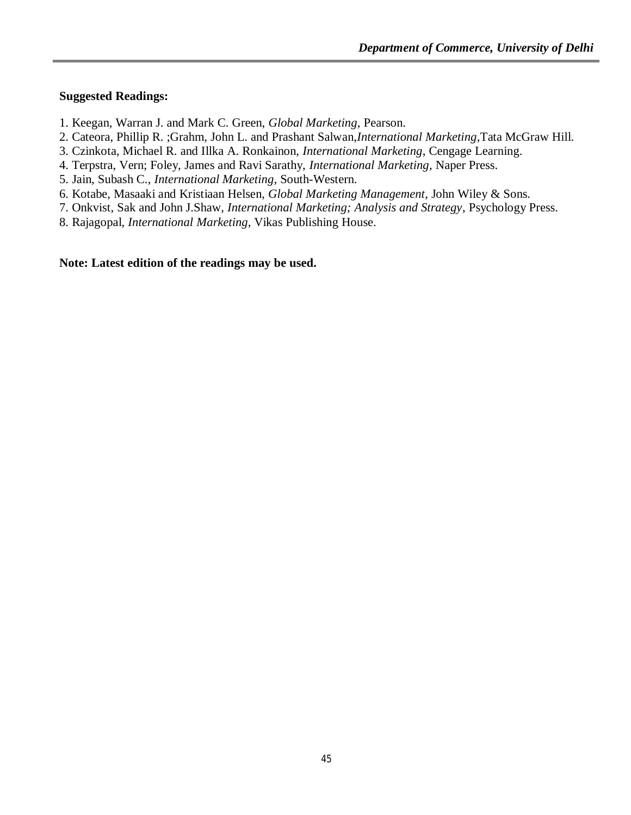#### **Suggested Readings:**

- 1. Keegan, Warran J. and Mark C. Green, *Global Marketing*, Pearson.
- 2. Cateora, Phillip R. ;Grahm, John L. and Prashant Salwan,*International Marketing*,Tata McGraw Hill.
- 3. Czinkota, Michael R. and Illka A. Ronkainon, *International Marketing*, Cengage Learning.
- 4. Terpstra, Vern; Foley, James and Ravi Sarathy, *International Marketing*, Naper Press.
- 5. Jain, Subash C., *International Marketing*, South-Western.
- 6. Kotabe, Masaaki and Kristiaan Helsen, *Global Marketing Management*, John Wiley & Sons.
- 7. Onkvist, Sak and John J.Shaw, *International Marketing; Analysis and Strategy*, Psychology Press.
- 8. Rajagopal, *International Marketing*, Vikas Publishing House.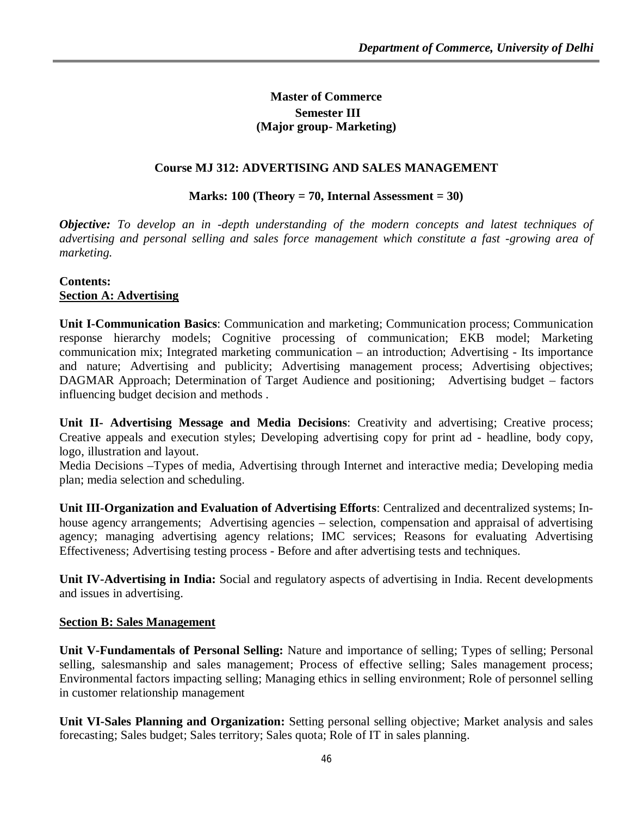# **Master of Commerce Semester III (Major group- Marketing)**

### **Course MJ 312: ADVERTISING AND SALES MANAGEMENT**

#### **Marks: 100 (Theory = 70, Internal Assessment = 30)**

*Objective: To develop an in -depth understanding of the modern concepts and latest techniques of advertising and personal selling and sales force management which constitute a fast -growing area of marketing.*

#### **Contents: Section A: Advertising**

**Unit I-Communication Basics**: Communication and marketing; Communication process; Communication response hierarchy models; Cognitive processing of communication; EKB model; Marketing communication mix; Integrated marketing communication – an introduction; Advertising - Its importance and nature; Advertising and publicity; Advertising management process; Advertising objectives; DAGMAR Approach; Determination of Target Audience and positioning; Advertising budget – factors influencing budget decision and methods .

**Unit II- Advertising Message and Media Decisions**: Creativity and advertising; Creative process; Creative appeals and execution styles; Developing advertising copy for print ad - headline, body copy, logo, illustration and layout.

Media Decisions –Types of media, Advertising through Internet and interactive media; Developing media plan; media selection and scheduling.

**Unit III-Organization and Evaluation of Advertising Efforts**: Centralized and decentralized systems; Inhouse agency arrangements; Advertising agencies – selection, compensation and appraisal of advertising agency; managing advertising agency relations; IMC services; Reasons for evaluating Advertising Effectiveness; Advertising testing process - Before and after advertising tests and techniques.

**Unit IV-Advertising in India:** Social and regulatory aspects of advertising in India. Recent developments and issues in advertising.

#### **Section B: Sales Management**

**Unit V-Fundamentals of Personal Selling:** Nature and importance of selling; Types of selling; Personal selling, salesmanship and sales management; Process of effective selling; Sales management process; Environmental factors impacting selling; Managing ethics in selling environment; Role of personnel selling in customer relationship management

**Unit VI-Sales Planning and Organization:** Setting personal selling objective; Market analysis and sales forecasting; Sales budget; Sales territory; Sales quota; Role of IT in sales planning.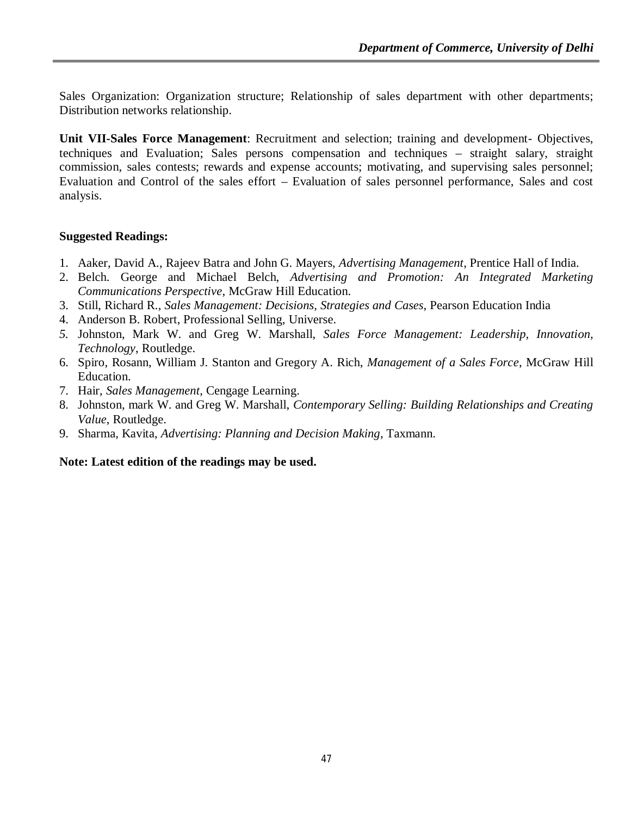Sales Organization: Organization structure; Relationship of sales department with other departments; Distribution networks relationship.

**Unit VII-Sales Force Management**: Recruitment and selection; training and development- Objectives, techniques and Evaluation; Sales persons compensation and techniques – straight salary, straight commission, sales contests; rewards and expense accounts; motivating, and supervising sales personnel; Evaluation and Control of the sales effort – Evaluation of sales personnel performance, Sales and cost analysis.

#### **Suggested Readings:**

- 1. Aaker, David A., Rajeev Batra and John G. Mayers, *Advertising Management*, Prentice Hall of India.
- 2. Belch. George and Michael Belch, *Advertising and Promotion: An Integrated Marketing Communications Perspective*, McGraw Hill Education.
- 3. Still, Richard R., *Sales Management: Decisions, Strategies and Cases*, Pearson Education India
- 4. Anderson B. Robert, Professional Selling, Universe.
- *5.* Johnston, Mark W. and Greg W. Marshall, *Sales Force Management: Leadership, Innovation, Technology*, Routledge.
- 6. Spiro, Rosann, William J. Stanton and Gregory A. Rich, *Management of a Sales Force*, McGraw Hill Education.
- 7. Hair, *Sales Management*, Cengage Learning.
- 8. Johnston, mark W. and Greg W. Marshall, *Contemporary Selling: Building Relationships and Creating Value*, Routledge.
- 9. Sharma, Kavita, *Advertising: Planning and Decision Making*, Taxmann.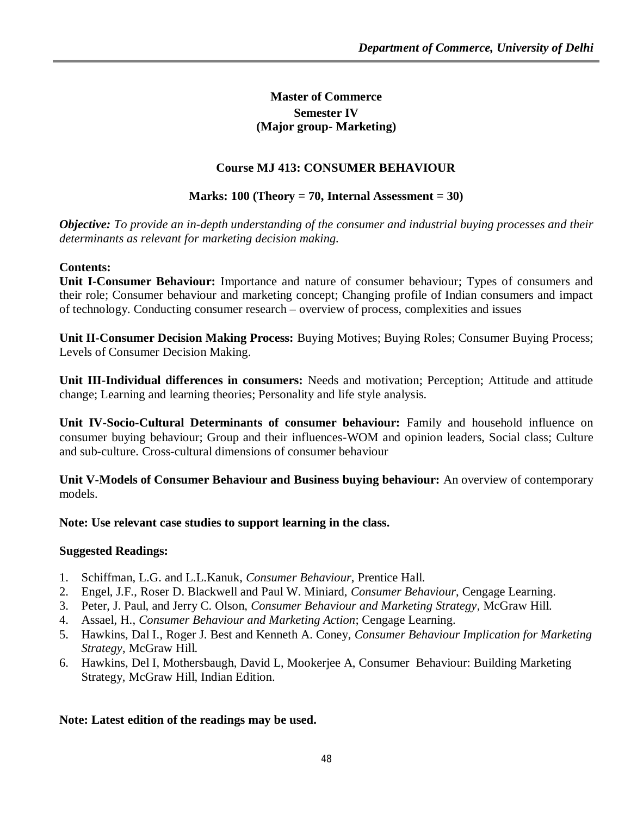# **Master of Commerce Semester IV (Major group- Marketing)**

# **Course MJ 413: CONSUMER BEHAVIOUR**

# **Marks: 100 (Theory = 70, Internal Assessment = 30)**

*Objective: To provide an in-depth understanding of the consumer and industrial buying processes and their determinants as relevant for marketing decision making.*

### **Contents:**

**Unit I-Consumer Behaviour:** Importance and nature of consumer behaviour; Types of consumers and their role; Consumer behaviour and marketing concept; Changing profile of Indian consumers and impact of technology. Conducting consumer research – overview of process, complexities and issues

**Unit II-Consumer Decision Making Process:** Buying Motives; Buying Roles; Consumer Buying Process; Levels of Consumer Decision Making.

**Unit III-Individual differences in consumers:** Needs and motivation; Perception; Attitude and attitude change; Learning and learning theories; Personality and life style analysis.

**Unit IV-Socio-Cultural Determinants of consumer behaviour:** Family and household influence on consumer buying behaviour; Group and their influences-WOM and opinion leaders, Social class; Culture and sub-culture. Cross-cultural dimensions of consumer behaviour

**Unit V-Models of Consumer Behaviour and Business buying behaviour:** An overview of contemporary models.

**Note: Use relevant case studies to support learning in the class.**

# **Suggested Readings:**

- 1. Schiffman, L.G. and L.L.Kanuk, *Consumer Behaviour*, Prentice Hall.
- 2. Engel, J.F., Roser D. Blackwell and Paul W. Miniard, *Consumer Behaviour*, Cengage Learning.
- 3. Peter, J. Paul, and Jerry C. Olson, *Consumer Behaviour and Marketing Strategy*, McGraw Hill.
- 4. Assael, H., *Consumer Behaviour and Marketing Action*; Cengage Learning.
- 5. Hawkins, Dal I., Roger J. Best and Kenneth A. Coney, *Consumer Behaviour Implication for Marketing Strategy*, McGraw Hill.
- 6. Hawkins, Del I, Mothersbaugh, David L, Mookerjee A, Consumer Behaviour: Building Marketing Strategy, McGraw Hill, Indian Edition.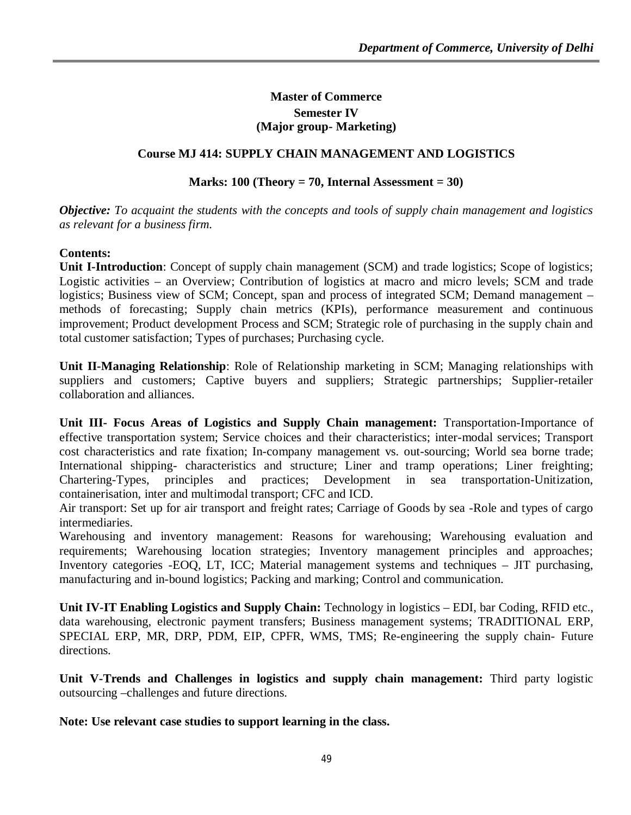### **Master of Commerce Semester IV (Major group- Marketing)**

## **Course MJ 414: SUPPLY CHAIN MANAGEMENT AND LOGISTICS**

### **Marks: 100 (Theory = 70, Internal Assessment = 30)**

*Objective: To acquaint the students with the concepts and tools of supply chain management and logistics as relevant for a business firm.*

### **Contents:**

**Unit I-Introduction**: Concept of supply chain management (SCM) and trade logistics; Scope of logistics; Logistic activities – an Overview; Contribution of logistics at macro and micro levels; SCM and trade logistics; Business view of SCM; Concept, span and process of integrated SCM; Demand management – methods of forecasting; Supply chain metrics (KPIs), performance measurement and continuous improvement; Product development Process and SCM; Strategic role of purchasing in the supply chain and total customer satisfaction; Types of purchases; Purchasing cycle.

**Unit II-Managing Relationship**: Role of Relationship marketing in SCM; Managing relationships with suppliers and customers; Captive buyers and suppliers; Strategic partnerships; Supplier-retailer collaboration and alliances.

**Unit III- Focus Areas of Logistics and Supply Chain management:** Transportation-Importance of effective transportation system; Service choices and their characteristics; inter-modal services; Transport cost characteristics and rate fixation; In-company management vs. out-sourcing; World sea borne trade; International shipping- characteristics and structure; Liner and tramp operations; Liner freighting; Chartering-Types, principles and practices; Development in sea transportation-Unitization, containerisation, inter and multimodal transport; CFC and ICD.

Air transport: Set up for air transport and freight rates; Carriage of Goods by sea -Role and types of cargo intermediaries.

Warehousing and inventory management: Reasons for warehousing; Warehousing evaluation and requirements; Warehousing location strategies; Inventory management principles and approaches; Inventory categories -EOQ, LT, ICC; Material management systems and techniques – JIT purchasing, manufacturing and in-bound logistics; Packing and marking; Control and communication.

**Unit IV-IT Enabling Logistics and Supply Chain:** Technology in logistics – EDI, bar Coding, RFID etc., data warehousing, electronic payment transfers; Business management systems; TRADITIONAL ERP, SPECIAL ERP, MR, DRP, PDM, EIP, CPFR, WMS, TMS; Re-engineering the supply chain- Future directions.

**Unit V-Trends and Challenges in logistics and supply chain management:** Third party logistic outsourcing –challenges and future directions.

**Note: Use relevant case studies to support learning in the class.**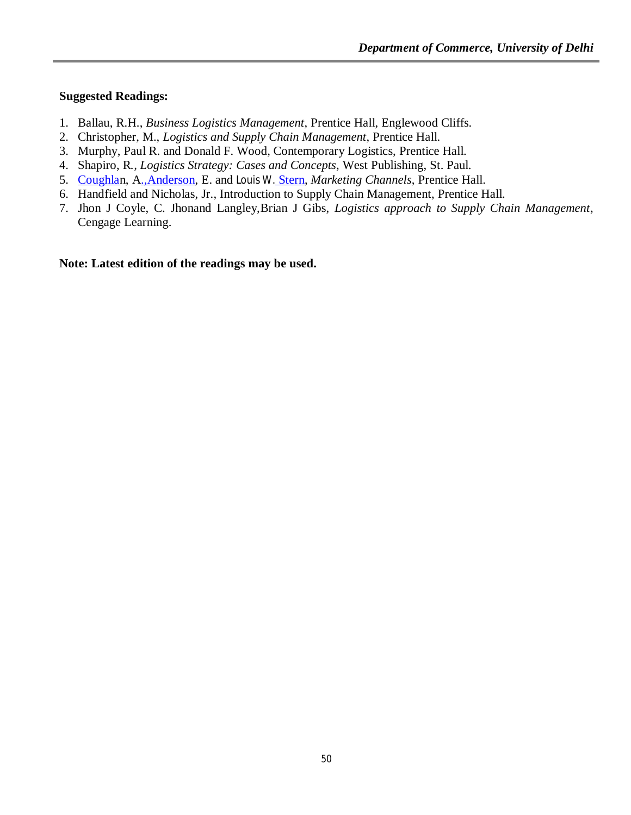#### **Suggested Readings:**

- 1. Ballau, R.H., *Business Logistics Management*, Prentice Hall, Englewood Cliffs.
- 2. Christopher, M., *Logistics and Supply Chain Management*, Prentice Hall.
- 3. Murphy, Paul R. and Donald F. Wood, Contemporary Logistics, Prentice Hall.
- 4. Shapiro, R*., Logistics Strategy: Cases and Concepts*, West Publishing, St. Paul.
- 5. Coughlan, A.,Anderson, E. and Louis W. Stern, *Marketing Channels*, Prentice Hall.
- 6. Handfield and Nicholas, Jr., Introduction to Supply Chain Management, Prentice Hall.
- 7. Jhon J Coyle, C. Jhonand Langley,Brian J Gibs, *Logistics approach to Supply Chain Management*, Cengage Learning.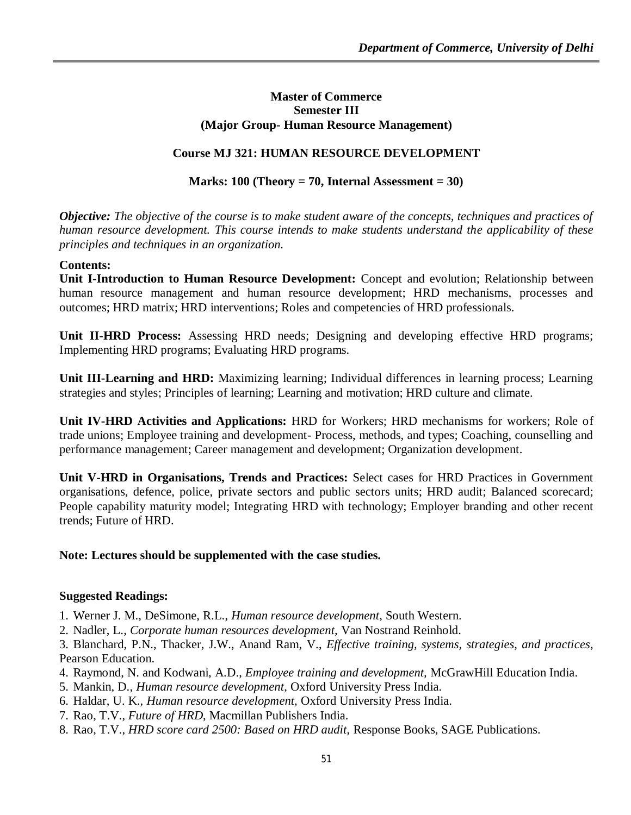#### **Master of Commerce Semester III (Major Group- Human Resource Management)**

### **Course MJ 321: HUMAN RESOURCE DEVELOPMENT**

#### **Marks: 100 (Theory = 70, Internal Assessment = 30)**

*Objective: The objective of the course is to make student aware of the concepts, techniques and practices of human resource development. This course intends to make students understand the applicability of these principles and techniques in an organization.*

#### **Contents:**

**Unit I-Introduction to Human Resource Development:** Concept and evolution; Relationship between human resource management and human resource development; HRD mechanisms, processes and outcomes; HRD matrix; HRD interventions; Roles and competencies of HRD professionals.

**Unit II-HRD Process:** Assessing HRD needs; Designing and developing effective HRD programs; Implementing HRD programs; Evaluating HRD programs.

**Unit III-Learning and HRD:** Maximizing learning; Individual differences in learning process; Learning strategies and styles; Principles of learning; Learning and motivation; HRD culture and climate.

**Unit IV-HRD Activities and Applications:** HRD for Workers; HRD mechanisms for workers; Role of trade unions; Employee training and development- Process, methods, and types; Coaching, counselling and performance management; Career management and development; Organization development.

**Unit V-HRD in Organisations, Trends and Practices:** Select cases for HRD Practices in Government organisations, defence, police, private sectors and public sectors units; HRD audit; Balanced scorecard; People capability maturity model; Integrating HRD with technology; Employer branding and other recent trends; Future of HRD.

#### **Note: Lectures should be supplemented with the case studies.**

#### **Suggested Readings:**

- 1. Werner J. M., DeSimone, R.L., *Human resource development*, South Western.
- 2. Nadler, L., *Corporate human resources development,* Van Nostrand Reinhold.

3. Blanchard, P.N., Thacker, J.W., Anand Ram, V., *Effective training, systems, strategies, and practices*, Pearson Education.

- 4. Raymond, N. and Kodwani, A.D., *Employee training and development,* McGrawHill Education India.
- 5. Mankin, D., *Human resource development*, Oxford University Press India.
- 6. Haldar, U. K., *Human resource development,* Oxford University Press India.
- 7. Rao, T.V., *Future of HRD*, Macmillan Publishers India.
- 8. Rao, T.V., *HRD score card 2500: Based on HRD audit,* Response Books, SAGE Publications.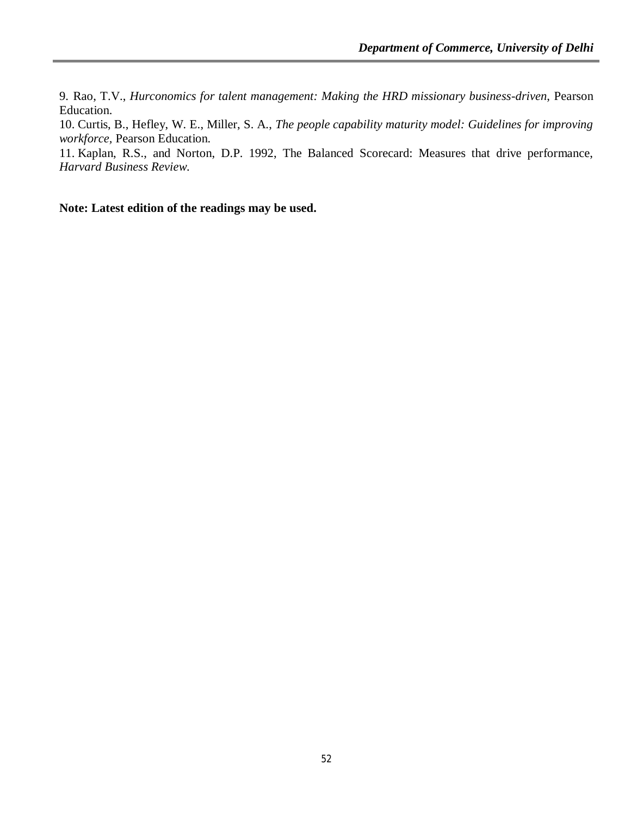9. Rao, T.V., *Hurconomics for talent management: Making the HRD missionary business-driven*, Pearson Education.

10. Curtis, B., Hefley, W. E., Miller, S. A., *The people capability maturity model: Guidelines for improving workforce,* Pearson Education.

11. Kaplan, R.S., and Norton, D.P. 1992, The Balanced Scorecard: Measures that drive performance, *Harvard Business Review*.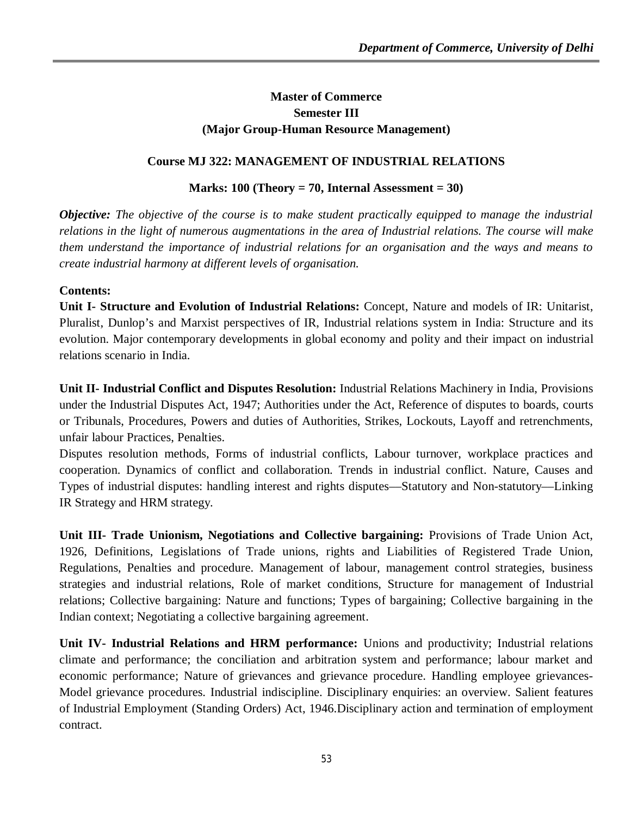# **Master of Commerce Semester III (Major Group-Human Resource Management)**

# **Course MJ 322: MANAGEMENT OF INDUSTRIAL RELATIONS**

# **Marks: 100 (Theory = 70, Internal Assessment = 30)**

*Objective: The objective of the course is to make student practically equipped to manage the industrial relations in the light of numerous augmentations in the area of Industrial relations. The course will make them understand the importance of industrial relations for an organisation and the ways and means to create industrial harmony at different levels of organisation.* 

### **Contents:**

**Unit I- Structure and Evolution of Industrial Relations:** Concept, Nature and models of IR: Unitarist, Pluralist, Dunlop's and Marxist perspectives of IR, Industrial relations system in India: Structure and its evolution. Major contemporary developments in global economy and polity and their impact on industrial relations scenario in India.

**Unit II- Industrial Conflict and Disputes Resolution:** Industrial Relations Machinery in India, Provisions under the Industrial Disputes Act, 1947; Authorities under the Act, Reference of disputes to boards, courts or Tribunals, Procedures, Powers and duties of Authorities, Strikes, Lockouts, Layoff and retrenchments, unfair labour Practices, Penalties.

Disputes resolution methods, Forms of industrial conflicts, Labour turnover, workplace practices and cooperation. Dynamics of conflict and collaboration. Trends in industrial conflict. Nature, Causes and Types of industrial disputes: handling interest and rights disputes––Statutory and Non-statutory––Linking IR Strategy and HRM strategy.

**Unit III- Trade Unionism, Negotiations and Collective bargaining:** Provisions of Trade Union Act, 1926, Definitions, Legislations of Trade unions, rights and Liabilities of Registered Trade Union, Regulations, Penalties and procedure. Management of labour, management control strategies, business strategies and industrial relations, Role of market conditions, Structure for management of Industrial relations; Collective bargaining: Nature and functions; Types of bargaining; Collective bargaining in the Indian context; Negotiating a collective bargaining agreement.

**Unit IV- Industrial Relations and HRM performance:** Unions and productivity; Industrial relations climate and performance; the conciliation and arbitration system and performance; labour market and economic performance; Nature of grievances and grievance procedure. Handling employee grievances-Model grievance procedures. Industrial indiscipline. Disciplinary enquiries: an overview. Salient features of Industrial Employment (Standing Orders) Act, 1946.Disciplinary action and termination of employment contract.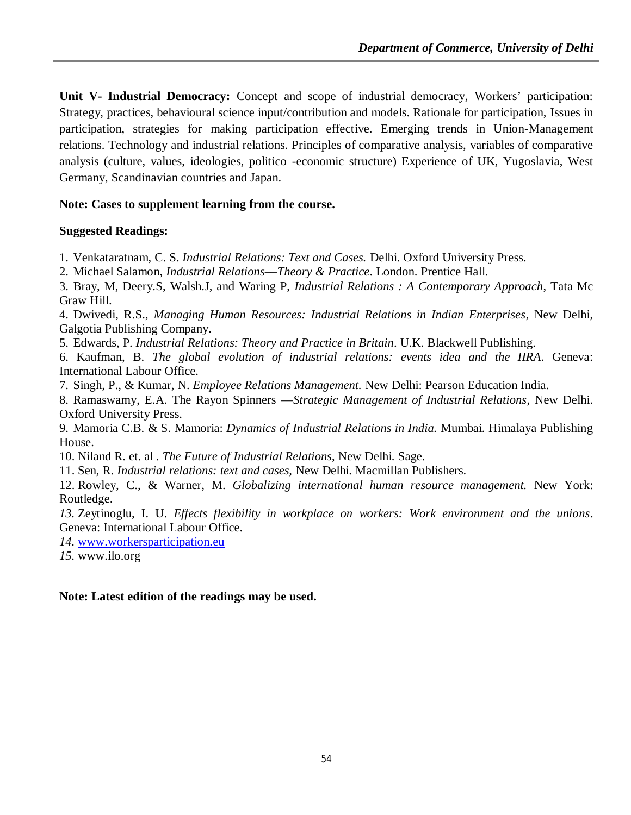**Unit V- Industrial Democracy:** Concept and scope of industrial democracy, Workers' participation: Strategy, practices, behavioural science input/contribution and models. Rationale for participation, Issues in participation, strategies for making participation effective. Emerging trends in Union-Management relations. Technology and industrial relations. Principles of comparative analysis, variables of comparative analysis (culture, values, ideologies, politico -economic structure) Experience of UK, Yugoslavia, West Germany, Scandinavian countries and Japan.

# **Note: Cases to supplement learning from the course.**

### **Suggested Readings:**

1. Venkataratnam, C. S. *Industrial Relations: Text and Cases.* Delhi. Oxford University Press.

2. Michael Salamon, *Industrial Relations––Theory & Practice*. London. Prentice Hall.

3. Bray, M, Deery.S, Walsh.J, and Waring P, *Industrial Relations : A Contemporary Approach*, Tata Mc Graw Hill.

4. Dwivedi, R.S., *Managing Human Resources: Industrial Relations in Indian Enterprises*, New Delhi, Galgotia Publishing Company.

5. Edwards, P. *Industrial Relations: Theory and Practice in Britain*. U.K. Blackwell Publishing.

6. Kaufman, B. *The global evolution of industrial relations: events idea and the IIRA*. Geneva: International Labour Office.

7. Singh, P., & Kumar, N. *Employee Relations Management.* New Delhi: Pearson Education India.

8. Ramaswamy, E.A. The Rayon Spinners ––*Strategic Management of Industrial Relations*, New Delhi. Oxford University Press.

9. Mamoria C.B. & S. Mamoria: *Dynamics of Industrial Relations in India.* Mumbai. Himalaya Publishing House.

10. Niland R. et. al . *The Future of Industrial Relations*, New Delhi. Sage.

11. Sen, R. *Industrial relations: text and cases,* New Delhi. Macmillan Publishers.

12. Rowley, C., & Warner, M. *Globalizing international human resource management.* New York: Routledge.

*13.* Zeytinoglu, I. U. *Effects flexibility in workplace on workers: Work environment and the unions*. Geneva: International Labour Office.

*14.* www.workersparticipation.eu

*15.* www.ilo.org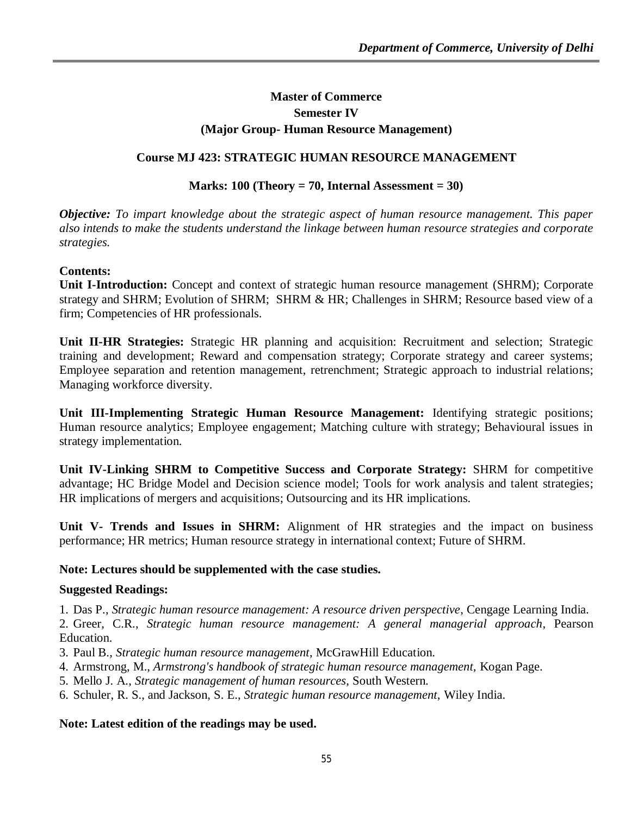# **Master of Commerce Semester IV (Major Group- Human Resource Management)**

### **Course MJ 423: STRATEGIC HUMAN RESOURCE MANAGEMENT**

#### **Marks: 100 (Theory = 70, Internal Assessment = 30)**

*Objective: To impart knowledge about the strategic aspect of human resource management. This paper also intends to make the students understand the linkage between human resource strategies and corporate strategies.* 

### **Contents:**

**Unit I-Introduction:** Concept and context of strategic human resource management (SHRM); Corporate strategy and SHRM; Evolution of SHRM; SHRM & HR; Challenges in SHRM; Resource based view of a firm; Competencies of HR professionals.

**Unit II-HR Strategies:** Strategic HR planning and acquisition: Recruitment and selection; Strategic training and development; Reward and compensation strategy; Corporate strategy and career systems; Employee separation and retention management, retrenchment; Strategic approach to industrial relations; Managing workforce diversity.

**Unit III-Implementing Strategic Human Resource Management:** Identifying strategic positions; Human resource analytics; Employee engagement; Matching culture with strategy; Behavioural issues in strategy implementation.

**Unit IV-Linking SHRM to Competitive Success and Corporate Strategy:** SHRM for competitive advantage; HC Bridge Model and Decision science model; Tools for work analysis and talent strategies; HR implications of mergers and acquisitions; Outsourcing and its HR implications.

**Unit V- Trends and Issues in SHRM:** Alignment of HR strategies and the impact on business performance; HR metrics; Human resource strategy in international context; Future of SHRM.

#### **Note: Lectures should be supplemented with the case studies.**

#### **Suggested Readings:**

1. Das P., *Strategic human resource management: A resource driven perspective*, Cengage Learning India.

2. Greer, C.R., *Strategic human resource management: A general managerial approach*, Pearson Education.

- 3. Paul B., *Strategic human resource management*, McGrawHill Education.
- 4. Armstrong, M., *Armstrong's handbook of strategic human resource management,* Kogan Page.
- 5. Mello J. A., *Strategic management of human resources*, South Western.
- 6. Schuler, R. S., and Jackson, S. E., *Strategic human resource management,* Wiley India.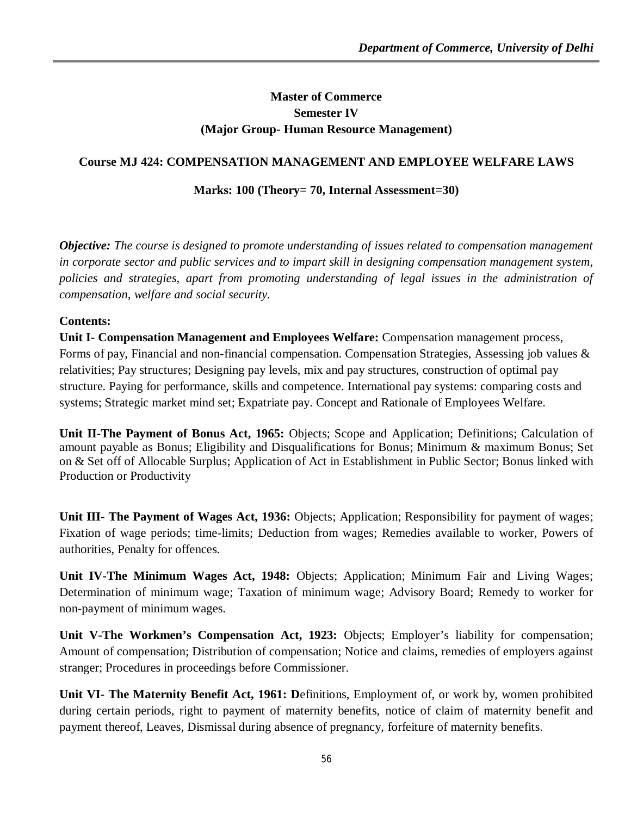# **Master of Commerce Semester IV (Major Group- Human Resource Management)**

# **Course MJ 424: COMPENSATION MANAGEMENT AND EMPLOYEE WELFARE LAWS**

# **Marks: 100 (Theory= 70, Internal Assessment=30)**

*Objective: The course is designed to promote understanding of issues related to compensation management in corporate sector and public services and to impart skill in designing compensation management system, policies and strategies, apart from promoting understanding of legal issues in the administration of compensation, welfare and social security.*

# **Contents:**

**Unit I- Compensation Management and Employees Welfare:** Compensation management process, Forms of pay, Financial and non-financial compensation. Compensation Strategies, Assessing job values & relativities; Pay structures; Designing pay levels, mix and pay structures, construction of optimal pay structure. Paying for performance, skills and competence. International pay systems: comparing costs and systems; Strategic market mind set; Expatriate pay. Concept and Rationale of Employees Welfare.

**Unit II-The Payment of Bonus Act, 1965:** Objects; Scope and Application; Definitions; Calculation of amount payable as Bonus; Eligibility and Disqualifications for Bonus; Minimum & maximum Bonus; Set on & Set off of Allocable Surplus; Application of Act in Establishment in Public Sector; Bonus linked with Production or Productivity

**Unit III- The Payment of Wages Act, 1936:** Objects; Application; Responsibility for payment of wages; Fixation of wage periods; time-limits; Deduction from wages; Remedies available to worker, Powers of authorities, Penalty for offences.

**Unit IV-The Minimum Wages Act, 1948:** Objects; Application; Minimum Fair and Living Wages; Determination of minimum wage; Taxation of minimum wage; Advisory Board; Remedy to worker for non-payment of minimum wages.

**Unit V-The Workmen's Compensation Act, 1923:** Objects; Employer's liability for compensation; Amount of compensation; Distribution of compensation; Notice and claims, remedies of employers against stranger; Procedures in proceedings before Commissioner.

**Unit VI- The Maternity Benefit Act, 1961: D**efinitions, Employment of, or work by, women prohibited during certain periods, right to payment of maternity benefits, notice of claim of maternity benefit and payment thereof, Leaves, Dismissal during absence of pregnancy, forfeiture of maternity benefits.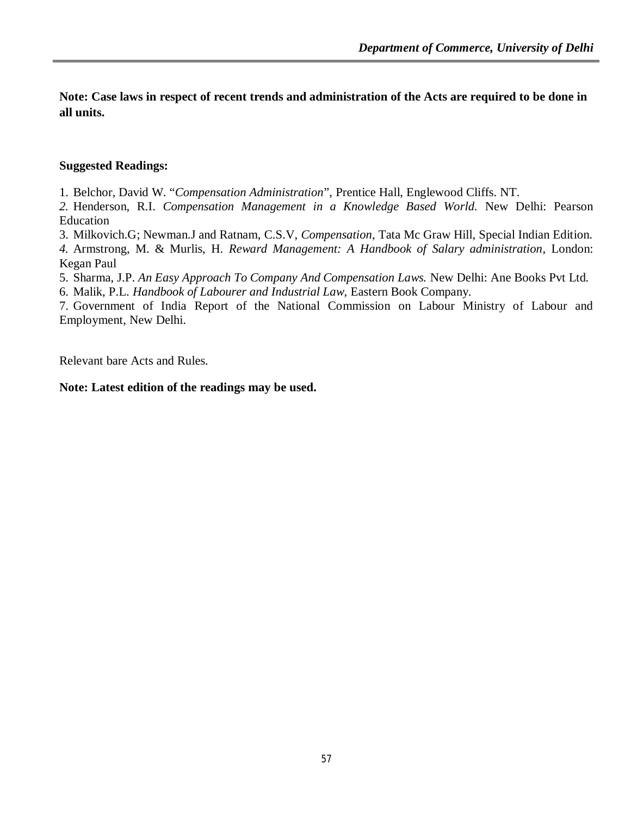**Note: Case laws in respect of recent trends and administration of the Acts are required to be done in all units.** 

# **Suggested Readings:**

1. Belchor, David W. "*Compensation Administration*", Prentice Hall, Englewood Cliffs. NT.

*2.* Henderson, R.I. *Compensation Management in a Knowledge Based World.* New Delhi: Pearson Education

3. Milkovich.G; Newman.J and Ratnam, C.S.V, *Compensation*, Tata Mc Graw Hill, Special Indian Edition.

*4.* Armstrong, M. & Murlis, H*. Reward Management: A Handbook of Salary administration*, London: Kegan Paul

5. Sharma, J.P. *An Easy Approach To Company And Compensation Laws.* New Delhi: Ane Books Pvt Ltd.

6. Malik, P.L. *Handbook of Labourer and Industrial Law*, Eastern Book Company.

7. Government of India Report of the National Commission on Labour Ministry of Labour and Employment, New Delhi.

Relevant bare Acts and Rules.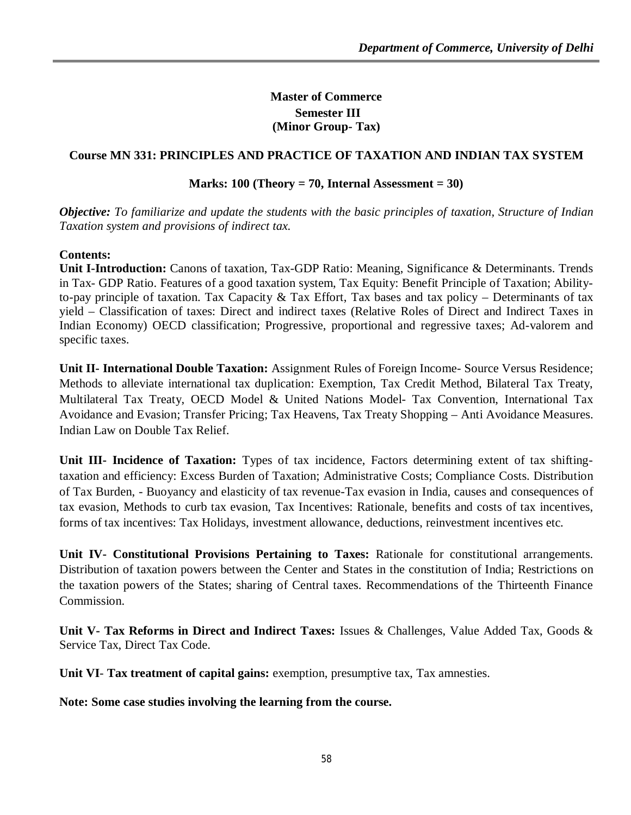**Master of Commerce Semester III (Minor Group- Tax)**

## **Course MN 331: PRINCIPLES AND PRACTICE OF TAXATION AND INDIAN TAX SYSTEM**

#### **Marks: 100 (Theory = 70, Internal Assessment = 30)**

*Objective: To familiarize and update the students with the basic principles of taxation, Structure of Indian Taxation system and provisions of indirect tax.* 

### **Contents:**

**Unit I-Introduction:** Canons of taxation, Tax-GDP Ratio: Meaning, Significance & Determinants. Trends in Tax- GDP Ratio. Features of a good taxation system, Tax Equity: Benefit Principle of Taxation; Abilityto-pay principle of taxation. Tax Capacity & Tax Effort, Tax bases and tax policy – Determinants of tax yield – Classification of taxes: Direct and indirect taxes (Relative Roles of Direct and Indirect Taxes in Indian Economy) OECD classification; Progressive, proportional and regressive taxes; Ad-valorem and specific taxes.

**Unit II- International Double Taxation:** Assignment Rules of Foreign Income- Source Versus Residence; Methods to alleviate international tax duplication: Exemption, Tax Credit Method, Bilateral Tax Treaty, Multilateral Tax Treaty, OECD Model & United Nations Model- Tax Convention, International Tax Avoidance and Evasion; Transfer Pricing; Tax Heavens, Tax Treaty Shopping – Anti Avoidance Measures. Indian Law on Double Tax Relief.

**Unit III- Incidence of Taxation:** Types of tax incidence, Factors determining extent of tax shiftingtaxation and efficiency: Excess Burden of Taxation; Administrative Costs; Compliance Costs. Distribution of Tax Burden, - Buoyancy and elasticity of tax revenue-Tax evasion in India, causes and consequences of tax evasion, Methods to curb tax evasion, Tax Incentives: Rationale, benefits and costs of tax incentives, forms of tax incentives: Tax Holidays, investment allowance, deductions, reinvestment incentives etc.

**Unit IV- Constitutional Provisions Pertaining to Taxes:** Rationale for constitutional arrangements. Distribution of taxation powers between the Center and States in the constitution of India; Restrictions on the taxation powers of the States; sharing of Central taxes. Recommendations of the Thirteenth Finance Commission.

**Unit V- Tax Reforms in Direct and Indirect Taxes:** Issues & Challenges, Value Added Tax, Goods & Service Tax, Direct Tax Code.

**Unit VI**- **Tax treatment of capital gains:** exemption, presumptive tax, Tax amnesties.

**Note: Some case studies involving the learning from the course.**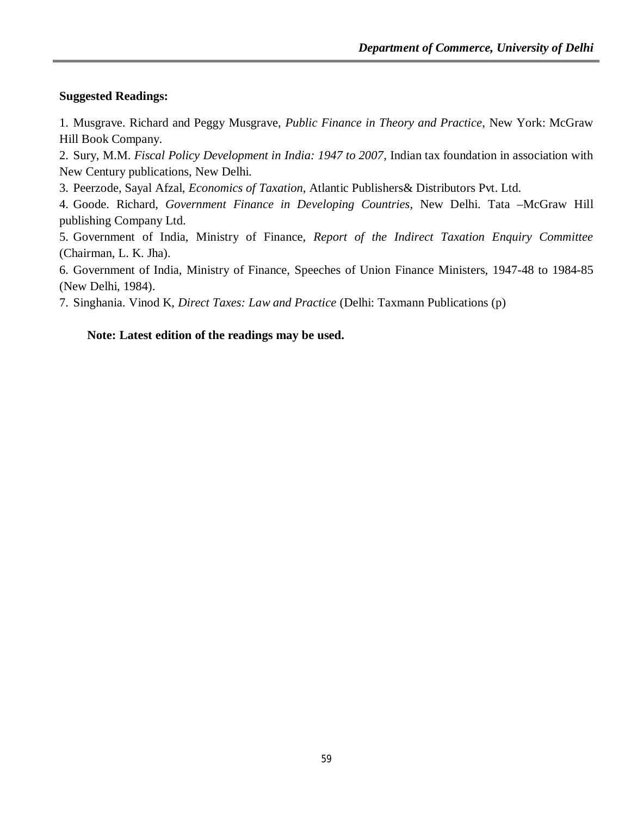# **Suggested Readings:**

1. Musgrave. Richard and Peggy Musgrave, *Public Finance in Theory and Practice*, New York: McGraw Hill Book Company.

2. Sury, M.M. *Fiscal Policy Development in India: 1947 to 2007*, Indian tax foundation in association with New Century publications, New Delhi.

3. Peerzode, Sayal Afzal, *Economics of Taxation*, Atlantic Publishers& Distributors Pvt. Ltd.

4. Goode. Richard, *Government Finance in Developing Countries*, New Delhi. Tata –McGraw Hill publishing Company Ltd.

5. Government of India, Ministry of Finance, *Report of the Indirect Taxation Enquiry Committee*  (Chairman, L. K. Jha).

6. Government of India, Ministry of Finance, Speeches of Union Finance Ministers, 1947-48 to 1984-85 (New Delhi, 1984).

7. Singhania. Vinod K, *Direct Taxes: Law and Practice* (Delhi: Taxmann Publications (p)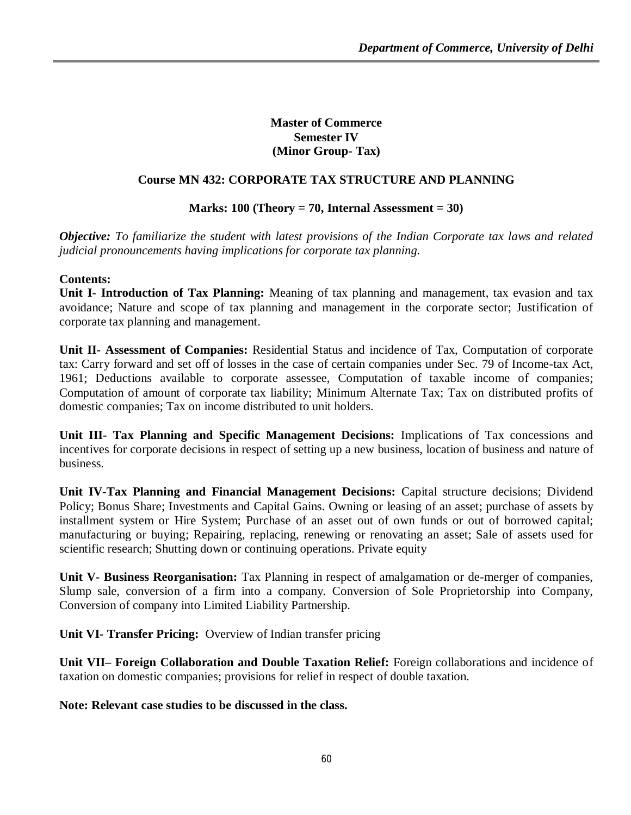**Master of Commerce Semester IV (Minor Group- Tax)**

# **Course MN 432: CORPORATE TAX STRUCTURE AND PLANNING**

# **Marks: 100 (Theory = 70, Internal Assessment = 30)**

*Objective: To familiarize the student with latest provisions of the Indian Corporate tax laws and related judicial pronouncements having implications for corporate tax planning.* 

### **Contents:**

**Unit I**- **Introduction of Tax Planning:** Meaning of tax planning and management, tax evasion and tax avoidance; Nature and scope of tax planning and management in the corporate sector; Justification of corporate tax planning and management.

**Unit II- Assessment of Companies:** Residential Status and incidence of Tax, Computation of corporate tax: Carry forward and set off of losses in the case of certain companies under Sec. 79 of Income-tax Act, 1961; Deductions available to corporate assessee, Computation of taxable income of companies; Computation of amount of corporate tax liability; Minimum Alternate Tax; Tax on distributed profits of domestic companies; Tax on income distributed to unit holders.

**Unit III- Tax Planning and Specific Management Decisions:** Implications of Tax concessions and incentives for corporate decisions in respect of setting up a new business, location of business and nature of business.

**Unit IV-Tax Planning and Financial Management Decisions:** Capital structure decisions; Dividend Policy; Bonus Share; Investments and Capital Gains. Owning or leasing of an asset; purchase of assets by installment system or Hire System; Purchase of an asset out of own funds or out of borrowed capital; manufacturing or buying; Repairing, replacing, renewing or renovating an asset; Sale of assets used for scientific research; Shutting down or continuing operations. Private equity

**Unit V- Business Reorganisation:** Tax Planning in respect of amalgamation or de-merger of companies, Slump sale, conversion of a firm into a company. Conversion of Sole Proprietorship into Company, Conversion of company into Limited Liability Partnership.

**Unit VI- Transfer Pricing:** Overview of Indian transfer pricing

**Unit VII– Foreign Collaboration and Double Taxation Relief:** Foreign collaborations and incidence of taxation on domestic companies; provisions for relief in respect of double taxation.

**Note: Relevant case studies to be discussed in the class.**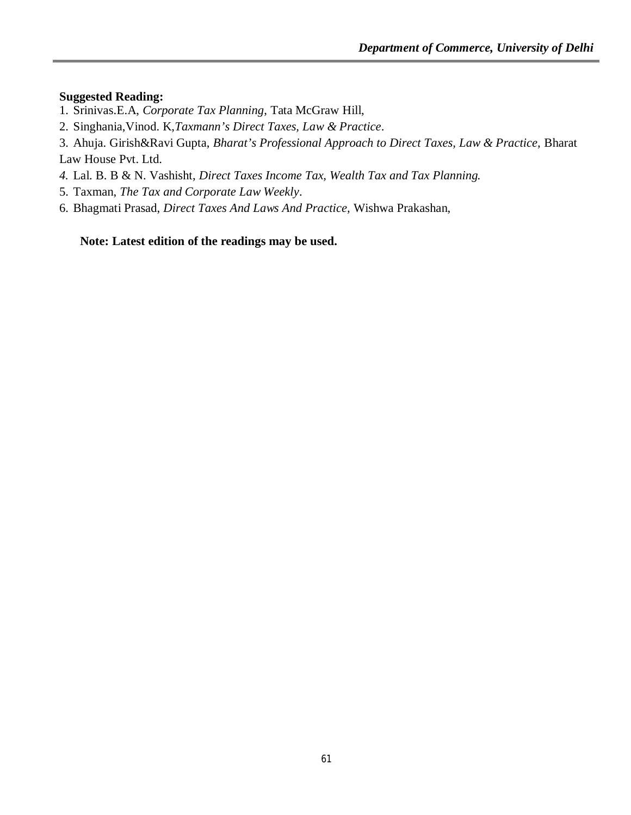### **Suggested Reading:**

- 1. Srinivas.E.A, *Corporate Tax Planning*, Tata McGraw Hill,
- 2. Singhania,Vinod. K,*Taxmann's Direct Taxes, Law & Practice*.
- 3. Ahuja. Girish&Ravi Gupta, *Bharat's Professional Approach to Direct Taxes, Law & Practice,* Bharat Law House Pvt. Ltd.
- *4.* Lal. B. B & N. Vashisht, *Direct Taxes Income Tax, Wealth Tax and Tax Planning.*
- 5. Taxman, *The Tax and Corporate Law Weekly*.
- 6. Bhagmati Prasad, *Direct Taxes And Laws And Practice,* Wishwa Prakashan,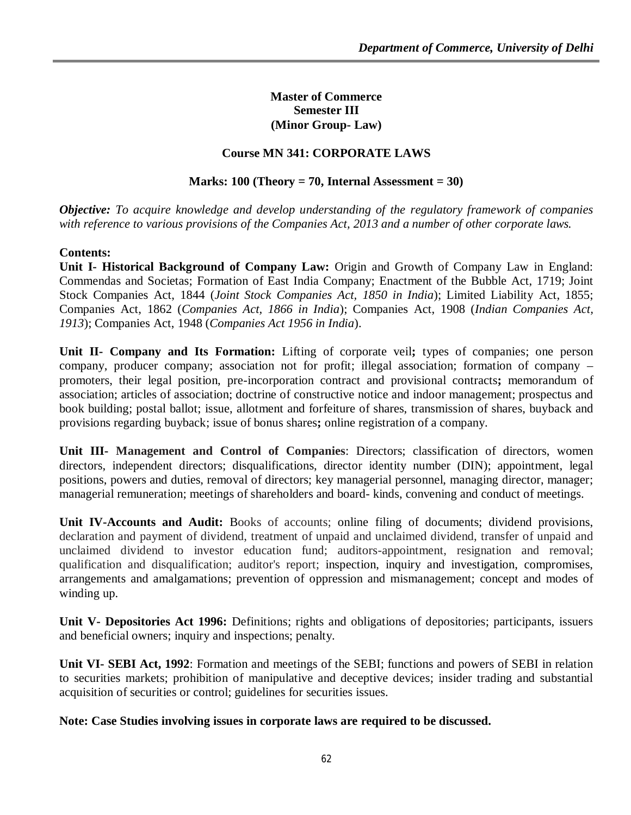### **Master of Commerce Semester III (Minor Group- Law)**

## **Course MN 341: CORPORATE LAWS**

#### **Marks: 100 (Theory = 70, Internal Assessment = 30)**

*Objective: To acquire knowledge and develop understanding of the regulatory framework of companies with reference to various provisions of the Companies Act, 2013 and a number of other corporate laws.* 

### **Contents:**

**Unit I- Historical Background of Company Law:** Origin and Growth of Company Law in England: Commendas and Societas; Formation of East India Company; Enactment of the Bubble Act, 1719; Joint Stock Companies Act, 1844 (*Joint Stock Companies Act, 1850 in India*); Limited Liability Act, 1855; Companies Act, 1862 (*Companies Act, 1866 in India*); Companies Act, 1908 (*Indian Companies Act, 1913*); Companies Act, 1948 (*Companies Act 1956 in India*).

**Unit II- Company and Its Formation:** Lifting of corporate veil**;** types of companies; one person company, producer company; association not for profit; illegal association; formation of company – promoters, their legal position, pre-incorporation contract and provisional contracts**;** memorandum of association; articles of association; doctrine of constructive notice and indoor management; prospectus and book building; postal ballot; issue, allotment and forfeiture of shares, transmission of shares, buyback and provisions regarding buyback; issue of bonus shares**;** online registration of a company.

**Unit III- Management and Control of Companies**: Directors; classification of directors, women directors, independent directors; disqualifications, director identity number (DIN); appointment, legal positions, powers and duties, removal of directors; key managerial personnel, managing director, manager; managerial remuneration; meetings of shareholders and board- kinds, convening and conduct of meetings.

**Unit IV-Accounts and Audit:** Books of accounts; online filing of documents; dividend provisions, declaration and payment of dividend, treatment of unpaid and unclaimed dividend, transfer of unpaid and unclaimed dividend to investor education fund; auditors-appointment, resignation and removal; qualification and disqualification; auditor's report; inspection, inquiry and investigation, compromises, arrangements and amalgamations; prevention of oppression and mismanagement; concept and modes of winding up.

**Unit V- Depositories Act 1996:** Definitions; rights and obligations of depositories; participants, issuers and beneficial owners; inquiry and inspections; penalty.

**Unit VI- SEBI Act, 1992**: Formation and meetings of the SEBI; functions and powers of SEBI in relation to securities markets; prohibition of manipulative and deceptive devices; insider trading and substantial acquisition of securities or control; guidelines for securities issues.

**Note: Case Studies involving issues in corporate laws are required to be discussed.**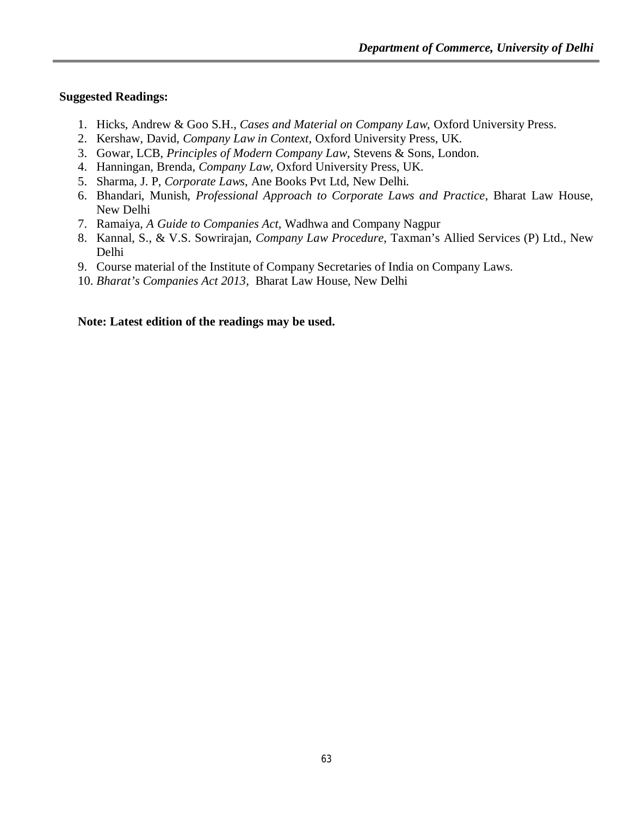#### **Suggested Readings:**

- 1. Hicks, Andrew & Goo S.H., *Cases and Material on Company Law,* Oxford University Press.
- 2. Kershaw, David, *Company Law in Context*, Oxford University Press, UK.
- 3. Gowar, LCB, *Principles of Modern Company Law*, Stevens & Sons, London.
- 4. Hanningan, Brenda, *Company Law,* Oxford University Press, UK.
- 5. Sharma, J. P, *Corporate Laws*, Ane Books Pvt Ltd, New Delhi.
- 6. Bhandari, Munish, *Professional Approach to Corporate Laws and Practice*, Bharat Law House, New Delhi
- 7. Ramaiya, *A Guide to Companies Act*, Wadhwa and Company Nagpur
- 8. Kannal, S., & V.S. Sowrirajan, *Company Law Procedure*, Taxman's Allied Services (P) Ltd., New Delhi
- 9. Course material of the Institute of Company Secretaries of India on Company Laws.
- 10. *Bharat's Companies Act 2013*, Bharat Law House, New Delhi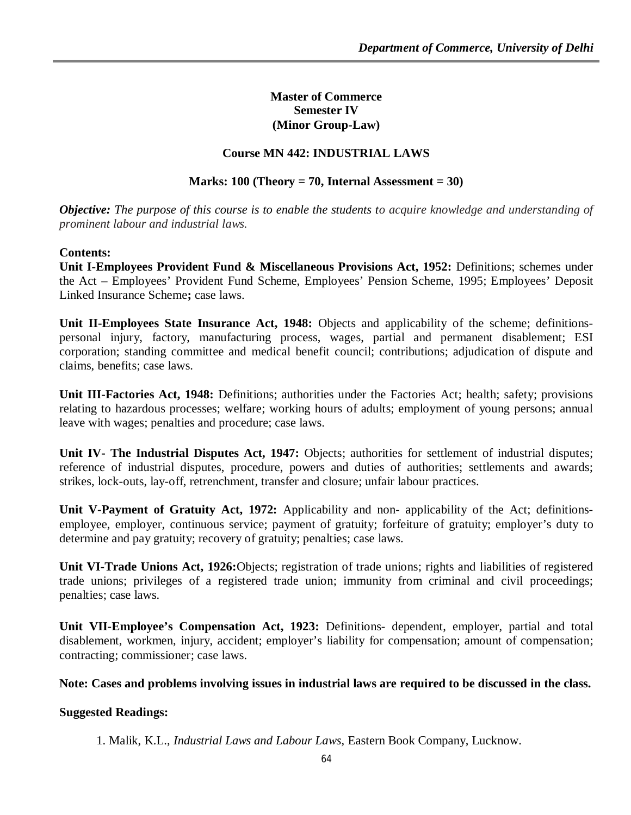### **Master of Commerce Semester IV (Minor Group-Law)**

### **Course MN 442: INDUSTRIAL LAWS**

#### **Marks: 100 (Theory = 70, Internal Assessment = 30)**

*Objective: The purpose of this course is to enable the students to acquire knowledge and understanding of prominent labour and industrial laws.*

### **Contents:**

**Unit I-Employees Provident Fund & Miscellaneous Provisions Act, 1952:** Definitions; schemes under the Act – Employees' Provident Fund Scheme, Employees' Pension Scheme, 1995; Employees' Deposit Linked Insurance Scheme**;** case laws.

**Unit II-Employees State Insurance Act, 1948:** Objects and applicability of the scheme; definitionspersonal injury, factory, manufacturing process, wages, partial and permanent disablement; ESI corporation; standing committee and medical benefit council; contributions; adjudication of dispute and claims, benefits; case laws.

**Unit III-Factories Act, 1948:** Definitions; authorities under the Factories Act; health; safety; provisions relating to hazardous processes; welfare; working hours of adults; employment of young persons; annual leave with wages; penalties and procedure; case laws.

**Unit IV- The Industrial Disputes Act, 1947:** Objects; authorities for settlement of industrial disputes; reference of industrial disputes, procedure, powers and duties of authorities; settlements and awards; strikes, lock-outs, lay-off, retrenchment, transfer and closure; unfair labour practices.

**Unit V-Payment of Gratuity Act, 1972:** Applicability and non- applicability of the Act; definitionsemployee, employer, continuous service; payment of gratuity; forfeiture of gratuity; employer's duty to determine and pay gratuity; recovery of gratuity; penalties; case laws.

**Unit VI-Trade Unions Act, 1926:**Objects; registration of trade unions; rights and liabilities of registered trade unions; privileges of a registered trade union; immunity from criminal and civil proceedings; penalties; case laws.

**Unit VII-Employee's Compensation Act, 1923:** Definitions- dependent, employer, partial and total disablement, workmen, injury, accident; employer's liability for compensation; amount of compensation; contracting; commissioner; case laws.

#### **Note: Cases and problems involving issues in industrial laws are required to be discussed in the class.**

#### **Suggested Readings:**

1. Malik, K.L., *Industrial Laws and Labour Laws*, Eastern Book Company, Lucknow.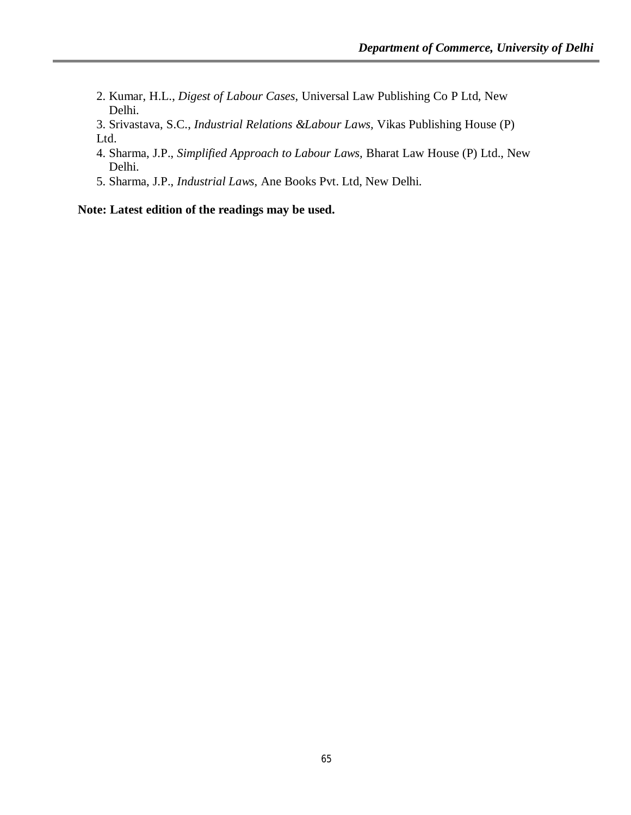- 2. Kumar, H.L., *Digest of Labour Cases*, Universal Law Publishing Co P Ltd, New Delhi.
- 3. Srivastava, S.C., *Industrial Relations &Labour Laws,* Vikas Publishing House (P) Ltd.
- 4. Sharma, J.P., *Simplified Approach to Labour Laws,* Bharat Law House (P) Ltd., New Delhi.
- 5. Sharma, J.P., *Industrial Laws*, Ane Books Pvt. Ltd, New Delhi.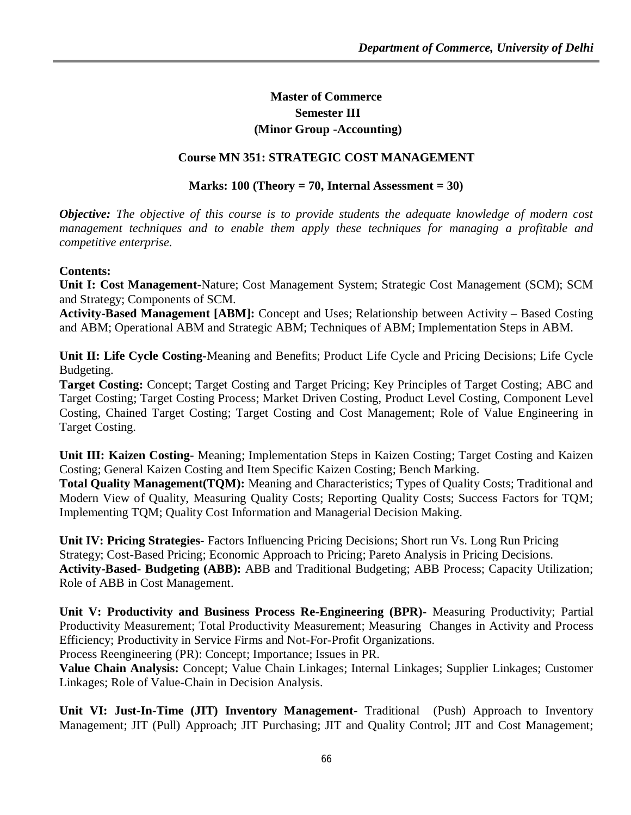# **Master of Commerce Semester III (Minor Group -Accounting)**

### **Course MN 351: STRATEGIC COST MANAGEMENT**

#### **Marks: 100 (Theory = 70, Internal Assessment = 30)**

*Objective: The objective of this course is to provide students the adequate knowledge of modern cost management techniques and to enable them apply these techniques for managing a profitable and competitive enterprise.* 

#### **Contents:**

**Unit I: Cost Management-**Nature; Cost Management System; Strategic Cost Management (SCM); SCM and Strategy; Components of SCM.

**Activity-Based Management [ABM]:** Concept and Uses; Relationship between Activity – Based Costing and ABM; Operational ABM and Strategic ABM; Techniques of ABM; Implementation Steps in ABM.

**Unit II: Life Cycle Costing-**Meaning and Benefits; Product Life Cycle and Pricing Decisions; Life Cycle Budgeting.

**Target Costing:** Concept; Target Costing and Target Pricing; Key Principles of Target Costing; ABC and Target Costing; Target Costing Process; Market Driven Costing, Product Level Costing, Component Level Costing, Chained Target Costing; Target Costing and Cost Management; Role of Value Engineering in Target Costing.

**Unit III: Kaizen Costing-** Meaning; Implementation Steps in Kaizen Costing; Target Costing and Kaizen Costing; General Kaizen Costing and Item Specific Kaizen Costing; Bench Marking.

**Total Quality Management(TQM):** Meaning and Characteristics; Types of Quality Costs; Traditional and Modern View of Quality, Measuring Quality Costs; Reporting Quality Costs; Success Factors for TQM; Implementing TQM; Quality Cost Information and Managerial Decision Making.

**Unit IV: Pricing Strategies**- Factors Influencing Pricing Decisions; Short run Vs. Long Run Pricing Strategy; Cost-Based Pricing; Economic Approach to Pricing; Pareto Analysis in Pricing Decisions. **Activity-Based- Budgeting (ABB):** ABB and Traditional Budgeting; ABB Process; Capacity Utilization; Role of ABB in Cost Management.

**Unit V: Productivity and Business Process Re-Engineering (BPR)-** Measuring Productivity; Partial Productivity Measurement; Total Productivity Measurement; Measuring Changes in Activity and Process Efficiency; Productivity in Service Firms and Not-For-Profit Organizations. Process Reengineering (PR): Concept; Importance; Issues in PR.

**Value Chain Analysis:** Concept; Value Chain Linkages; Internal Linkages; Supplier Linkages; Customer Linkages; Role of Value-Chain in Decision Analysis.

**Unit VI: Just-In-Time (JIT) Inventory Management**- Traditional (Push) Approach to Inventory Management; JIT (Pull) Approach; JIT Purchasing; JIT and Quality Control; JIT and Cost Management;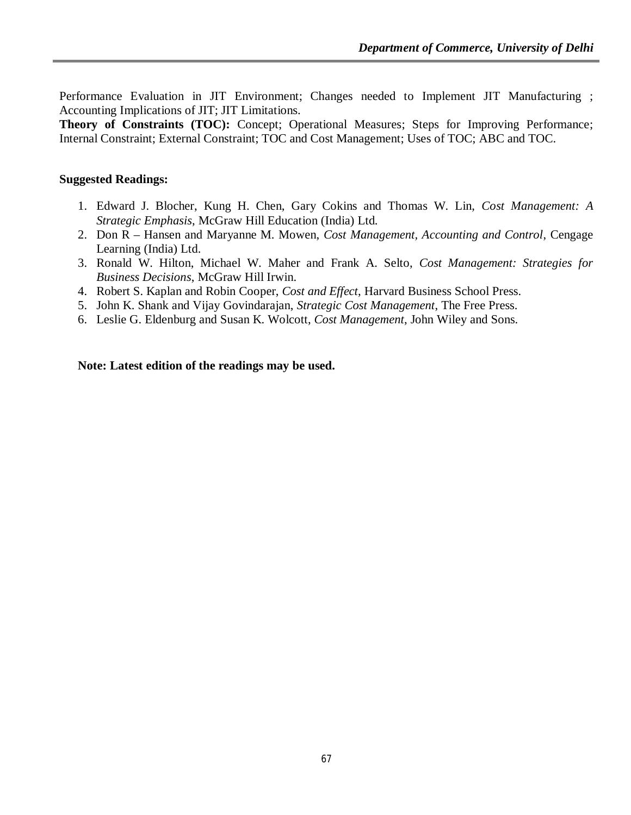Performance Evaluation in JIT Environment; Changes needed to Implement JIT Manufacturing ; Accounting Implications of JIT; JIT Limitations.

**Theory of Constraints (TOC):** Concept; Operational Measures; Steps for Improving Performance; Internal Constraint; External Constraint; TOC and Cost Management; Uses of TOC; ABC and TOC.

#### **Suggested Readings:**

- 1. Edward J. Blocher, Kung H. Chen, Gary Cokins and Thomas W. Lin, *Cost Management: A Strategic Emphasis*, McGraw Hill Education (India) Ltd.
- 2. Don R Hansen and Maryanne M. Mowen, *Cost Management, Accounting and Control*, Cengage Learning (India) Ltd.
- 3. Ronald W. Hilton, Michael W. Maher and Frank A. Selto, *Cost Management: Strategies for Business Decisions*, McGraw Hill Irwin.
- 4. Robert S. Kaplan and Robin Cooper, *Cost and Effect*, Harvard Business School Press.
- 5. John K. Shank and Vijay Govindarajan, *Strategic Cost Management*, The Free Press.
- 6. Leslie G. Eldenburg and Susan K. Wolcott, *Cost Management*, John Wiley and Sons.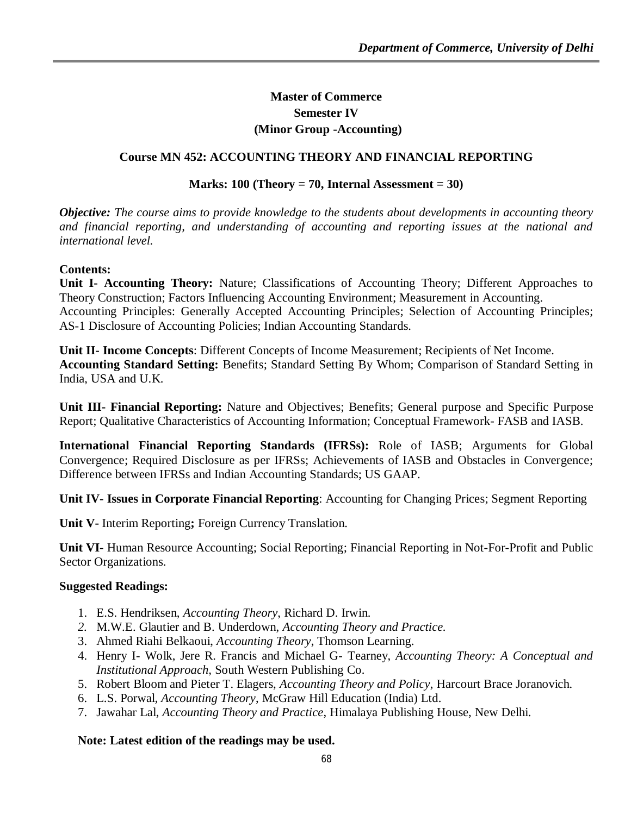# **Master of Commerce Semester IV (Minor Group -Accounting)**

### **Course MN 452: ACCOUNTING THEORY AND FINANCIAL REPORTING**

#### **Marks: 100 (Theory = 70, Internal Assessment = 30)**

*Objective: The course aims to provide knowledge to the students about developments in accounting theory and financial reporting, and understanding of accounting and reporting issues at the national and international level.*

### **Contents:**

**Unit I- Accounting Theory:** Nature; Classifications of Accounting Theory; Different Approaches to Theory Construction; Factors Influencing Accounting Environment; Measurement in Accounting. Accounting Principles: Generally Accepted Accounting Principles; Selection of Accounting Principles; AS-1 Disclosure of Accounting Policies; Indian Accounting Standards.

**Unit II- Income Concepts**: Different Concepts of Income Measurement; Recipients of Net Income. **Accounting Standard Setting:** Benefits; Standard Setting By Whom; Comparison of Standard Setting in India, USA and U.K.

**Unit III- Financial Reporting:** Nature and Objectives; Benefits; General purpose and Specific Purpose Report; Qualitative Characteristics of Accounting Information; Conceptual Framework- FASB and IASB.

**International Financial Reporting Standards (IFRSs):** Role of IASB; Arguments for Global Convergence; Required Disclosure as per IFRSs; Achievements of IASB and Obstacles in Convergence; Difference between IFRSs and Indian Accounting Standards; US GAAP.

**Unit IV- Issues in Corporate Financial Reporting**: Accounting for Changing Prices; Segment Reporting

**Unit V-** Interim Reporting**;** Foreign Currency Translation.

**Unit VI-** Human Resource Accounting; Social Reporting; Financial Reporting in Not-For-Profit and Public Sector Organizations.

#### **Suggested Readings:**

- 1. E.S. Hendriksen, *Accounting Theory*, Richard D. Irwin.
- *2.* M.W.E. Glautier and B. Underdown, *Accounting Theory and Practice.*
- 3. Ahmed Riahi Belkaoui, *Accounting Theory*, Thomson Learning.
- 4. Henry I- Wolk, Jere R. Francis and Michael G- Tearney, *Accounting Theory: A Conceptual and Institutional Approach,* South Western Publishing Co.
- 5. Robert Bloom and Pieter T. Elagers, *Accounting Theory and Policy*, Harcourt Brace Joranovich.
- 6. L.S. Porwal*, Accounting Theory*, McGraw Hill Education (India) Ltd.
- 7. Jawahar Lal, *Accounting Theory and Practice*, Himalaya Publishing House, New Delhi.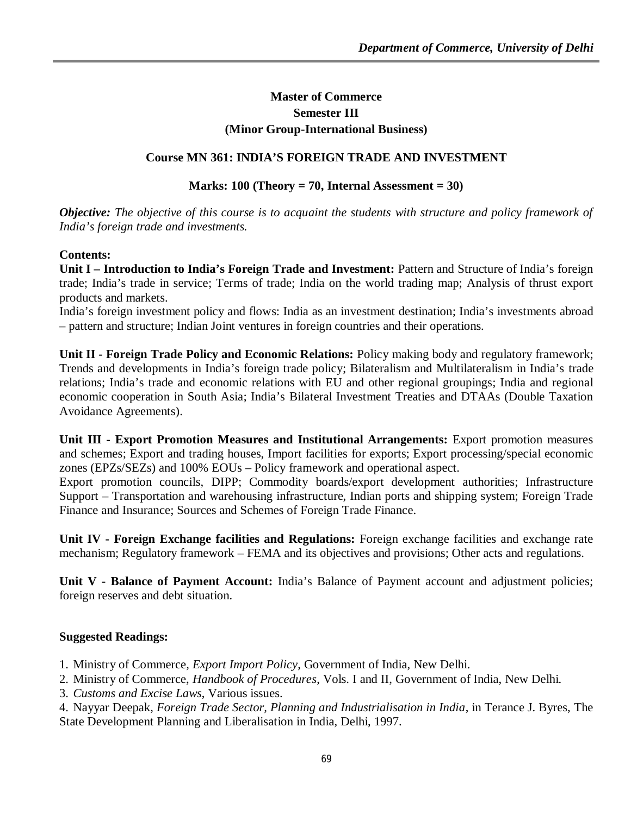# **Master of Commerce Semester III (Minor Group-International Business)**

# **Course MN 361: INDIA'S FOREIGN TRADE AND INVESTMENT**

# **Marks: 100 (Theory = 70, Internal Assessment = 30)**

*Objective: The objective of this course is to acquaint the students with structure and policy framework of India's foreign trade and investments.*

# **Contents:**

**Unit I – Introduction to India's Foreign Trade and Investment:** Pattern and Structure of India's foreign trade; India's trade in service; Terms of trade; India on the world trading map; Analysis of thrust export products and markets.

India's foreign investment policy and flows: India as an investment destination; India's investments abroad – pattern and structure; Indian Joint ventures in foreign countries and their operations.

**Unit II - Foreign Trade Policy and Economic Relations:** Policy making body and regulatory framework; Trends and developments in India's foreign trade policy; Bilateralism and Multilateralism in India's trade relations; India's trade and economic relations with EU and other regional groupings; India and regional economic cooperation in South Asia; India's Bilateral Investment Treaties and DTAAs (Double Taxation Avoidance Agreements).

**Unit III - Export Promotion Measures and Institutional Arrangements:** Export promotion measures and schemes; Export and trading houses, Import facilities for exports; Export processing/special economic zones (EPZs/SEZs) and 100% EOUs – Policy framework and operational aspect.

Export promotion councils, DIPP; Commodity boards/export development authorities; Infrastructure Support – Transportation and warehousing infrastructure, Indian ports and shipping system; Foreign Trade Finance and Insurance; Sources and Schemes of Foreign Trade Finance.

**Unit IV - Foreign Exchange facilities and Regulations:** Foreign exchange facilities and exchange rate mechanism; Regulatory framework – FEMA and its objectives and provisions; Other acts and regulations.

**Unit V - Balance of Payment Account:** India's Balance of Payment account and adjustment policies; foreign reserves and debt situation.

# **Suggested Readings:**

1. Ministry of Commerce*, Export Import Policy*, Government of India, New Delhi.

- 2. Ministry of Commerce, *Handbook of Procedures*, Vols. I and II, Government of India, New Delhi.
- 3. *Customs and Excise Laws*, Various issues.

4. Nayyar Deepak, *Foreign Trade Sector, Planning and Industrialisation in India*, in Terance J. Byres, The State Development Planning and Liberalisation in India, Delhi, 1997.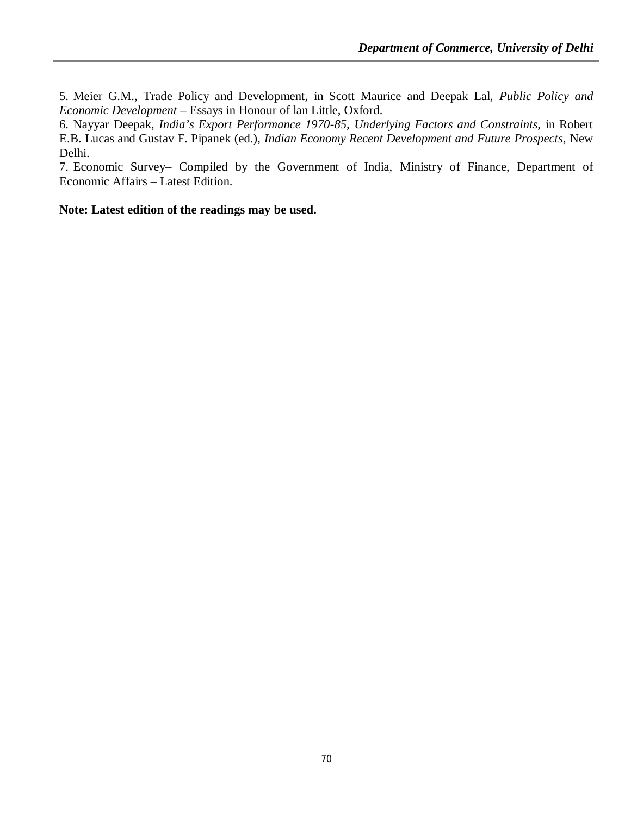5. Meier G.M., Trade Policy and Development, in Scott Maurice and Deepak Lal, *Public Policy and Economic Development* – Essays in Honour of lan Little, Oxford.

6. Nayyar Deepak, *India's Export Performance 1970-85, Underlying Factors and Constraints,* in Robert E.B. Lucas and Gustav F. Pipanek (ed.), *Indian Economy Recent Development and Future Prospects,* New Delhi.

7. Economic Survey– Compiled by the Government of India, Ministry of Finance, Department of Economic Affairs – Latest Edition.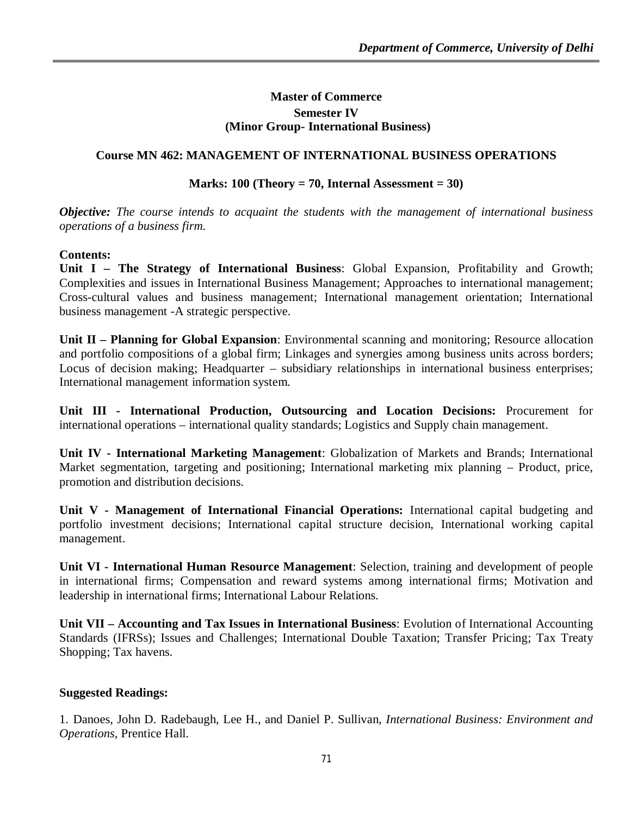# **Master of Commerce Semester IV (Minor Group- International Business)**

# **Course MN 462: MANAGEMENT OF INTERNATIONAL BUSINESS OPERATIONS**

# **Marks: 100 (Theory = 70, Internal Assessment = 30)**

*Objective: The course intends to acquaint the students with the management of international business operations of a business firm.*

### **Contents:**

**Unit I – The Strategy of International Business**: Global Expansion, Profitability and Growth; Complexities and issues in International Business Management; Approaches to international management; Cross-cultural values and business management; International management orientation; International business management -A strategic perspective.

**Unit II – Planning for Global Expansion**: Environmental scanning and monitoring; Resource allocation and portfolio compositions of a global firm; Linkages and synergies among business units across borders; Locus of decision making; Headquarter – subsidiary relationships in international business enterprises; International management information system.

**Unit III - International Production, Outsourcing and Location Decisions:** Procurement for international operations – international quality standards; Logistics and Supply chain management.

**Unit IV - International Marketing Management**: Globalization of Markets and Brands; International Market segmentation, targeting and positioning; International marketing mix planning – Product, price, promotion and distribution decisions.

**Unit V - Management of International Financial Operations:** International capital budgeting and portfolio investment decisions; International capital structure decision, International working capital management.

**Unit VI - International Human Resource Management**: Selection, training and development of people in international firms; Compensation and reward systems among international firms; Motivation and leadership in international firms; International Labour Relations.

**Unit VII – Accounting and Tax Issues in International Business**: Evolution of International Accounting Standards (IFRSs); Issues and Challenges; International Double Taxation; Transfer Pricing; Tax Treaty Shopping; Tax havens.

### **Suggested Readings:**

1. Danoes, John D. Radebaugh, Lee H., and Daniel P. Sullivan, *International Business: Environment and Operations,* Prentice Hall.